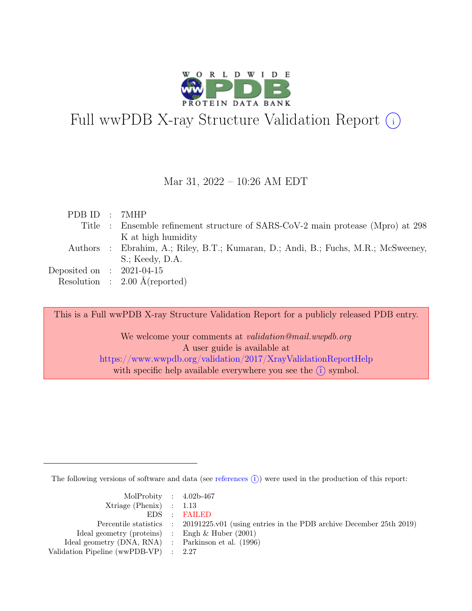

# Full wwPDB X-ray Structure Validation Report  $(i)$

### Mar 31, 2022 – 10:26 AM EDT

| PDBID : 7MHP                |                                                                                    |
|-----------------------------|------------------------------------------------------------------------------------|
|                             | Title : Ensemble refinement structure of SARS-CoV-2 main protease (Mpro) at 298    |
|                             | K at high humidity                                                                 |
|                             | Authors : Ebrahim, A.; Riley, B.T.; Kumaran, D.; Andi, B.; Fuchs, M.R.; McSweeney, |
|                             | $S$ .; Keedy, D.A.                                                                 |
| Deposited on : $2021-04-15$ |                                                                                    |
|                             | Resolution : $2.00 \text{ Å}$ (reported)                                           |

This is a Full wwPDB X-ray Structure Validation Report for a publicly released PDB entry.

We welcome your comments at validation@mail.wwpdb.org A user guide is available at <https://www.wwpdb.org/validation/2017/XrayValidationReportHelp> with specific help available everywhere you see the  $(i)$  symbol.

The following versions of software and data (see [references](https://www.wwpdb.org/validation/2017/XrayValidationReportHelp#references)  $(i)$ ) were used in the production of this report:

| MolProbity : $4.02b-467$                            |                                                                                            |
|-----------------------------------------------------|--------------------------------------------------------------------------------------------|
| $Xtriangle (Phenix)$ : 1.13                         |                                                                                            |
|                                                     | EDS : FAILED                                                                               |
|                                                     | Percentile statistics : 20191225.v01 (using entries in the PDB archive December 25th 2019) |
| Ideal geometry (proteins) :                         | Engh & Huber $(2001)$                                                                      |
| Ideal geometry (DNA, RNA) : Parkinson et al. (1996) |                                                                                            |
| Validation Pipeline (wwPDB-VP) : $2.27$             |                                                                                            |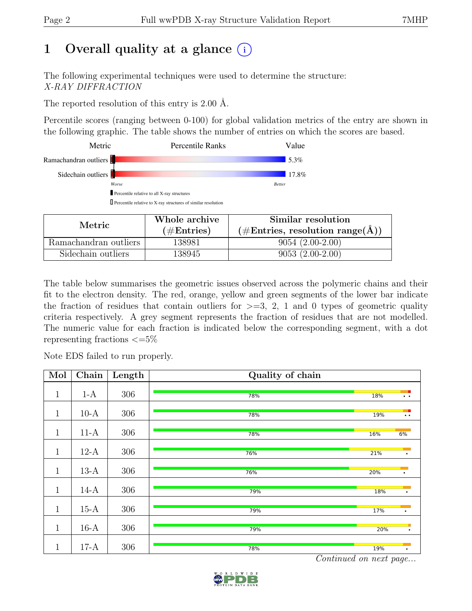## 1 Overall quality at a glance  $(i)$

The following experimental techniques were used to determine the structure: X-RAY DIFFRACTION

The reported resolution of this entry is 2.00 Å.

Percentile scores (ranging between 0-100) for global validation metrics of the entry are shown in the following graphic. The table shows the number of entries on which the scores are based.

| Percentile relative to all X-ray structures<br>$\Box$ Percentile relative to X-ray structures of similar resolution |               |  |
|---------------------------------------------------------------------------------------------------------------------|---------------|--|
|                                                                                                                     |               |  |
|                                                                                                                     |               |  |
|                                                                                                                     |               |  |
| Worse                                                                                                               | <b>Better</b> |  |
| Sidechain outliers                                                                                                  | 17.8%         |  |
|                                                                                                                     |               |  |
| Ramachandran outliers                                                                                               | 5.3%          |  |
| Metric<br><b>Percentile Ranks</b>                                                                                   | Value         |  |

|                       | Whole archive | Similar resolution                                        |  |  |
|-----------------------|---------------|-----------------------------------------------------------|--|--|
| Metric.               | $(\#Entries)$ | $(\# \text{Entries}, \text{ resolution range}(\text{A}))$ |  |  |
| Ramachandran outliers | 138981        | $9054(2.00-2.00)$                                         |  |  |
| Sidechain outliers    | 138945        | $9053(2.00-2.00)$                                         |  |  |

The table below summarises the geometric issues observed across the polymeric chains and their fit to the electron density. The red, orange, yellow and green segments of the lower bar indicate the fraction of residues that contain outliers for  $>=3, 2, 1$  and 0 types of geometric quality criteria respectively. A grey segment represents the fraction of residues that are not modelled. The numeric value for each fraction is indicated below the corresponding segment, with a dot representing fractions  $\epsilon = 5\%$ 

Note EDS failed to run properly.

| Mol          | Chain  | Length | Quality of chain |     |                                              |
|--------------|--------|--------|------------------|-----|----------------------------------------------|
| $\mathbf{1}$ | $1-A$  | 306    | 78%              | 18% | $\bullet$ . $\bullet$                        |
| $\mathbf{1}$ | $10-A$ | 306    | 78%              | 19% | $\bullet\hspace{0.4mm}\bullet\hspace{0.4mm}$ |
| $\mathbf{1}$ | $11-A$ | 306    | 78%              | 16% | 6%                                           |
| $\mathbf{1}$ | $12-A$ | 306    | 76%              | 21% | $\bullet$                                    |
| $\mathbf{1}$ | $13-A$ | 306    | 76%              | 20% | $\bullet$                                    |
| $\mathbf{1}$ | $14-A$ | 306    | 79%              | 18% | $\bullet$                                    |
| $\mathbf{1}$ | $15-A$ | 306    | 79%              | 17% | $\bullet$                                    |
| $\mathbf{1}$ | $16-A$ | 306    | 79%              | 20% | $\bullet$                                    |
| $\mathbf{1}$ | $17-A$ | 306    | 78%              | 19% | $\bullet$                                    |

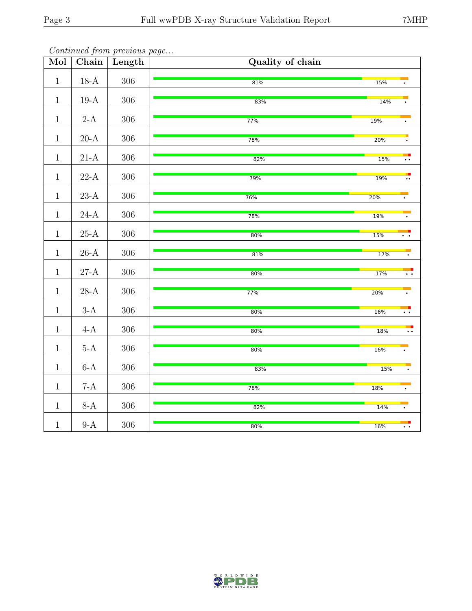| Mol          | Chain                  | Length  | Quality of chain |                                    |
|--------------|------------------------|---------|------------------|------------------------------------|
| $\mathbf{1}$ | $18-A$                 | $306\,$ | 81%              | 15%                                |
| $\mathbf{1}$ | $19-A$                 | $306\,$ | 83%              | 14%                                |
| $\mathbf{1}$ | $2-A$                  | $306\,$ | 77%              | 19%                                |
| $\mathbf{1}$ | $20\mbox{-}\mathrm{A}$ | $306\,$ | 78%              | <b>20%</b>                         |
| $\mathbf{1}$ | $21-A$                 | $306\,$ | 82%              | 15%<br>$\overline{\cdot}$ .        |
| $\mathbf{1}$ | $22-A$                 | $306\,$ | 79%              | ₹<br><b>19%</b>                    |
| $\mathbf{1}$ | $23-A\,$               | $306\,$ | 76%              | 20%                                |
| $\mathbf{1}$ | $24-A$                 | $306\,$ | 78%              | <b>19%</b>                         |
| $\mathbf{1}$ | $25\mbox{-}\mathrm{A}$ | $306\,$ | 80%              | 15%<br>$\ddot{\phantom{1}}$        |
| $\,1\,$      | $26\mbox{-}\mathrm{A}$ | $306\,$ | 81%              | 17%<br>$\bullet$                   |
| $\mathbf{1}$ | $27-A$                 | $306\,$ | 80%              | 17%<br>$\bullet$ . $\bullet$       |
| $\mathbf{1}$ | $28-A$                 | $306\,$ | 77%              | 20%                                |
| $1\,$        | $3-A$                  | $306\,$ | 80%              | <b>16%</b><br>$\overline{\cdot}$ : |
| $\mathbf{1}$ | $4-A$                  | $306\,$ | 80%              | <b>18%</b>                         |
| $\mathbf{1}$ | $5-A$                  | $306\,$ | 80%              | $\ddot{\phantom{1}}$ .             |
| $\mathbf{1}$ | $6-A$                  | $306\,$ |                  | <b>16%</b>                         |
| $\mathbf{1}$ | $7-A$                  | $306\,$ | 83%              | 15%                                |
| $\mathbf{1}$ |                        |         | 78%              | <b>18%</b>                         |
|              | $8-A$                  | $306\,$ | 82%              | 14%                                |
| $\mathbf{1}$ | $9-A$                  | $306\,$ | 80%              | <b>16%</b><br>$\ddot{\phantom{0}}$ |

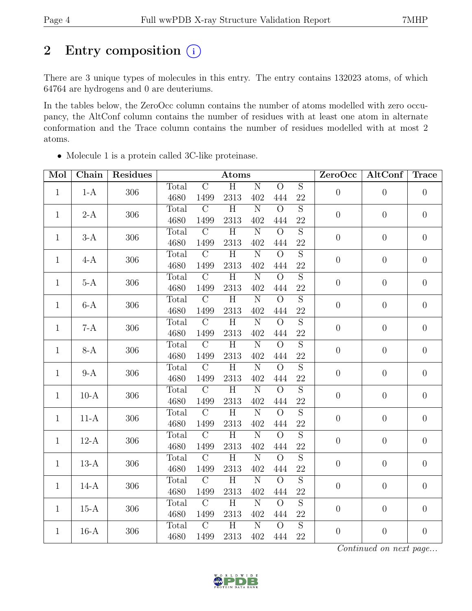## 2 Entry composition  $(i)$

There are 3 unique types of molecules in this entry. The entry contains 132023 atoms, of which 64764 are hydrogens and 0 are deuteriums.

In the tables below, the ZeroOcc column contains the number of atoms modelled with zero occupancy, the AltConf column contains the number of residues with at least one atom in alternate conformation and the Trace column contains the number of residues modelled with at most 2 atoms.

| Mol          | Chain  | Residues | Atoms |                |                    |                       |                |                | ZeroOcc          | AltConf          | <b>Trace</b>     |          |          |
|--------------|--------|----------|-------|----------------|--------------------|-----------------------|----------------|----------------|------------------|------------------|------------------|----------|----------|
| $\mathbf{1}$ |        |          | Total | $\overline{C}$ | $\overline{H}$     | $\overline{\rm N}$    | $\overline{O}$ | $\overline{S}$ | $\overline{0}$   | $\theta$         | $\overline{0}$   |          |          |
|              | $1-A$  | 306      | 4680  | 1499           | 2313               | 402                   | 444            | $22\,$         |                  |                  |                  |          |          |
| $\mathbf{1}$ |        | 306      | Total | $\mathcal{C}$  | $\overline{\rm H}$ | $\overline{\text{N}}$ | $\overline{O}$ | $\overline{S}$ | $\overline{0}$   | $\boldsymbol{0}$ | $\overline{0}$   |          |          |
|              | $2-A$  |          | 4680  | 1499           | 2313               | 402                   | 444            | 22             |                  |                  |                  |          |          |
| $\mathbf{1}$ | $3-A$  | 306      | Total | $\overline{C}$ | $\overline{H}$     | $\overline{\text{N}}$ | $\overline{O}$ | $\overline{S}$ | $\overline{0}$   | $\theta$         | $\boldsymbol{0}$ |          |          |
|              |        |          | 4680  | 1499           | 2313               | 402                   | 444            | $22\,$         |                  |                  |                  |          |          |
| $\mathbf{1}$ | $4-A$  | 306      | Total | $\mathcal{C}$  | $\overline{H}$     | ${\bf N}$             | $\overline{O}$ | $\overline{S}$ | $\boldsymbol{0}$ | $\boldsymbol{0}$ | $\boldsymbol{0}$ |          |          |
|              |        |          | 4680  | 1499           | 2313               | 402                   | 444            | 22             |                  |                  |                  |          |          |
| $\mathbf{1}$ | $5-A$  | 306      | Total | $\mathcal{C}$  | $\overline{H}$     | $\overline{\text{N}}$ | $\overline{O}$ | $\overline{S}$ | $\overline{0}$   | $\boldsymbol{0}$ | $\boldsymbol{0}$ |          |          |
|              |        |          | 4680  | 1499           | 2313               | 402                   | 444            | 22             |                  |                  |                  |          |          |
| $\mathbf{1}$ | $6-A$  | 306      | Total | $\overline{C}$ | $\overline{H}$     | $\overline{\text{N}}$ | $\overline{O}$ | $\overline{S}$ | $\overline{0}$   |                  |                  | $\theta$ | $\theta$ |
|              |        |          | 4680  | 1499           | 2313               | 402                   | 444            | 22             |                  |                  |                  |          |          |
| $\mathbf{1}$ | $7-A$  | 306      | Total | $\overline{C}$ | $\overline{H}$     | $\overline{N}$        | $\overline{O}$ | $\overline{S}$ | $\overline{0}$   | $\boldsymbol{0}$ | $\boldsymbol{0}$ |          |          |
|              |        |          | 4680  | 1499           | 2313               | 402                   | 444            | 22             |                  |                  |                  |          |          |
| $\mathbf{1}$ | $8-A$  | 306      | Total | $\overline{C}$ | $\overline{H}$     | $\overline{\rm N}$    | $\overline{O}$ | $\overline{S}$ | $\overline{0}$   | $\theta$         | $\boldsymbol{0}$ |          |          |
|              |        |          | 4680  | 1499           | 2313               | 402                   | 444            | 22             |                  |                  |                  |          |          |
| $\mathbf{1}$ | $9-A$  | 306      | Total | $\overline{C}$ | $\overline{H}$     | $\overline{\text{N}}$ | $\overline{O}$ | $\overline{S}$ | $\overline{0}$   | $\theta$         | $\boldsymbol{0}$ |          |          |
|              |        |          | 4680  | 1499           | 2313               | 402                   | 444            | $22\,$         |                  |                  |                  |          |          |
| $\mathbf{1}$ | $10-A$ | 306      | Total | $\overline{C}$ | $\overline{H}$     | $\overline{\text{N}}$ | $\overline{O}$ | $\overline{S}$ | $\overline{0}$   | $\boldsymbol{0}$ | $\boldsymbol{0}$ |          |          |
|              |        |          | 4680  | 1499           | 2313               | 402                   | 444            | 22             |                  |                  |                  |          |          |
| $\mathbf{1}$ | $11-A$ | 306      | Total | $\overline{C}$ | $\overline{H}$     | $\overline{\text{N}}$ | $\overline{O}$ | $\overline{S}$ | $\overline{0}$   | $\boldsymbol{0}$ | $\boldsymbol{0}$ |          |          |
|              |        |          | 4680  | 1499           | 2313               | 402                   | 444            | $22\,$         |                  |                  |                  |          |          |
| $\mathbf{1}$ | $12-A$ | 306      | Total | $\overline{C}$ | $\overline{H}$     | $\overline{\rm N}$    | $\overline{O}$ | $\overline{S}$ | $\overline{0}$   | $\boldsymbol{0}$ | $\boldsymbol{0}$ |          |          |
|              |        |          | 4680  | 1499           | 2313               | 402                   | 444            | $22\,$         |                  |                  |                  |          |          |
| $\mathbf{1}$ | $13-A$ | 306      | Total | $\overline{C}$ | $\overline{H}$     | $\overline{N}$        | $\overline{O}$ | $\overline{S}$ | $\overline{0}$   | $\theta$         | $\boldsymbol{0}$ |          |          |
|              |        |          | 4680  | 1499           | 2313               | 402                   | 444            | $22\,$         |                  |                  |                  |          |          |
| $\mathbf{1}$ | $14-A$ | 306      | Total | $\overline{C}$ | $\overline{H}$     | $\overline{\text{N}}$ | $\overline{O}$ | $\overline{S}$ | $\overline{0}$   | $\boldsymbol{0}$ | $\boldsymbol{0}$ |          |          |
|              |        |          | 4680  | 1499           | 2313               | 402                   | 444            | $22\,$         |                  |                  |                  |          |          |
| $\mathbf{1}$ | $15-A$ | 306      | Total | $\mathcal{C}$  | $\overline{H}$     | ${\bf N}$             | $\overline{O}$ | $\overline{S}$ | $\boldsymbol{0}$ | $\boldsymbol{0}$ | $\boldsymbol{0}$ |          |          |
|              |        |          | 4680  | 1499           | 2313               | 402                   | 444            | 22             |                  |                  |                  |          |          |
| $\mathbf{1}$ | $16-A$ | 306      | Total | $\overline{C}$ | $\overline{\rm H}$ | $\overline{N}$        | $\overline{O}$ | $\overline{S}$ | $\overline{0}$   | $\boldsymbol{0}$ | $\boldsymbol{0}$ |          |          |
|              |        |          | 4680  | 1499           | 2313               | 402                   | 444            | $22\,$         |                  |                  |                  |          |          |

• Molecule 1 is a protein called 3C-like proteinase.

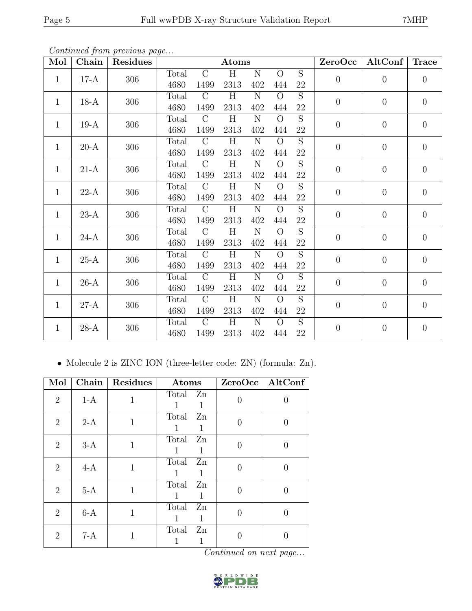| Mol          | Chain  | Residues |       |                | Atoms |                    |                |                | ZeroOcc          | AltConf          | <b>Trace</b>   |  |  |
|--------------|--------|----------|-------|----------------|-------|--------------------|----------------|----------------|------------------|------------------|----------------|--|--|
| $\mathbf{1}$ | $17-A$ | 306      | Total | $\overline{C}$ | H     | N                  | $\overline{O}$ | $\overline{S}$ | $\overline{0}$   | $\overline{0}$   | $\theta$       |  |  |
|              |        |          | 4680  | 1499           | 2313  | 402                | 444            | $22\,$         |                  |                  |                |  |  |
| $\mathbf{1}$ | $18-A$ | 306      | Total | $\overline{C}$ | H     | $\overline{N}$     | $\Omega$       | $\overline{S}$ | $\overline{0}$   | $\theta$         | $\theta$       |  |  |
|              |        |          | 4680  | 1499           | 2313  | 402                | 444            | $22\,$         |                  |                  |                |  |  |
| $\mathbf{1}$ | $19-A$ | 306      | Total | $\mathcal{C}$  | H     | $\overline{\rm N}$ | $\Omega$       | $\overline{S}$ | $\boldsymbol{0}$ | $\theta$         | $\theta$       |  |  |
|              |        |          | 4680  | 1499           | 2313  | 402                | 444            | 22             |                  |                  |                |  |  |
| 1            | $20-A$ | 306      | Total | $\mathcal{C}$  | H     | ${\rm N}$          | $\Omega$       | $\overline{S}$ | $\overline{0}$   | $\boldsymbol{0}$ | $\theta$       |  |  |
|              |        |          | 4680  | 1499           | 2313  | 402                | 444            | $22\,$         |                  |                  |                |  |  |
| $\mathbf{1}$ | $21-A$ | 306      | Total | $\mathcal{C}$  | H     | $\mathbf N$        | $\overline{O}$ | $\overline{S}$ | $\overline{0}$   | $\theta$         | $\theta$       |  |  |
|              |        |          | 4680  | 1499           | 2313  | 402                | 444            | $22\,$         |                  |                  |                |  |  |
| 1            | $22-A$ | 306      | Total | $\mathcal{C}$  | H     | ${\rm N}$          | $\Omega$       | S              | $\overline{0}$   | $\overline{0}$   | $\overline{0}$ |  |  |
|              |        |          | 4680  | 1499           | 2313  | 402                | 444            | $22\,$         |                  |                  |                |  |  |
| $\mathbf{1}$ | $23-A$ | 306      | Total | $\mathcal{C}$  | H     | $\mathbf N$        | $\overline{O}$ | $\overline{S}$ | $\overline{0}$   | $\overline{0}$   | $\theta$       |  |  |
|              |        |          | 4680  | 1499           | 2313  | 402                | 444            | 22             |                  |                  |                |  |  |
| $\mathbf{1}$ | $24-A$ | 306      | Total | $\mathcal{C}$  | H     | N                  | $\Omega$       | $\overline{S}$ | $\overline{0}$   | $\overline{0}$   | $\theta$       |  |  |
|              |        |          | 4680  | 1499           | 2313  | 402                | 444            | 22             |                  |                  |                |  |  |
| $\mathbf{1}$ | $25-A$ | 306      | Total | $\mathcal{C}$  | H     | $\mathbf N$        | $\overline{O}$ | $\overline{S}$ | $\boldsymbol{0}$ | $\theta$         | $\theta$       |  |  |
|              |        |          | 4680  | 1499           | 2313  | 402                | 444            | 22             |                  |                  |                |  |  |
| $\mathbf{1}$ | $26-A$ | 306      | Total | $\mathcal{C}$  | H     | $\mathbf N$        | $\overline{O}$ | $\overline{S}$ | $\boldsymbol{0}$ | $\theta$         | $\theta$       |  |  |
|              |        |          | 4680  | 1499           | 2313  | 402                | 444            | 22             |                  |                  |                |  |  |
| $\mathbf{1}$ | $27-A$ | 306      | Total | $\overline{C}$ | H     | ${\rm N}$          | $\Omega$       | $\overline{S}$ | $\theta$         | $\theta$         | $\overline{0}$ |  |  |
|              |        |          | 4680  | 1499           | 2313  | 402                | 444            | $22\,$         |                  |                  |                |  |  |
| $\mathbf{1}$ | $28-A$ | 306      | Total | $\overline{C}$ | H     | $\overline{\rm N}$ | $\overline{O}$ | $\overline{S}$ | $\overline{0}$   | $\theta$         | $\theta$       |  |  |
|              |        |          | 4680  | 1499           | 2313  | 402                | 444            | 22             |                  |                  |                |  |  |

Continued from previous page...

• Molecule 2 is ZINC ION (three-letter code: ZN) (formula: Zn).

| Mol            | <b>Chain</b> | <b>Residues</b> | Atoms                                  |                               | ZeroOcc   AltConf |
|----------------|--------------|-----------------|----------------------------------------|-------------------------------|-------------------|
| $\overline{2}$ | $1-A$        | 1               | Total Zn<br>1                          | 0                             |                   |
| $\overline{2}$ | $2-A$        | $\mathbf{1}$    | Total Zn<br>1<br>1                     | $\theta$                      |                   |
| $\overline{2}$ | $3-A$        | 1               | Total<br>Zn<br>1<br>-1                 | $\Omega$                      |                   |
| $\overline{2}$ | $4-A$        | 1               | Total Zn<br>1<br>1                     | 0                             |                   |
| $\overline{2}$ | $5-A$        | 1               | Zn<br>Total<br>1<br>1                  | 0                             |                   |
| 2              | $6-A$        | 1               | Total<br>Zn<br>1                       | 0                             |                   |
| $\overline{2}$ | $7-A$        | 1               | Total<br>$\mathbf{Z}$ n<br>1<br>$\sim$ | 0<br>$\cdots$<br>$\mathbf{z}$ | $\overline{ }$    |

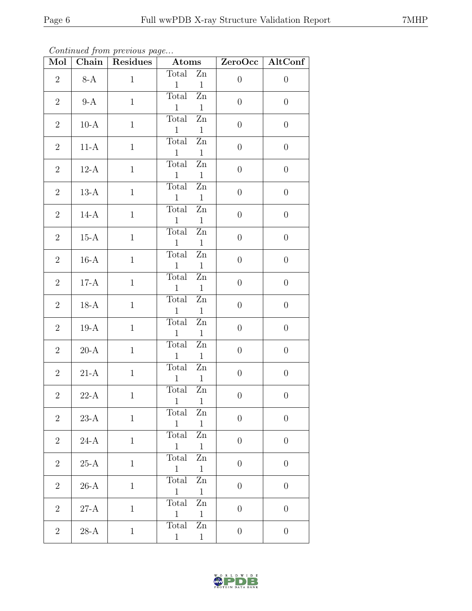Continued from previous page...

| Mol            |                        | Chain Residues | $-$ Atoms                                                       |                  | ZeroOcc   AltConf |
|----------------|------------------------|----------------|-----------------------------------------------------------------|------------------|-------------------|
| $\overline{2}$ | $8-A$                  | $\mathbf{1}$   | Total<br>Zn<br>$\mathbf{1}$<br>$\mathbf{1}$                     | $\boldsymbol{0}$ | $\boldsymbol{0}$  |
| $\overline{2}$ | $9-A$                  | $\mathbf{1}$   | Total<br>$\rm Zn$<br>$\mathbf{1}$<br>$\mathbf{1}$               | $\boldsymbol{0}$ | $\theta$          |
| $\overline{2}$ | $10-A$                 | $\mathbf{1}$   | Total<br>$\mathbf{Z}\mathbf{n}$<br>$\mathbf{1}$<br>$\mathbf{1}$ | $\theta$         | $\boldsymbol{0}$  |
| $\overline{2}$ | $11-A$                 | $\mathbf{1}$   | Total<br>Zn<br>$\mathbf{1}$<br>$\mathbf{1}$                     | $\boldsymbol{0}$ | $\theta$          |
| $\overline{2}$ | $12-A$                 | $\mathbf{1}$   | Total<br>$\rm Zn$<br>$\mathbf{1}$<br>$\mathbf{1}$               | $\theta$         | $\boldsymbol{0}$  |
| $\overline{2}$ | $13-A$                 | $\mathbf{1}$   | Total<br>$\mathbf{Z}$ n<br>$\mathbf{1}$<br>$\mathbf{1}$         | $\boldsymbol{0}$ | $\boldsymbol{0}$  |
| $\overline{2}$ | $14-A$                 | $\mathbf{1}$   | Total<br>Zn<br>$\mathbf{1}$<br>$\mathbf{1}$                     | $\theta$         | $\theta$          |
| $\overline{2}$ | $15-A$                 | $\mathbf{1}$   | Total<br>$\mathbf{Z}$ n<br>$\mathbf{1}$<br>$\mathbf{1}$         | $\theta$         | $\boldsymbol{0}$  |
| $\overline{2}$ | $16-A$                 | $\mathbf{1}$   | Zn<br>Total<br>$\mathbf{1}$<br>$\mathbf{1}$                     | $\theta$         | $\theta$          |
| $\overline{2}$ | $17-A$                 | $\mathbf{1}$   | Total<br>$\mathbf{Z}\mathbf{n}$<br>$\mathbf{1}$<br>$\mathbf{1}$ | $\theta$         | $\boldsymbol{0}$  |
| $\overline{2}$ | $18-A$                 | $\mathbf{1}$   | Total<br>$\mathbf{Z}$ n<br>$\mathbf{1}$<br>$\mathbf{1}$         | $\theta$         | $\boldsymbol{0}$  |
| $\overline{2}$ | $19-A$                 | $\mathbf{1}$   | Total<br>$\mathbf{Z}\mathbf{n}$<br>$\mathbf{1}$<br>$\mathbf{1}$ | $\theta$         | $\boldsymbol{0}$  |
| $\overline{2}$ | $20-A$                 | $\mathbf{1}$   | Total<br>Zn<br>$\mathbf{1}$<br>$\mathbf{1}$                     | $\theta$         | $\boldsymbol{0}$  |
| $\overline{2}$ | $21-A$                 | $\mathbf{1}$   | Total<br>Zn<br>$\mathbf{1}$<br>$\overline{1}$                   | $\boldsymbol{0}$ | $\boldsymbol{0}$  |
| $\overline{2}$ | $22-A$                 | $\mathbf{1}$   | Total<br>Zn<br>$1 \quad 1$                                      | $\boldsymbol{0}$ | $\boldsymbol{0}$  |
| $\overline{2}$ | $23\mbox{-}\mathrm{A}$ | $\mathbf{1}$   | Total<br>Zn<br>$\overline{1}$<br>$\overline{1}$                 | $\theta$         | $\boldsymbol{0}$  |
| $\overline{2}$ | $24-A$                 | $\mathbf{1}$   | Total Zn<br>$\overline{1}$<br>$\overline{1}$                    | $\theta$         | $\theta$          |
| $\overline{2}$ | $25-A$                 | $\mathbf{1}$   | Total<br>$\mathbf{Z}$ n<br>$\overline{1}$<br>$\mathbf{1}$       | $\boldsymbol{0}$ | $\boldsymbol{0}$  |
| $\overline{2}$ | $26-A$                 | $\mathbf{1}$   | Total<br>Zn<br>$\overline{1}$<br>$\overline{1}$                 | $\boldsymbol{0}$ | $\theta$          |
| $\overline{2}$ | $27-A$                 | $\mathbf{1}$   | Total<br>Zn<br>$\overline{1}$<br>$\mathbf{1}$                   | $\theta$         | $\overline{0}$    |
| $\overline{2}$ | $28-A$                 | $\mathbf{1}$   | Total<br>Zn<br>$\mathbf{1}$<br>$\mathbf{1}$                     | $\boldsymbol{0}$ | $\boldsymbol{0}$  |

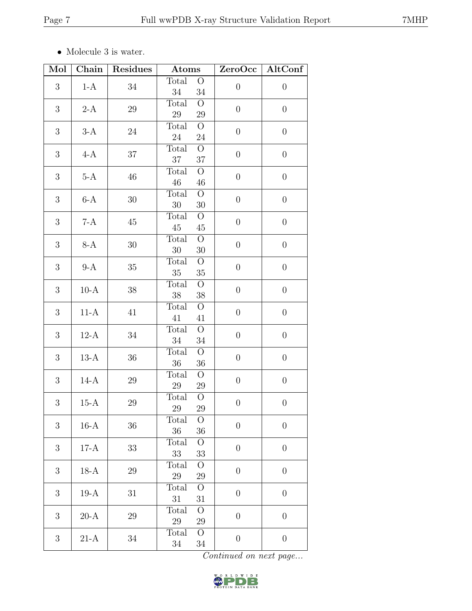$\bullet\,$  Molecule 3 is water.

| Mol              | Chain  | Residues | Atoms                                       | ZeroOcc          | AltConf          |
|------------------|--------|----------|---------------------------------------------|------------------|------------------|
| 3                | $1-A$  | 34       | Total<br>$\overline{O}$<br>34<br>34         | $\theta$         | $\boldsymbol{0}$ |
| $\boldsymbol{3}$ | $2-A$  | $\,29$   | Total<br>$\overline{O}$<br>$\,29$<br>$29\,$ | $\boldsymbol{0}$ | $\boldsymbol{0}$ |
| 3                | $3-A$  | 24       | Total<br>$\overline{O}$<br>$24\,$<br>$24\,$ | $\boldsymbol{0}$ | $\boldsymbol{0}$ |
| 3                | $4-A$  | 37       | $\overline{O}$<br>Total<br>37<br>$37\,$     | $\boldsymbol{0}$ | $\boldsymbol{0}$ |
| 3                | $5-A$  | 46       | $\overline{O}$<br>Total<br>$46\,$<br>$46\,$ | $\theta$         | $\boldsymbol{0}$ |
| 3                | $6-A$  | 30       | Total<br>$\overline{O}$<br>$30\,$<br>30     | $\boldsymbol{0}$ | $\boldsymbol{0}$ |
| 3                | $7-A$  | $45\,$   | Total<br>$\overline{O}$<br>$45\,$<br>45     | $\boldsymbol{0}$ | $\boldsymbol{0}$ |
| 3                | $8-A$  | 30       | $\overline{O}$<br>Total<br>30<br>$30\,$     | $\theta$         | $\boldsymbol{0}$ |
| 3                | $9-A$  | $35\,$   | $\overline{O}$<br>Total<br>$35\,$<br>$35\,$ | $\boldsymbol{0}$ | $\boldsymbol{0}$ |
| 3                | $10-A$ | $38\,$   | Total<br>$\overline{O}$<br>38<br>$38\,$     | $\boldsymbol{0}$ | $\boldsymbol{0}$ |
| $\boldsymbol{3}$ | $11-A$ | 41       | Total<br>$\overline{O}$<br>41<br>41         | $\boldsymbol{0}$ | $\boldsymbol{0}$ |
| 3                | $12-A$ | 34       | $\overline{O}$<br>Total<br>$34\,$<br>$34\,$ | $\boldsymbol{0}$ | $\theta$         |
| 3                | $13-A$ | $36\,$   | Total<br>$\overline{O}$<br>$36\,$<br>$36\,$ | $\boldsymbol{0}$ | $\boldsymbol{0}$ |
| 3                | $14-A$ | $29\,$   | Total<br>$\overline{O}$<br>$29\,$<br>$29\,$ | $\boldsymbol{0}$ | $\boldsymbol{0}$ |
| $\boldsymbol{3}$ | $15-A$ | $29\,$   | Total<br>$\overline{O}$<br>29<br>29         | $\boldsymbol{0}$ | $\boldsymbol{0}$ |
| 3                | $16-A$ | 36       | $\overline{O}$<br>Total<br>36<br>36         | $\theta$         | $\overline{0}$   |
| 3                | $17-A$ | 33       | Total<br>$\overline{O}$<br>33<br>33         | $\boldsymbol{0}$ | $\theta$         |
| 3                | $18-A$ | 29       | Total<br>$\overline{O}$<br>29<br>29         | $\theta$         | $\theta$         |
| $\boldsymbol{3}$ | $19-A$ | 31       | Total<br>$\overline{O}$<br>31<br>31         | $\boldsymbol{0}$ | $\boldsymbol{0}$ |
| 3                | $20-A$ | 29       | $\overline{O}$<br>Total<br>$29\,$<br>29     | $\boldsymbol{0}$ | $\theta$         |
| 3                | $21-A$ | 34       | $\overline{O}$<br>Total<br>34<br>$34\,$     | $\boldsymbol{0}$ | $\theta$         |

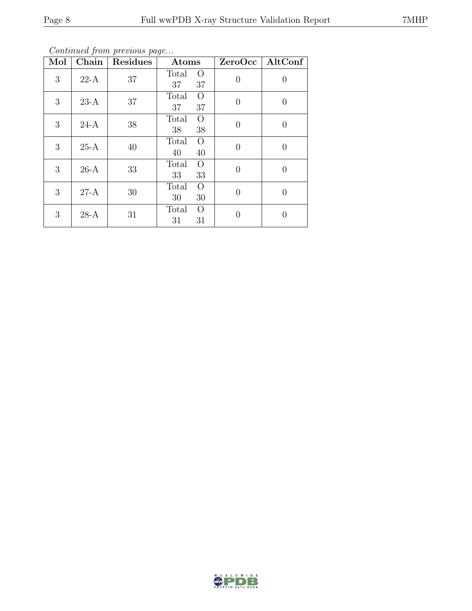Continued from previous page...

| Mol | $\overline{\text{Chain}}$ | Residues | Atoms                         | ZeroOcc  | AltConf          |
|-----|---------------------------|----------|-------------------------------|----------|------------------|
| 3   | $22-A$                    | 37       | Total<br>$\Omega$<br>37<br>37 | $\theta$ | $\left( \right)$ |
| 3   | $23-A$                    | 37       | $\Omega$<br>Total<br>37<br>37 | $\Omega$ | $\left( \right)$ |
| 3   | $24-A$                    | 38       | $\Omega$<br>Total<br>38<br>38 | $\theta$ | 0                |
| 3   | $25-A$                    | 40       | Total<br>$\Omega$<br>40<br>40 | $\theta$ | 0                |
| 3   | $26-A$                    | 33       | Total<br>$\Omega$<br>33<br>33 | $\Omega$ | 0                |
| 3   | $27-A$                    | 30       | Total<br>$\Omega$<br>30<br>30 | 0        | $\left( \right)$ |
| 3   | $28-A$                    | 31       | Total<br>$\Omega$<br>31<br>31 | 0        | $\left( \right)$ |

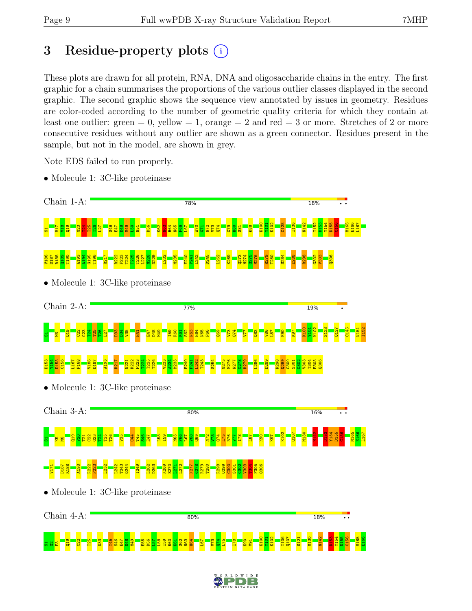## 3 Residue-property plots  $(i)$

These plots are drawn for all protein, RNA, DNA and oligosaccharide chains in the entry. The first graphic for a chain summarises the proportions of the various outlier classes displayed in the second graphic. The second graphic shows the sequence view annotated by issues in geometry. Residues are color-coded according to the number of geometric quality criteria for which they contain at least one outlier: green  $= 0$ , yellow  $= 1$ , orange  $= 2$  and red  $= 3$  or more. Stretches of 2 or more consecutive residues without any outlier are shown as a green connector. Residues present in the sample, but not in the model, are shown in grey.

Note EDS failed to run properly.

• Molecule 1: 3C-like proteinase



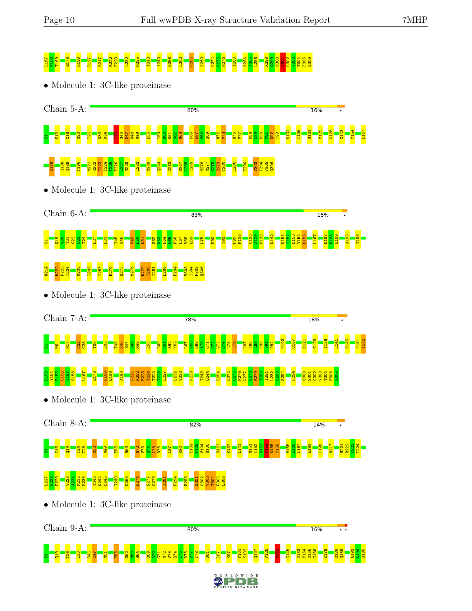# 125 P28 T28 T24 R222 F223 L232 F223 L232 F223 L232 F223 L282 M235 T232 F282 E275 C275 C275 C275 C275 C275 C275<br>C280 F22 E275 L274 E275 C275 L286 E275 E275 C275 E275 C275 C302 C301 G302 C301 G302 C301 G302 C303 C303 C304 C

• Molecule 1: 3C-like proteinase



• Molecule 1: 3C-like proteinase



• Molecule 1: 3C-like proteinase



• Molecule 1: 3C-like proteinase



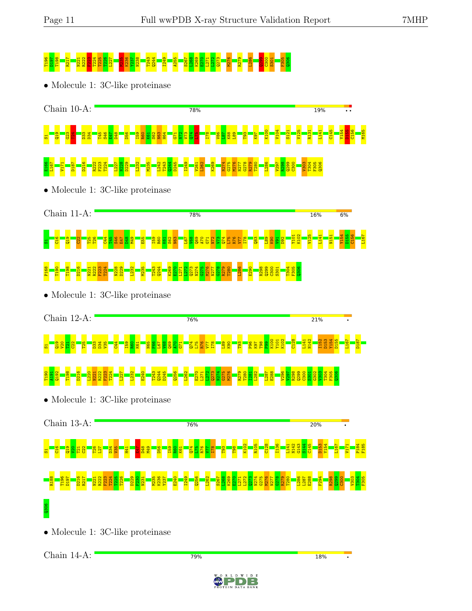# T196 D197 T198 R217 N221 R222 F223 T224 T225 T226 L227 M235 K236 Y237 N238 T243 Q244 I249 A255 S267 L268 K269 E270 L271 L272 Q273 M276 R279 L286 Q299 C300 S301 F305 Q306

• Molecule 1: 3C-like proteinase



• Molecule 1: 3C-like proteinase



• Molecule 1: 3C-like proteinase



• Molecule 1: 3C-like proteinase



• Molecule 1: 3C-like proteinase

Chain 14-A:

79%



**18%**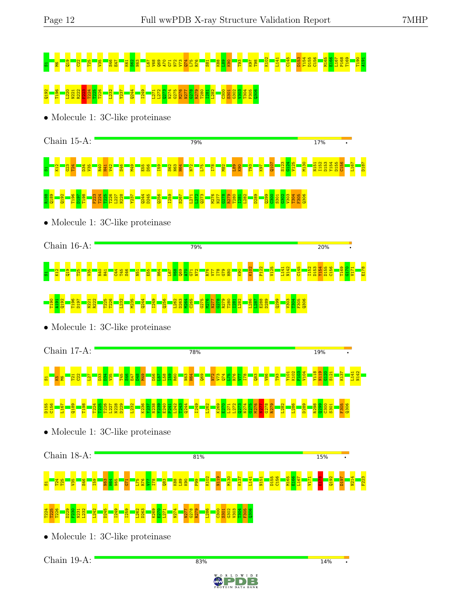# S1M6Q19 C22 T25 V35 S46 E47 K61 S62 N63 L67 V68 Q69 A70 G71 N72 V73 Q74 L75 R76 S81 K88 L89 K90 T93 K97 T98 K102 L141 C145 D153 Y154 D155 C156 M165 E166 L167 P168 T169 T190 A191 Q192 T196 L220 N221 R222 F223 T224 T225 T226 L232 Y237 Q244 I249 L271 L272 Q273 N274 G275 M276 N277 G278 R279 T280 I281 L282 C300 S301 G302 V303 T304 F305 Q306

• Molecule 1: 3C-like proteinase



### R188 Q189 Q192 T196 D197 T198 F223 T224 T225 T226 L227 N228 Y237 Q244 D245 Q256 I259 S267 L271 L272 Q273 M276 N277 G278 R279 T280 I281 L282 D289 Q299  $\frac{8}{2}$ S301  $\frac{302}{2}$ V303 T304 F305 Q306

• Molecule 1: 3C-like proteinase



### T190 A191  $\frac{32}{2}$ T196 D197 N221 R222 T225 T226 L232 M235 Q244 I249 Q256 L262 D263 M264 C265 G275 M276 N277 G278 R279 T280 I281 L282 L286 L287 E288 D289 Q299 V303 T304 F305 Q306

• Molecule 1: 3C-like proteinase

Chain 17-A: 78% 19% K102 F103 V104 Y118 N119  $\frac{120}{1}$ K137 N142 Y101 S121 L141 g <mark>g ha a b</mark>  $\frac{33}{2}$  $\frac{34}{1}$  $\frac{125}{12}$ T45  $\frac{46}{1}$ E47 D48 M49 D56  $\frac{57}{2}$ L58  $\frac{8}{1}$  $\frac{1}{2}$ N63 H64  $\frac{1}{9}$  $\frac{1}{2}$  $\mathbb{Z}^3$  $\frac{1}{2}$ L75  $\frac{1}{2}$  $\Xi$  $\frac{18}{1}$  $\frac{3}{2}$  $\frac{86}{1}$ T93 D155 C156 L167  $\frac{89}{2}$ T198 T224 T225 ន្ត្<mark>រី</mark><br>ក្នុងខ្លួន<br>ក្នុងខ្លួន L232 K236 Y237 N238 Y239 E240 P241 L242 T243 Q244 I249 L262 K269  $\frac{270}{2}$ L271 L272 Q273 N274 G275 M276  $\frac{1}{2}$ G278  $\frac{8}{2}$ L282 L286 D289 R298  $\frac{3}{2}$  $\frac{8}{30}$ S301 F305  $\frac{306}{2}$ • Molecule 1: 3C-like proteinase Chain 18-A: 81% **15%**  $\overline{\cdot}$ K102 N119 M130 K137 L141 N151 D155 C156 M165 E166 L167 V171 E178 Q192 D197 N214 F223 <mark>க - ब्रैं 8 - 8 - 8 -</mark> H64 I59 N63 N65  $51$ L75 R76  $\Xi$  $\frac{18}{1}$  $\frac{3}{2}$ K88  $\frac{189}{2}$  $\frac{8}{18}$ P99 T224 T225 T226 D229  $\frac{50}{2}$ L232 L242 D245 I249 I259 L262 D263 K269  $\frac{270}{2}$ N274 N277 G278 R279 L286  $\frac{80}{2}$  $\frac{302}{2}$  $\frac{1303}{2}$ T304 F305  $\frac{8}{20}$ N231 L271 S301

83%

• Molecule 1: 3C-like proteinase

Chain 19-A:

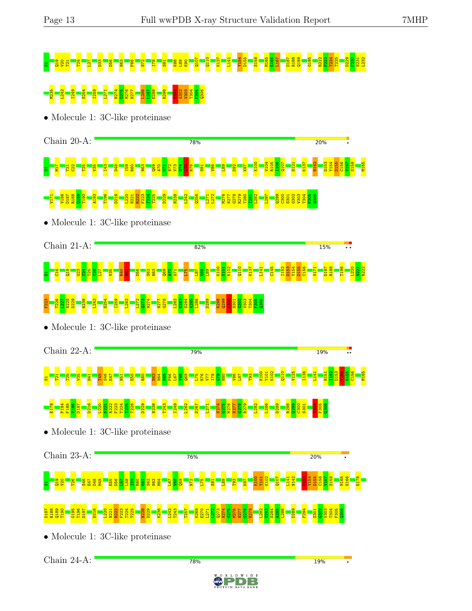# S1Q19 V20 T21 T24 L27 D33 D56 N63 F66 N72 I78 S81 K88 L89 K90 Q107 Q110 K137 L141 Y154 D155 S158 M165 E166 L167 D187 R188 Q189 G195 R222 F223 T224 T225 D229 F230 N231 L232 M235 L242 I249 S254 I259 L271 N274 G275 M276 N277 L286 L287 E288 R298 S301 G302 V303 T304 F305 Q306

• Molecule 1: 3C-like proteinase





• Molecule 1: 3C-like proteinase



### F223 T226 L227 N228 D229 N238 L242 S254 I259 L262 L272 Q273 N274 N277 G278 L282  $\frac{63}{28}$ S284 A285 L286 D289 R298  $\frac{99}{2}$  $\frac{8}{30}$ S301  $\frac{302}{20}$ V303 T304 F305  $\frac{96}{2}$

• Molecule 1: 3C-like proteinase

Chain 22-A: 79% **19%** K100 K102 Q110 V125 I136 I152 D153 Y154 D155 C156 M165 Y101 L141 N151 <mark>요 - 요 - 요 - 요 - 요 -</mark> T45 S46 E47  $\frac{1}{2}$ E55 R60  $\frac{1}{2}$ H64  $\frac{1}{2}$ F66 L67  $\frac{88}{1}$  $\frac{1}{9}$ L75 R76 V77 I78 <u>၉၂</u> H80  $\frac{86}{1}$ L87 T93 E178 P184 F185  $V186$ D187 D216 L220 N221 R222 F223 T224 T225 T226 D229 N238 T243 I249 L262 S267 L271 N274 G275 M276 N277 G278 R279 L282 L286 D289 R298  $\frac{99}{2}$  $\frac{8}{30}$ S301 T304 F305  $\frac{8}{2}$ • Molecule 1: 3C-like proteinase Chain 23-A: 76% **20%** K100 Y101 K102 Q107 L141 N142  $\frac{153}{1}$ Y154 D155 C156 V157 S158 M165 E166 E178 H64 S1Q19 V20 T26 S46 E47 D48 M49  $\frac{55}{2}$ D56  $\frac{57}{2}$  $\frac{188}{1}$  $\frac{8}{1}$  $\frac{1}{2}$ K61 S62 N63 L67  $\frac{8}{5}$  $\frac{1}{9}$  $\frac{1}{2}$  $\frac{175}{2}$  $\frac{1}{8}$  $\frac{189}{2}$ T93 K97 D187 R188 Q189 T190 G195 T196 D197 D216 L220  $\frac{22}{2}$ F223 T224 T225 N228 D229 K236 L242 T243 T257 K269 E270  $\frac{12}{2}$  $\frac{273}{2}$ N274 G275 M276 N277  $\frac{8}{3}$ R279 L282  $\frac{63}{28}$ S284 A285 L286 D289 F294  $\frac{302}{20}$  $\frac{1303}{2}$ T304 F305  $\frac{8}{2}$ N221 L271 S301

78%

• Molecule 1: 3C-like proteinase

Chain 24-A:

**19%**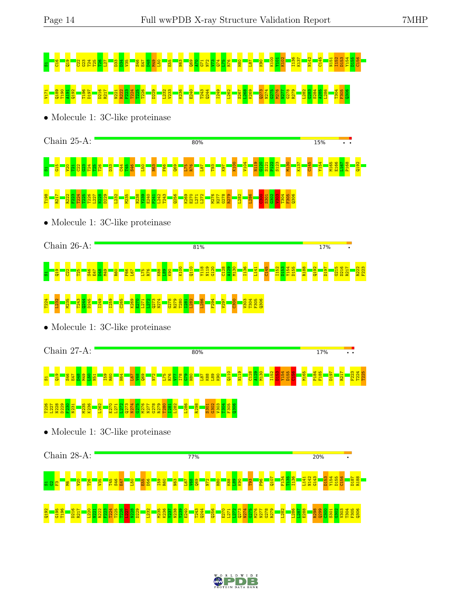# S1C16 <mark>D34 G23 T25 T26 T26 T26 T26 D33 D48 D48 A</mark>70 <mark>D34 D49 L30 D34 D49 L30 D35 O</mark><br>D40 D40 L30 C71 D40 C71 O34 O34 O34 O34 O34 O34 O34 O34 D154 O34 O34 O34 O35 O351 O15 O351 O351 O35 N151 O351 V171 Q189 T190 A191 Q192 T196 D197 D216 R217 N221 R222 F223 T224 T225 T226 D229 L232 V233 K236 E240 T243 Q244 I249 L262 S267 L268 K269 Q273 N274 G275 M276 N277 G278 R279 L282 G283 S284 A285 L286 T304 F305 Q306

• Molecule 1: 3C-like proteinase





• Molecule 1: 3C-like proteinase

Chain 26-A: 81% 17% K100  $\frac{110}{110}$ Y118 N119 G120 C128 A129 M130 I136 L141 C145 I152 D153 Y154 D155 R188  $\frac{292}{2}$ D197 G215 D216 R217 R222 F223 8 <mark>8 8 8 %</mark> E47  $\frac{28}{1}$ M49 R60 F66 L67 L75 R76 K88  $\frac{8}{2}$ K90

### T224  $\frac{123}{2}$ M235 T243 Q244 D245 I249 I259 C265 K269 E270 L271  $\frac{272}{2}$ Q273 N274 G278 R279 T280 I281 L282 L286 F294 V297  $\frac{80}{2}$ V303 T304 F305 Q306

• Molecule 1: 3C-like proteinase

Chain 27-A:  $80%$ **17%** Q110 N119 C128 A129 M130 I152  $\frac{153}{1}$ Y154 D155 C156 M165 P184 F185 D197 R217 F223 T224 T225 S1Q19 S46 E47 D48 M49 L50  $\frac{1}{2}$ I59  $\frac{1}{2}$ H64 L67  $\frac{8}{5}$  $\frac{1}{2}$  $\frac{1}{2}$ L75 R76  $\Xi$ I78 G79  $\frac{1}{18}$ L87  $^{\frac{88}{10}}$ L89  $\frac{8}{2}$ T226 L227 N228 D229 F230 N231 N236<br>K236 L262 E270 L271  $\frac{272}{2}$ Q273 N274 G275 M276 N277 G278 R279 T280 I281 L282 L286 R298 S301  $\frac{62}{3}$ V303 T304 F305  $\frac{8}{2}$ 

• Molecule 1: 3C-like proteinase



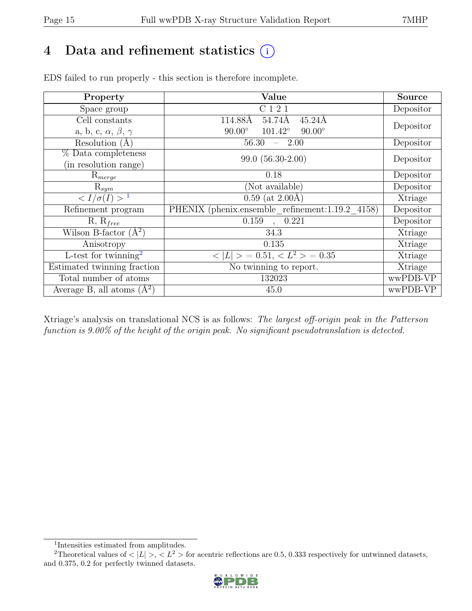## 4 Data and refinement statistics  $(i)$

| Property                               | Value                                              | <b>Source</b> |
|----------------------------------------|----------------------------------------------------|---------------|
| Space group                            | C 1 2 1                                            | Depositor     |
| Cell constants                         | 54.74Å<br>114.88Å<br>$45.24\text{\AA}$             | Depositor     |
| a, b, c, $\alpha$ , $\beta$ , $\gamma$ | $101.42^{\circ}$<br>$90.00^\circ$<br>$90.00^\circ$ |               |
| Resolution $(A)$                       | 56.30<br>2.00                                      | Depositor     |
| % Data completeness                    | $99.0(56.30-2.00)$                                 | Depositor     |
| (in resolution range)                  |                                                    |               |
| $\mathrm{R}_{merge}$                   | 0.18                                               | Depositor     |
| $\mathrm{R}_{sym}$                     | (Not available)                                    | Depositor     |
| $\overline{$ <sup>1</sup>              | $0.59$ (at $2.00\text{\AA}$ )                      | Xtriage       |
| Refinement program                     | PHENIX (phenix.ensemble refinement:1.19.2 4158)    | Depositor     |
| $R, R_{free}$                          | , 0.221<br>0.159                                   | Depositor     |
| Wilson B-factor $(A^2)$                | 34.3                                               | Xtriage       |
| Anisotropy                             | 0.135                                              | Xtriage       |
| L-test for twinning <sup>2</sup>       | $< L >$ = 0.51, $\overline{< L^2>}$ = 0.35         | Xtriage       |
| Estimated twinning fraction            | No twinning to report.                             | Xtriage       |
| Total number of atoms                  | 132023                                             | wwPDB-VP      |
| Average B, all atoms $(A^2)$           | 45.0                                               | wwPDB-VP      |

EDS failed to run properly - this section is therefore incomplete.

Xtriage's analysis on translational NCS is as follows: The largest off-origin peak in the Patterson function is 9.00% of the height of the origin peak. No significant pseudotranslation is detected.

<sup>&</sup>lt;sup>2</sup>Theoretical values of  $\langle |L| \rangle$ ,  $\langle L^2 \rangle$  for acentric reflections are 0.5, 0.333 respectively for untwinned datasets, and 0.375, 0.2 for perfectly twinned datasets.



<span id="page-14-1"></span><span id="page-14-0"></span><sup>1</sup> Intensities estimated from amplitudes.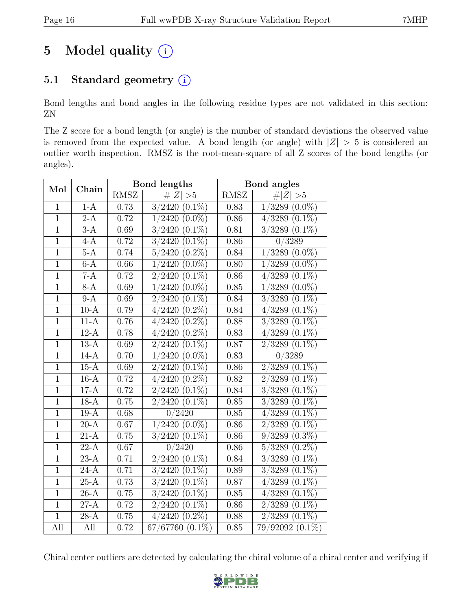## 5 Model quality  $(i)$

### 5.1 Standard geometry  $(i)$

Bond lengths and bond angles in the following residue types are not validated in this section: ZN

The Z score for a bond length (or angle) is the number of standard deviations the observed value is removed from the expected value. A bond length (or angle) with  $|Z| > 5$  is considered an outlier worth inspection. RMSZ is the root-mean-square of all Z scores of the bond lengths (or angles).

| Mol            |                    |             | <b>Bond</b> lengths                          |             | Bond angles                        |
|----------------|--------------------|-------------|----------------------------------------------|-------------|------------------------------------|
|                | Chain              | <b>RMSZ</b> | Z   > 5                                      | <b>RMSZ</b> | $\ Z\  > 5$                        |
| $\mathbf{1}$   | $1-A$              | 0.73        | 3/2420<br>$(0.1\%)$                          | 0.83        | $(0.0\%)$<br>1/3289                |
| $\overline{1}$ | $2-A$              | 0.72        | $(0.0\%)$<br>2420<br>$\mathbf{1}$            | 0.86        | 4/3289<br>$(0.1\%)$                |
| $\overline{1}$ | $3-A$              | 0.69        | $(0.1\%)$<br>3/2420                          | 0.81        | $\overline{3/3289}$ $(0.1\%)$      |
| $\overline{1}$ | $4-A$              | 0.72        | $(0.1\%)$<br>3/2420                          | 0.86        | $\overline{0/3289}$                |
| $\overline{1}$ | $5-A$              | 0.74        | $(0.2\%)$<br>5/2420                          | 0.84        | $(0.0\%)$<br>1/3289                |
| $\overline{1}$ | $6-A$              | 0.66        | $\overline{(0.0\%)}$<br>2420<br>$\mathbf{1}$ | 0.80        | $(0.0\%)$<br>1/3289                |
| $\overline{1}$ | $7-A$              | 0.72        | $(0.1\%)$<br>2/<br>2420                      | 0.86        | $(0.1\%)$<br>4/3289                |
| $\overline{1}$ | $8-A$              | 0.69        | $(0.0\%)$<br>$\mathbf{1}$<br>2420            | 0.85        | $(0.0\%)$<br>1/3289                |
| $\overline{1}$ | $9-A$              | 0.69        | $(0.1\%)$<br>$\overline{2}$<br>2420          | 0.84        | $(0.1\%)$<br>3/3289                |
| $\overline{1}$ | $10-A$             | 0.79        | $(0.2\%)$<br>4/2420                          | 0.84        | $(0.1\%)$<br>4/3289                |
| $\overline{1}$ | $11-A$             | $0.76\,$    | $(0.2\%)$<br>2420<br>$\overline{4}$          | 0.88        | $(0.1\%)$<br>3/3289                |
| $\overline{1}$ | $12-A$             | 0.78        | $(0.2\%)$<br>2420<br>4 <sub>1</sub>          | 0.83        | $(0.1\%)$<br>4/3289                |
| $\overline{1}$ | $13-A$             | 0.69        | $(0.1\%)$<br>2420                            | $0.87\,$    | $(0.1\%)$<br>2/3289                |
| $\overline{1}$ | $14-A$             | 0.70        | $(0.0\%)$<br>$\mathbf{1}$<br>2420            | 0.83        | $\sqrt{0/3289}$                    |
| $\overline{1}$ | $15-A$             | $0.69\,$    | $(0.1\%)$<br>2420<br>$\overline{2}$          | 0.86        | $(0.1\%)$<br>2/3289                |
| $\overline{1}$ | $16-A$             | 0.72        | $(0.2\%)$<br>2420<br>$\overline{4}$          | 0.82        | $\overline{(0.1\%)}$<br>2/3289     |
| $\overline{1}$ | $17-A$             | 0.72        | $(0.1\%)$<br>$\overline{2}$<br>2420          | 0.84        | $(0.1\%)$<br>3/3289                |
| $\mathbf{1}$   | $18-A$             | $0.75\,$    | $(0.1\%)$<br>2/2420                          | $0.85\,$    | $\overline{(0.1\%)}$<br>3/3289     |
| $\overline{1}$ | $19-A$             | 0.68        | $0\sqrt{2420}$                               | 0.85        | $(0.1\%)$<br>4/3289                |
| $\overline{1}$ | $\overline{20-A}$  | 0.67        | $1/2420(0.0\%)$                              | 0.86        | $(0.1\%)$<br>2/3289                |
| $\overline{1}$ | $21-A$             | 0.75        | $(0.1\%)$<br>3/2420                          | 0.86        | $(0.3\%)$<br>9/3289                |
| $\overline{1}$ | $22-A$             | 0.67        | 0/2420                                       | 0.86        | $(0.2\%)$<br>5/3289                |
| $\overline{1}$ | $23-A$             | 0.71        | $(0.1\%)$<br>2420                            | 0.84        | $(0.1\%)$<br>3/3289                |
| $\mathbf{1}$   | $24-A$             | 0.71        | $(0.1\%)$<br>3/2420                          | 0.89        | $(0.1\%)$<br>3/3289                |
| $\overline{1}$ | $25-A$             | 0.73        | $(0.1\%)$<br>3 <sub>l</sub><br>2420          | 0.87        | $\overline{(0.1\%)}$<br>4/3289     |
| $\overline{1}$ | $26-A$             | 0.75        | $(0.1\%)$<br>3<br>$^{\prime}2420$            | 0.85        | $(0.1\%)$<br>$^{\prime}3289$<br>4/ |
| $\mathbf{1}$   | $\overline{27}$ -A | 0.72        | $(0.1\%)$<br>$\overline{2}$<br>2420          | 0.86        | $(0.1\%)$<br>2/3289                |
| $\overline{1}$ | $\overline{2}8-A$  | 0.75        | $\overline{(0.2\%)}$<br>2420<br>4/           | 0.88        | $\overline{0.1\%})$<br>3289        |
| All            | All                | 0.72        | $67/67760$ $(0.1\%)$                         | 0.85        | $79/92092(0.1\%)$                  |

Chiral center outliers are detected by calculating the chiral volume of a chiral center and verifying if

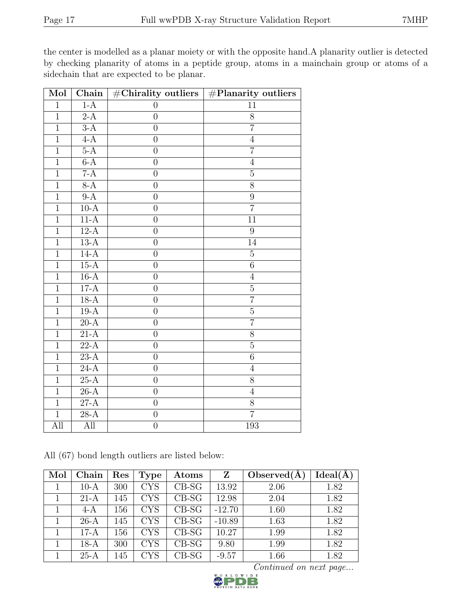the center is modelled as a planar moiety or with the opposite hand.A planarity outlier is detected by checking planarity of atoms in a peptide group, atoms in a mainchain group or atoms of a sidechain that are expected to be planar.

| Mol            | Chain             | $\overline{\text{\#Chirality outliers}}$ | $\overline{\mathbf{H}}$ Planarity outliers |
|----------------|-------------------|------------------------------------------|--------------------------------------------|
| $\mathbf{1}$   | $1-A$             | $\overline{0}$                           | 11                                         |
| $\mathbf{1}$   | $2-A$             | $\boldsymbol{0}$                         | $8\,$                                      |
| $\mathbf{1}$   | $3-A$             | $\overline{0}$                           | $\overline{7}$                             |
| $\overline{1}$ | $4-A$             | $\overline{0}$                           | $\overline{4}$                             |
| $\overline{1}$ | $5-A$             | $\overline{0}$                           | $\overline{7}$                             |
| $\mathbf{1}$   | $6-A$             | $\overline{0}$                           | $\overline{4}$                             |
| $\overline{1}$ | $7-A$             | $\overline{0}$                           | $\overline{5}$                             |
| $\overline{1}$ | $8-A$             | $\overline{0}$                           | 8                                          |
| $\overline{1}$ | $9-A$             | $\overline{0}$                           | $\overline{9}$                             |
| $\overline{1}$ | $10-A$            | $\overline{0}$                           | $\overline{7}$                             |
| $\overline{1}$ | $11-A$            | $\overline{0}$                           | $\overline{11}$                            |
| $\overline{1}$ | $12-A$            | $\overline{0}$                           | $\overline{9}$                             |
| $\overline{1}$ | $13-A$            | $\overline{0}$                           | 14                                         |
| $\overline{1}$ | $14-A$            | $\overline{0}$                           | $\overline{5}$                             |
| $\overline{1}$ | $15-A$            | $\overline{0}$                           | $\overline{6}$                             |
| $\overline{1}$ | $16-A$            | $\overline{0}$                           | $\overline{4}$                             |
| $\overline{1}$ | $17-A$            | $\overline{0}$                           | $\overline{5}$                             |
| $\overline{1}$ | $18-A$            | $\overline{0}$                           | $\overline{7}$                             |
| $\overline{1}$ | $19-A$            | $\overline{0}$                           | $\overline{5}$                             |
| $\mathbf{1}$   | $20-A$            | $\overline{0}$                           | $\overline{7}$                             |
| $\overline{1}$ | $21-A$            | $\overline{0}$                           | $\overline{8}$                             |
| $\mathbf{1}$   | $22-A$            | $\boldsymbol{0}$                         | $\overline{5}$                             |
| $\overline{1}$ | $23-A$            | $\overline{0}$                           | $\overline{6}$                             |
| $\overline{1}$ | $24-A$            | $\overline{0}$                           | $\overline{4}$                             |
| $\overline{1}$ | $25-A$            | $\overline{0}$                           | 8                                          |
| $\overline{1}$ | $26-A$            | $\overline{0}$                           | $\overline{4}$                             |
| $\overline{1}$ | $\overline{27-A}$ | $\overline{0}$                           | $\overline{8}$                             |
| $\overline{1}$ | $28-A$            | $\boldsymbol{0}$                         | $\overline{7}$                             |
| All            | All               | $\boldsymbol{0}$                         | 193                                        |

All (67) bond length outliers are listed below:

| Mol | Chain  | Res | <b>Type</b>       | Atoms   | Z        | Observed $(A)$ | $Ideal(\AA)$ |
|-----|--------|-----|-------------------|---------|----------|----------------|--------------|
|     | $10-A$ | 300 | <b>CYS</b>        | $CB-SG$ | 13.92    | 2.06           | 1.82         |
|     | $21-A$ | 145 | <b>CYS</b>        | $CB-SG$ | 12.98    | 2.04           | 1.82         |
|     | $4-A$  | 156 | <b>CYS</b>        | $CB-SG$ | $-12.70$ | 1.60           | 1.82         |
|     | $26-A$ | 145 | <b>CYS</b>        | $CB-SG$ | $-10.89$ | 1.63           | 1.82         |
|     | $17-A$ | 156 | <b>CYS</b>        | $CB-SG$ | 10.27    | 1.99           | 1.82         |
|     | $18-A$ | 300 | <b>CYS</b>        | $CB-SG$ | 9.80     | 1.99           | 1.82         |
|     | $25-A$ | 145 | $_{\mathrm{CYS}}$ | $CB-SG$ | $-9.57$  | 1.66           | 1.82         |

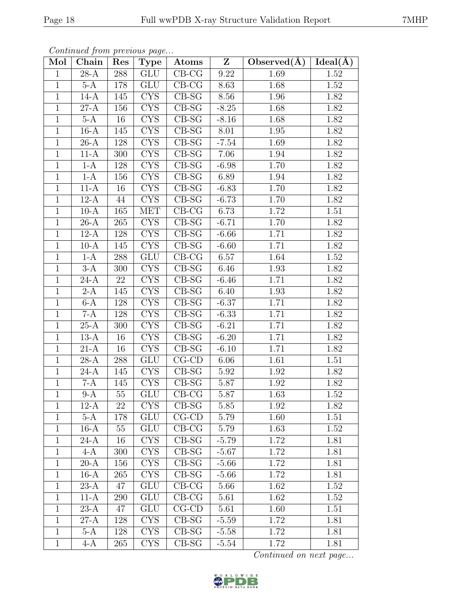| Mol            | s ontentable grown process as pagem<br>Chain | $\operatorname{Res}$ | Type                           | $\boldsymbol{\mathrm{Atoms}}$ | $\mathbf{Z}$ | Observed( $\AA$ ) [Ideal( $\AA$ ) |      |
|----------------|----------------------------------------------|----------------------|--------------------------------|-------------------------------|--------------|-----------------------------------|------|
| $\mathbf{1}$   | $28-A$                                       | 288                  | $\overline{\mathrm{GLU}}$      | $CB-CG$                       | 9.22         | 1.69                              | 1.52 |
| $\mathbf{1}$   | $5-A$                                        | 178                  | <b>GLU</b>                     | $CB-CG$                       | 8.63         | 1.68                              | 1.52 |
| $\mathbf{1}$   | $14-A$                                       | 145                  | CYS                            | $CB-SG$                       | 8.56         | 1.96                              | 1.82 |
| $\mathbf{1}$   | $27-A$                                       | 156                  | $\overline{\text{CYS}}$        | $CB-SG$                       | $-8.25$      | 1.68                              | 1.82 |
| $\mathbf{1}$   | $5-A$                                        | 16                   | <b>CYS</b>                     | $CB-SG$                       | $-8.16$      | 1.68                              | 1.82 |
| $\mathbf{1}$   | $16-A$                                       | 145                  | $\overline{\text{CYS}}$        | $CB-SG$                       | 8.01         | 1.95                              | 1.82 |
| $\mathbf{1}$   | $26-A$                                       | 128                  | <b>CYS</b>                     | $CB-SG$                       | $-7.54$      | 1.69                              | 1.82 |
| $\mathbf{1}$   | $11-A$                                       | 300                  | $\overline{\text{CYS}}$        | $\overline{\text{CB-SG}}$     | 7.06         | 1.94                              | 1.82 |
| $\mathbf{1}$   | $1-A$                                        | 128                  | <b>CYS</b>                     | $CB-SG$                       | $-6.98$      | 1.70                              | 1.82 |
| $\mathbf{1}$   | $1-A$                                        | 156                  | $\overline{\text{CYS}}$        | $CB-SG$                       | 6.89         | 1.94                              | 1.82 |
| $\mathbf{1}$   | $11-A$                                       | 16                   | <b>CYS</b>                     | $CB-SG$                       | $-6.83$      | $\overline{1}.70$                 | 1.82 |
| $\mathbf{1}$   | $12-A$                                       | 44                   | CYS                            | $CB-SG$                       | $-6.73$      | 1.70                              | 1.82 |
| $\mathbf{1}$   | $10-A$                                       | 165                  | <b>MET</b>                     | $CB-CG$                       | 6.73         | 1.72                              | 1.51 |
| $\mathbf{1}$   | $\overline{2}6-A$                            | 265                  | <b>CYS</b>                     | $CB-SG$                       | $-6.71$      | 1.70                              | 1.82 |
| $\mathbf{1}$   | $12-A$                                       | 128                  | $\overline{\text{CYS}}$        | $CB-SG$                       | $-6.66$      | 1.71                              | 1.82 |
| $\mathbf{1}$   | $10-A$                                       | 145                  | <b>CYS</b>                     | $CB-SG$                       | $-6.60$      | 1.71                              | 1.82 |
| $\mathbf{1}$   | $1-A$                                        | 288                  | <b>GLU</b>                     | $CB-CG$                       | 6.57         | 1.64                              | 1.52 |
| $\mathbf{1}$   | $3-A$                                        | 300                  | <b>CYS</b>                     | $CB-SG$                       | 6.46         | 1.93                              | 1.82 |
| $\mathbf{1}$   | $24-A$                                       | 22                   | CYS                            | $CB-SG$                       | $-6.46$      | 1.71                              | 1.82 |
| $\overline{1}$ | $2-A$                                        | 145                  | $\overline{\text{CYS}}$        | $CB-SG$                       | 6.40         | 1.93                              | 1.82 |
| $\mathbf{1}$   | $6-A$                                        | 128                  | <b>CYS</b>                     | $CB-SG$                       | $-6.37$      | 1.71                              | 1.82 |
| $\mathbf{1}$   | $7-A$                                        | 128                  | <b>CYS</b>                     | $CB-SG$                       | $-6.33$      | 1.71                              | 1.82 |
| $\mathbf{1}$   | $25-A$                                       | 300                  | $\overline{\text{CYS}}$        | $CB-SG$                       | $-6.21$      | 1.71                              | 1.82 |
| $\mathbf{1}$   | $13-A$                                       | 16                   | <b>CYS</b>                     | $CB-SG$                       | $-6.20$      | 1.71                              | 1.82 |
| $\mathbf{1}$   | $\overline{21-A}$                            | $\overline{16}$      | CYS                            | $CB-SG$                       | $-6.10$      | 1.71                              | 1.82 |
| $\mathbf{1}$   | $28-A$                                       | 288                  | GLU                            | $CG$ - $CD$                   | 6.06         | 1.61                              | 1.51 |
| $\mathbf{1}$   | $\overline{24-A}$                            | 145                  | $\overline{\text{CYS}}$        | $CB-SG$                       | $5.92\,$     | 1.92                              | 1.82 |
| $\mathbf{1}$   | $7-A$                                        | 145                  | $\overline{\text{C}Y}\text{S}$ | $CB-SG$                       | 5.87         | 1.92                              | 1.82 |
| $\mathbf{1}$   | $9-A$                                        | 55                   | <b>GLU</b>                     | $CB-CG$                       | 5.87         | 1.63                              | 1.52 |
| $\mathbf{1}$   | $12-A$                                       | 22                   | <b>CYS</b>                     | $CB-SG$                       | 5.85         | 1.92                              | 1.82 |
| $\mathbf{1}$   | $5-A$                                        | 178                  | <b>GLU</b>                     | $CG$ - $CD$                   | 5.79         | 1.60                              | 1.51 |
| $\mathbf{1}$   | $16-A$                                       | 55                   | <b>GLU</b>                     | $CB-CG$                       | 5.79         | 1.63                              | 1.52 |
| $\mathbf{1}$   | $24-A$                                       | 16                   | <b>CYS</b>                     | $CB-SG$                       | $-5.79$      | 1.72                              | 1.81 |
| $\mathbf{1}$   | $4-A$                                        | 300                  | <b>CYS</b>                     | $CB-SG$                       | $-5.67$      | 1.72                              | 1.81 |
| $\mathbf{1}$   | $20-A$                                       | 156                  | <b>CYS</b>                     | $CB-SG$                       | $-5.66$      | 1.72                              | 1.81 |
| $\mathbf{1}$   | $16-A$                                       | 265                  | <b>CYS</b>                     | $CB-SG$                       | $-5.66$      | 1.72                              | 1.81 |
| $\mathbf{1}$   | $23-A$                                       | 47                   | <b>GLU</b>                     | $CB-CG$                       | 5.66         | 1.62                              | 1.52 |
| $\mathbf{1}$   | $11-A$                                       | 290                  | <b>GLU</b>                     | $CB-CG$                       | 5.61         | 1.62                              | 1.52 |
| $\mathbf{1}$   | $23-A$                                       | 47                   | <b>GLU</b>                     | $CG$ - $CD$                   | 5.61         | 1.60                              | 1.51 |
| $\mathbf{1}$   | $27-A$                                       | 128                  | <b>CYS</b>                     | $CB-SG$                       | $-5.59$      | 1.72                              | 1.81 |
| $\mathbf{1}$   | $5-A$                                        | 128                  | <b>CYS</b>                     | $CB-SG$                       | $-5.58$      | 1.72                              | 1.81 |
| $\mathbf{1}$   | $4-A$                                        | 265                  | CYS                            | $CB-SG$                       | $-5.54$      | 1.72                              | 1.81 |

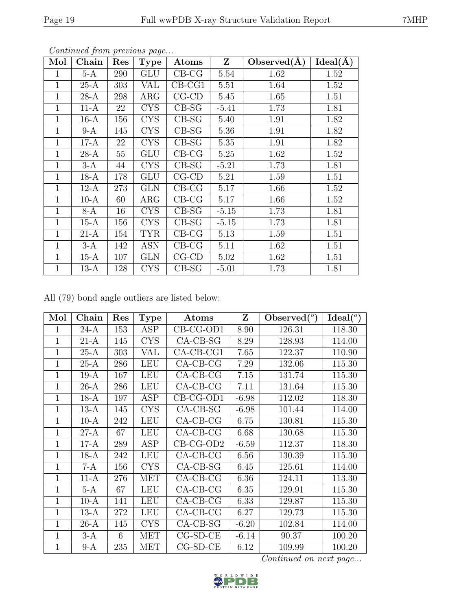| Mol          | Chain  | Res | <b>Type</b> | Atoms          | $\mathbf{Z}$ | Observed(A) | $Ideal(\AA)$ |
|--------------|--------|-----|-------------|----------------|--------------|-------------|--------------|
| 1            | $5-A$  | 290 | <b>GLU</b>  | $CB-CG$        | 5.54         | 1.62        | 1.52         |
| 1            | $25-A$ | 303 | VAL         | $CB-CG1$       | 5.51         | 1.64        | 1.52         |
| $\mathbf{1}$ | $28-A$ | 298 | $\rm{ARG}$  | $CG$ - $CD$    | 5.45         | 1.65        | 1.51         |
| $\mathbf{1}$ | $11-A$ | 22  | <b>CYS</b>  | $CB-SG$        | $-5.41$      | 1.73        | 1.81         |
| 1            | $16-A$ | 156 | <b>CYS</b>  | $CB-SG$        | 5.40         | 1.91        | 1.82         |
| 1            | $9-A$  | 145 | <b>CYS</b>  | $CB-SG$        | 5.36         | 1.91        | 1.82         |
| 1            | $17-A$ | 22  | <b>CYS</b>  | $CB-SG$        | 5.35         | 1.91        | 1.82         |
| 1            | $28-A$ | 55  | <b>GLU</b>  | $CB-CG$        | 5.25         | 1.62        | 1.52         |
| $\mathbf{1}$ | $3-A$  | 44  | <b>CYS</b>  | $CB-SG$        | $-5.21$      | 1.73        | 1.81         |
| 1            | $18-A$ | 178 | GLU         | $CG$ - $CD$    | 5.21         | 1.59        | 1.51         |
| 1            | $12-A$ | 273 | GLN         | $CB-CG$        | 5.17         | 1.66        | 1.52         |
| 1            | $10-A$ | 60  | $\rm{ARG}$  | $CB-CG$        | 5.17         | 1.66        | 1.52         |
| 1            | 8-A    | 16  | <b>CYS</b>  | $\text{CB-SG}$ | $-5.15$      | 1.73        | 1.81         |
| 1            | $15-A$ | 156 | CYS         | $CB-SG$        | $-5.15$      | 1.73        | 1.81         |
| $\mathbf{1}$ | $21-A$ | 154 | TYR         | $CB-CG$        | 5.13         | 1.59        | 1.51         |
| 1            | $3-A$  | 142 | ASN         | $CB-CG$        | 5.11         | 1.62        | 1.51         |
| 1            | $15-A$ | 107 | <b>GLN</b>  | $CG$ - $CD$    | 5.02         | 1.62        | 1.51         |
| 1            | $13-A$ | 128 | CYS         | $\text{CB-SG}$ | $-5.01$      | 1.73        | 1.81         |

All (79) bond angle outliers are listed below:

| Mol            | Chain  | Res | <b>Type</b> | Atoms        | Z       | Observed $(°)$ | $Ideal(^o)$ |
|----------------|--------|-----|-------------|--------------|---------|----------------|-------------|
| 1              | $24-A$ | 153 | ASP         | $CB-CG-OD1$  | 8.90    | 126.31         | 118.30      |
| $\overline{1}$ | $21-A$ | 145 | <b>CYS</b>  | $CA-CB-SG$   | 8.29    | 128.93         | 114.00      |
| $\mathbf 1$    | $25-A$ | 303 | VAL         | $CA$ -CB-CG1 | 7.65    | 122.37         | 110.90      |
| 1              | $25-A$ | 286 | <b>LEU</b>  | $CA-CB-CG$   | 7.29    | 132.06         | 115.30      |
| $\overline{1}$ | $19-A$ | 167 | <b>LEU</b>  | $CA-CB-CG$   | 7.15    | 131.74         | 115.30      |
| 1              | $26-A$ | 286 | <b>LEU</b>  | $CA-CB-CG$   | 7.11    | 131.64         | 115.30      |
| $\mathbf 1$    | $18-A$ | 197 | ASP         | $CB-CG-OD1$  | $-6.98$ | 112.02         | 118.30      |
| 1              | $13-A$ | 145 | <b>CYS</b>  | $CA-CB-SG$   | $-6.98$ | 101.44         | 114.00      |
| $\overline{1}$ | $10-A$ | 242 | <b>LEU</b>  | $CA-CB-CG$   | 6.75    | 130.81         | 115.30      |
| 1              | $27-A$ | 67  | <b>LEU</b>  | $CA-CB-CG$   | 6.68    | 130.68         | 115.30      |
| 1              | $17-A$ | 289 | ASP         | $CB-CG-OD2$  | $-6.59$ | 112.37         | 118.30      |
| 1              | $18-A$ | 242 | LEU         | $CA-CB-CG$   | 6.56    | 130.39         | 115.30      |
| 1              | 7-A    | 156 | <b>CYS</b>  | $CA-CB-SG$   | 6.45    | 125.61         | 114.00      |
| 1              | $11-A$ | 276 | <b>MET</b>  | $CA-CB-CG$   | 6.36    | 124.11         | 113.30      |
| $\overline{1}$ | $5-A$  | 67  | LEU         | $CA$ -CB-CG  | 6.35    | 129.91         | 115.30      |
| $\overline{1}$ | $10-A$ | 141 | <b>LEU</b>  | $CA-CB-CG$   | 6.33    | 129.87         | 115.30      |
| 1              | $13-A$ | 272 | LEU         | $CA$ -CB-CG  | 6.27    | 129.73         | 115.30      |
| 1              | $26-A$ | 145 | <b>CYS</b>  | $CA-CB-SG$   | $-6.20$ | 102.84         | 114.00      |
| $\overline{1}$ | $3-A$  | 6   | <b>MET</b>  | $CG-SD-CE$   | $-6.14$ | 90.37          | 100.20      |
| 1              | $9-A$  | 235 | <b>MET</b>  | $CG-SD-CE$   | 6.12    | 109.99         | 100.20      |

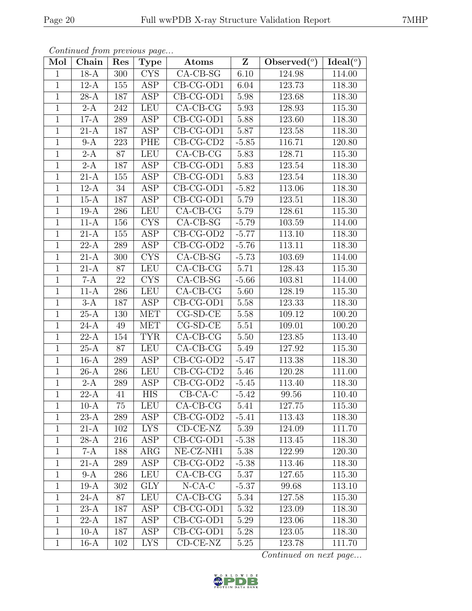|                | Continued from previous page |     |                         |                                |         |                                  |                     |  |  |
|----------------|------------------------------|-----|-------------------------|--------------------------------|---------|----------------------------------|---------------------|--|--|
| Mol            | Chain                        | Res | <b>Type</b>             | Atoms                          | Z       | Observed $\overline{(^{\circ})}$ | Ideal(°)            |  |  |
| $\mathbf{1}$   | $18-A$                       | 300 | <b>CYS</b>              | $CA-CB-SG$                     | 6.10    | 124.98                           | 114.00              |  |  |
| $\mathbf{1}$   | $12-A$                       | 155 | ASP                     | $\overline{\text{CB}}$ -CG-OD1 | 6.04    | 123.73                           | 118.30              |  |  |
| $\mathbf{1}$   | $28-A$                       | 187 | ASP                     | CB-CG-OD1                      | 5.98    | 123.68                           | 118.30              |  |  |
| $\mathbf 1$    | $2-A$                        | 242 | <b>LEU</b>              | $CA-CB-CG$                     | 5.93    | 128.93                           | 115.30              |  |  |
| $\mathbf{1}$   | $17-A$                       | 289 | <b>ASP</b>              | CB-CG-OD1                      | 5.88    | 123.60                           | 118.30              |  |  |
| $\mathbf{1}$   | $21-A$                       | 187 | ASP                     | CB-CG-OD1                      | 5.87    | 123.58                           | 118.30              |  |  |
| $\mathbf{1}$   | $9-A$                        | 223 | PHE                     | $CB-CG-CD2$                    | $-5.85$ | 116.71                           | 120.80              |  |  |
| $\mathbf{1}$   | $2-A$                        | 87  | LEU                     | $CA-CB-CG$                     | 5.83    | 128.71                           | 115.30              |  |  |
| $\mathbf{1}$   | $2-A$                        | 187 | ASP                     | CB-CG-OD1                      | 5.83    | 123.54                           | 118.30              |  |  |
| $\mathbf{1}$   | $21-A$                       | 155 | ASP                     | CB-CG-OD1                      | 5.83    | 123.54                           | 118.30              |  |  |
| $\mathbf{1}$   | $12-A$                       | 34  | ASP                     | $\overline{\text{CB}}$ -CG-OD1 | $-5.82$ | 113.06                           | 118.30              |  |  |
| $\mathbf{1}$   | $15-A$                       | 187 | ASP                     | $CB-CG-OD1$                    | 5.79    | 123.51                           | 118.30              |  |  |
| $\mathbf{1}$   | $19-A$                       | 286 | LEU                     | $CA-CB-CG$                     | 5.79    | 128.61                           | 115.30              |  |  |
| $\mathbf{1}$   | $11-A$                       | 156 | <b>CYS</b>              | $CA-CB-SG$                     | $-5.79$ | 103.59                           | 114.00              |  |  |
| $\mathbf{1}$   | $21-A$                       | 155 | <b>ASP</b>              | $CB-CG-OD2$                    | $-5.77$ | 113.10                           | 118.30              |  |  |
| $\mathbf{1}$   | $22-A$                       | 289 | ASP                     | $CB-CG-OD2$                    | $-5.76$ | 113.11                           | 118.30              |  |  |
| $\overline{1}$ | $21-A$                       | 300 | $\overline{\text{CYS}}$ | $CA-CB-SG$                     | $-5.73$ | 103.69                           | 114.00              |  |  |
| $\mathbf{1}$   | $21-A$                       | 87  | <b>LEU</b>              | $CA-CB-CG$                     | 5.71    | 128.43                           | 115.30              |  |  |
| $\mathbf{1}$   | $7-A$                        | 22  | <b>CYS</b>              | $CA-CB-SG$                     | $-5.66$ | 103.81                           | 114.00              |  |  |
| $\mathbf{1}$   | $11-A$                       | 286 | <b>LEU</b>              | $CA-CB-CG$                     | 5.60    | 128.19                           | 115.30              |  |  |
| $\mathbf{1}$   | $3-A$                        | 187 | ASP                     | CB-CG-OD1                      | 5.58    | 123.33                           | 118.30              |  |  |
| $\overline{1}$ | $25-A$                       | 130 | <b>MET</b>              | $CG-SD-CE$                     | 5.58    | 109.12                           | 100.20              |  |  |
| $\mathbf{1}$   | $24-A$                       | 49  | <b>MET</b>              | $CG-SD-CE$                     | 5.51    | 109.01                           | 100.20              |  |  |
| $\mathbf{1}$   | $22-A$                       | 154 | <b>TYR</b>              | $CA-CB-CG$                     | 5.50    | 123.85                           | 113.40              |  |  |
| $\mathbf{1}$   | $25-A$                       | 87  | <b>LEU</b>              | $CA-CB-CG$                     | 5.49    | 127.92                           | 115.30              |  |  |
| $\mathbf{1}$   | $16-A$                       | 289 | <b>ASP</b>              | $CB-CG-OD2$                    | $-5.47$ | 113.38                           | 118.30              |  |  |
| $\overline{1}$ | $26-A$                       | 286 | <b>LEU</b>              | $CB-CG-CD2$                    | 5.46    | 120.28                           | 111.00              |  |  |
| $\mathbf{1}$   | $2-A$                        | 289 | ASP                     | $CB-CG-OD2$                    | $-5.45$ | 113.40                           | 118.30              |  |  |
| $\perp$        | 22-A                         | 41  | <b>HIS</b>              | $CB-CA-C$                      | $-5.42$ | 99.56                            | $\overline{1}10.40$ |  |  |
| $\mathbf{1}$   | $10-A$                       | 75  | <b>LEU</b>              | $CA$ -CB-CG                    | 5.41    | 127.75                           | 115.30              |  |  |
| $\mathbf{1}$   | $23-A$                       | 289 | ASP                     | $CB-CG-OD2$                    | $-5.41$ | 113.43                           | 118.30              |  |  |
| $\mathbf{1}$   | $21-A$                       | 102 | <b>LYS</b>              | $CD-CE-NZ$                     | 5.39    | 124.09                           | 111.70              |  |  |
| $\mathbf 1$    | 28-A                         | 216 | ASP                     | $CB-CG-OD1$                    | $-5.38$ | 113.45                           | 118.30              |  |  |
| $\mathbf{1}$   | $7-A$                        | 188 | $\rm{ARG}$              | $\overline{\text{NE- CZ-NH1}}$ | 5.38    | 122.99                           | 120.30              |  |  |
| $\mathbf{1}$   | $21-A$                       | 289 | ASP                     | $CB-CG-OD2$                    | $-5.38$ | 113.46                           | 118.30              |  |  |
| $\mathbf{1}$   | $9-A$                        | 286 | <b>LEU</b>              | $CA-CB-CG$                     | 5.37    | 127.65                           | 115.30              |  |  |
| $\mathbf 1$    | $19-A$                       | 302 | <b>GLY</b>              | $N$ -CA-C                      | $-5.37$ | 99.68                            | 113.10              |  |  |
| $\mathbf 1$    | $24-A$                       | 87  | <b>LEU</b>              | $CA-CB-CG$                     | 5.34    | 127.58                           | 115.30              |  |  |
| $\mathbf 1$    | $23-A$                       | 187 | ASP                     | $CB-CG-OD1$                    | 5.32    | 123.09                           | 118.30              |  |  |
| $\mathbf{1}$   | $22-A$                       | 187 | ASP                     | $CB-CG-OD1$                    | 5.29    | 123.06                           | 118.30              |  |  |
| $\mathbf{1}$   | $10-A$                       | 187 | ASP                     | $CB-CG-OD1$                    | 5.28    | 123.05                           | 118.30              |  |  |
| $\mathbf 1$    | $16-A$                       | 102 | <b>LYS</b>              | $CD-CE-NZ$                     | 5.25    | 123.78                           | 111.70              |  |  |

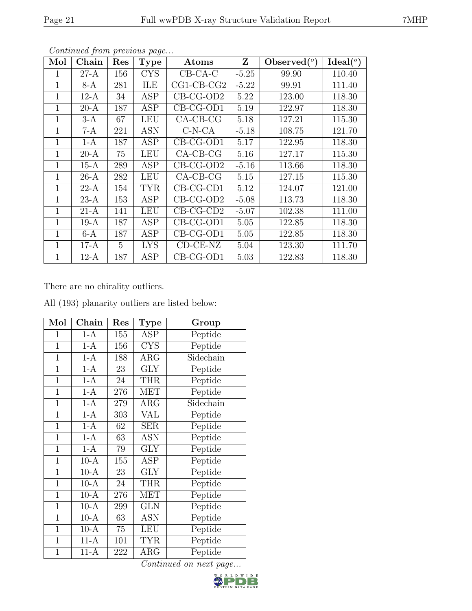| Mol          | Chain  | Res             | <b>Type</b> | Atoms        | Z       | $\text{Observed}({}^o)$ | $Ideal({}^o)$ |
|--------------|--------|-----------------|-------------|--------------|---------|-------------------------|---------------|
| 1            | $27-A$ | 156             | <b>CYS</b>  | $CB-CA-C$    | $-5.25$ | 99.90                   | 110.40        |
| $\mathbf 1$  | $8-A$  | 281             | ILE         | $CG1-CB-CG2$ | $-5.22$ | 99.91                   | 111.40        |
| $\mathbf 1$  | $12-A$ | 34              | <b>ASP</b>  | $CB-CG-OD2$  | 5.22    | 123.00                  | 118.30        |
| 1            | $20-A$ | 187             | ASP         | $CB-CG-OD1$  | 5.19    | 122.97                  | 118.30        |
| $\mathbf 1$  | $3-A$  | 67              | <b>LEU</b>  | $CA-CB-CG$   | 5.18    | 127.21                  | 115.30        |
| 1            | 7-A    | 221             | <b>ASN</b>  | $C-N-CA$     | $-5.18$ | 108.75                  | 121.70        |
| 1            | $1-A$  | 187             | ASP         | $CB-CG-OD1$  | 5.17    | 122.95                  | 118.30        |
| 1            | 20-A   | 75              | LEU         | $CA-CB-CG$   | 5.16    | 127.17                  | 115.30        |
| $\mathbf{1}$ | $15-A$ | 289             | ASP         | $CB-CG-OD2$  | $-5.16$ | 113.66                  | 118.30        |
| $\mathbf 1$  | $26-A$ | 282             | LEU         | $CA-CB-CG$   | 5.15    | 127.15                  | 115.30        |
| $\mathbf{1}$ | 22-A   | 154             | <b>TYR</b>  | $CB-CG-CD1$  | 5.12    | 124.07                  | 121.00        |
| $\mathbf{1}$ | 23-A   | 153             | <b>ASP</b>  | $CB-CG-OD2$  | $-5.08$ | 113.73                  | 118.30        |
| 1            | 21-A   | 141             | <b>LEU</b>  | $CB-CG-CD2$  | $-5.07$ | 102.38                  | 111.00        |
| $\mathbf 1$  | $19-A$ | 187             | <b>ASP</b>  | $CB-CG-OD1$  | 5.05    | 122.85                  | 118.30        |
| 1            | $6-A$  | 187             | ASP         | $CB-CG-OD1$  | 5.05    | 122.85                  | 118.30        |
| 1            | $17-A$ | $5\overline{)}$ | <b>LYS</b>  | $CD-CE-NZ$   | 5.04    | 123.30                  | 111.70        |
| 1            | 12-A   | 187             | ASP         | CB-CG-OD1    | 5.03    | 122.83                  | 118.30        |

There are no chirality outliers.

All (193) planarity outliers are listed below:

| Mol            | Chain             | Res    | <b>Type</b>          | Group     |
|----------------|-------------------|--------|----------------------|-----------|
| 1              | $1-A$             | 155    | ASP                  | Peptide   |
| $\overline{1}$ | $1-A$             | 156    | <b>CYS</b>           | Peptide   |
| $\mathbf{1}$   | $1-A$             | 188    | $\rm{ARG}$           | Sidechain |
| $\overline{1}$ | $1-A$             | 23     | <b>GLY</b>           | Peptide   |
| $\mathbf{1}$   | $1-A$             | $24\,$ | <b>THR</b>           | Peptide   |
| $\mathbf{1}$   | $1-A$             | 276    | <b>MET</b>           | Peptide   |
| $\mathbf{1}$   | $1-A$             | 279    | $\rm{ARG}$           | Sidechain |
| $\mathbf{1}$   | $1-A$             | 303    | VAL                  | Peptide   |
| $\mathbf 1$    | $1-A$             | 62     | <b>SER</b>           | Peptide   |
| $\overline{1}$ | $1-A$             | 63     | $\operatorname{ASN}$ | Peptide   |
| $\overline{1}$ | $1-A$             | 79     | GLY                  | Peptide   |
| $\mathbf{1}$   | $10-\overline{A}$ | 155    | ASP                  | Peptide   |
| $\mathbf{1}$   | $10-A$            | 23     | GLY                  | Peptide   |
| $\mathbf{1}$   | $10-A$            | 24     | <b>THR</b>           | Peptide   |
| $\overline{1}$ | $10-A$            | 276    | <b>MET</b>           | Peptide   |
| $\mathbf{1}$   | $10-A$            | 299    | <b>GLN</b>           | Peptide   |
| $\mathbf{1}$   | $10-A$            | 63     | <b>ASN</b>           | Peptide   |
| $\mathbf{1}$   | $10-A$            | 75     | <b>LEU</b>           | Peptide   |
| $\mathbf{1}$   | $11-A$            | 101    | TYR                  | Peptide   |
| $\overline{1}$ | $11-A$            | 222    | $\rm{ARG}$           | Peptide   |

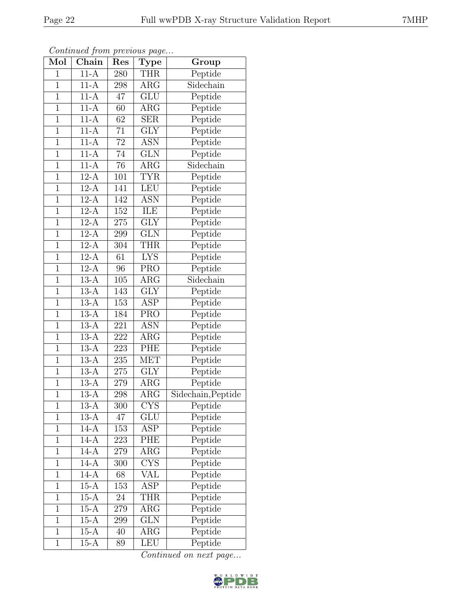| Mol            | $\overline{\text{Chain}}$ | $\sim$<br>Res    | <b>Type</b>             | Group              |
|----------------|---------------------------|------------------|-------------------------|--------------------|
| $\mathbf{1}$   | $11-A$                    | 280              | <b>THR</b>              | Peptide            |
| $\overline{1}$ | $11-A$                    | 298              | $\rm{ARG}$              | Sidechain          |
| $\mathbf{1}$   | $11-\overline{A}$         | 47               | $\overline{\text{GLU}}$ | Peptide            |
| $\mathbf{1}$   | $11-A$                    | 60               | $\rm{ARG}$              | Peptide            |
| $\overline{1}$ | $11-A$                    | 62               | $\overline{\text{SER}}$ | Peptide            |
| $\overline{1}$ | $11-A$                    | 71               | <b>GLY</b>              | Peptide            |
| $\mathbf{1}$   | $11-A$                    | $72\,$           | ASN                     | Peptide            |
| $\overline{1}$ | $11-A$                    | 74               | <b>GLN</b>              | Peptide            |
| $\mathbf{1}$   | $11-A$                    | 76               | ARG                     | Sidechain          |
| $\overline{1}$ | $12-A$                    | $\overline{101}$ | <b>TYR</b>              | Peptide            |
| $\mathbf{1}$   | $12-A$                    | 141              | LEU                     | Peptide            |
| $\mathbf{1}$   | $12-A$                    | 142              | $\overline{\text{ASN}}$ | Peptide            |
| $\mathbf{1}$   | $12-A$                    | 152              | ILE                     | Peptide            |
| $\overline{1}$ | $12-A$                    | $275\,$          | <b>GLY</b>              | Peptide            |
| $\mathbf{1}$   | $12-A$                    | 299              | GLN                     | Peptide            |
| $\mathbf{1}$   | $12-A$                    | 304              | <b>THR</b>              | Peptide            |
| $\overline{1}$ | $12-A$                    | 61               | $\overline{\text{LYS}}$ | Peptide            |
| $\mathbf{1}$   | $12-A$                    | 96               | <b>PRO</b>              | Peptide            |
| $\mathbf{1}$   | $13-A$                    | 105              | $\rm{ARG}$              | Sidechain          |
| $\overline{1}$ | $13-A$                    | 143              | $\overline{\text{GLY}}$ | Peptide            |
| $\mathbf{1}$   | $13-A$                    | 153              | ASP                     | Peptide            |
| $\mathbf{1}$   | $13-A$                    | 184              | PRO                     | Peptide            |
| $\mathbf{1}$   | $13-A$                    | 221              | <b>ASN</b>              | Peptide            |
| $\overline{1}$ | $13-A$                    | 222              | $\rm{ARG}$              | Peptide            |
| $\overline{1}$ | $13-A$                    | 223              | PHE                     | Peptide            |
| $\mathbf{1}$   | $13-A$                    | 235              | <b>MET</b>              | Peptide            |
| $\overline{1}$ | $13-A$                    | $275\,$          | $\overline{\text{GLY}}$ | Peptide            |
| $\mathbf{1}$   | $13-A$                    | 279              | ARG                     | Peptide            |
| $\overline{1}$ | $13-A$                    | 298              | $\rm{ARG}$              | Sidechain, Peptide |
| 1              | 13-A                      | 300              | <b>CYS</b>              | Peptide            |
| $\mathbf{1}$   | $13-A$                    | 47               | GLU                     | Peptide            |
| $\mathbf{1}$   | $14-A$                    | 153              | ASP                     | Peptide            |
| $\mathbf 1$    | $14-A$                    | 223              | PHE                     | Peptide            |
| $\mathbf{1}$   | $14-A$                    | $279\,$          | $\rm{ARG}$              | Peptide            |
| $\mathbf{1}$   | $14-A$                    | 300              | <b>CYS</b>              | Peptide            |
| $\mathbf{1}$   | $14-A$                    | 68               | $\overline{\text{VAL}}$ | Peptide            |
| $\mathbf 1$    | $15-A$                    | 153              | <b>ASP</b>              | Peptide            |
| $\mathbf{1}$   | $15-A$                    | 24               | <b>THR</b>              | Peptide            |
| $\mathbf{1}$   | $15-A$                    | 279              | $\rm{ARG}$              | Peptide            |
| $\mathbf{1}$   | $15-A$                    | 299              | <b>GLN</b>              | Peptide            |
| $\mathbf{1}$   | $15-A$                    | 40               | $\rm{ARG}$              | Peptide            |
| $\mathbf{1}$   | $15-A$                    | 89               | LEU                     | Peptide            |

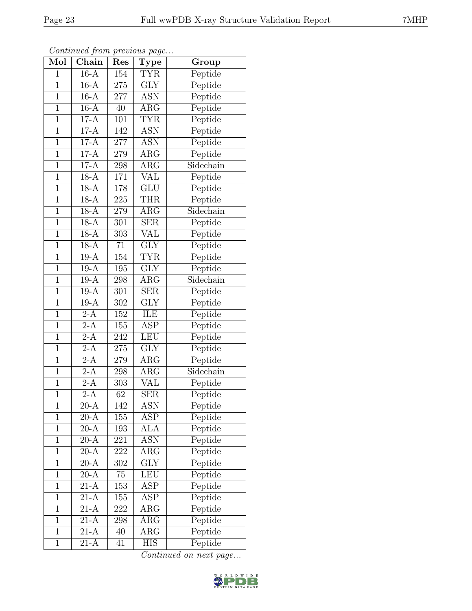|--|

| Mol            | Continuation protions puga<br>$\overline{\text{Chain}}$ | Res     | Type                    | Group                          |
|----------------|---------------------------------------------------------|---------|-------------------------|--------------------------------|
| $\mathbf{1}$   | $16-A$                                                  | 154     | <b>TYR</b>              | Peptide                        |
| $\mathbf{1}$   | $16-A$                                                  | 275     | <b>GLY</b>              | Peptide                        |
| $\overline{1}$ | $16-A$                                                  | 277     | ASN                     | Peptide                        |
| $\mathbf{1}$   | $16-A$                                                  | 40      | $\rm{ARG}$              | Peptide                        |
| $\overline{1}$ | $17-A$                                                  | 101     | <b>TYR</b>              | Peptide                        |
| $\mathbf{1}$   | $17-A$                                                  | 142     | <b>ASN</b>              | Peptide                        |
| $\mathbf{1}$   | $17-A$                                                  | 277     | <b>ASN</b>              | Peptide                        |
| $\overline{1}$ | $17-A$                                                  | $279\,$ | $\rm{ARG}$              | Peptide                        |
| $\mathbf{1}$   | $17-A$                                                  | 298     | $\rm{ARG}$              | $\overline{\text{S}}$ idechain |
| $\mathbf{1}$   | $18-A$                                                  | 171     | $\overline{\text{VAL}}$ | Peptide                        |
| $\mathbf{1}$   | $18-A$                                                  | 178     | <b>GLU</b>              | Peptide                        |
| $\overline{1}$ | $18-A$                                                  | $225\,$ | <b>THR</b>              | Peptide                        |
| $\overline{1}$ | $18-A$                                                  | 279     | $\rm{ARG}$              | Sidechain                      |
| $\mathbf{1}$   | $18-A$                                                  | 301     | <b>SER</b>              | Peptide                        |
| $\mathbf{1}$   | $18-A$                                                  | 303     | VAL                     | Peptide                        |
| $\mathbf{1}$   | $18-A$                                                  | 71      | <b>GLY</b>              | Peptide                        |
| $\overline{1}$ | $19-A$                                                  | 154     | <b>TYR</b>              | Peptide                        |
| $\overline{1}$ | $19-A$                                                  | 195     | <b>GLY</b>              | Peptide                        |
| $\mathbf 1$    | $19-A$                                                  | 298     | $\rm{ARG}$              | Sidechain                      |
| $\mathbf{1}$   | $19-A$                                                  | 301     | <b>SER</b>              | Peptide                        |
| $\overline{1}$ | $19-A$                                                  | 302     | <b>GLY</b>              | Peptide                        |
| $\overline{1}$ | $2-A$                                                   | 152     | <b>ILE</b>              | Peptide                        |
| $\mathbf{1}$   | $2-A$                                                   | 155     | ASP                     | Peptide                        |
| $\mathbf{1}$   | $2-A$                                                   | 242     | <b>LEU</b>              | Peptide                        |
| $\overline{1}$ | $2-A$                                                   | 275     | <b>GLY</b>              | Peptide                        |
| $\mathbf{1}$   | $2-A$                                                   | 279     | $\rm{ARG}$              | Peptide                        |
| $\overline{1}$ | $2-A$                                                   | $\,298$ | $\rm{ARG}$              | Sidechain                      |
| $\mathbf{1}$   | $2-A$                                                   | 303     | VAL                     | Peptide                        |
| $\overline{1}$ | $\overline{2-A}$                                        | 62      | SER                     | Peptide                        |
| $\mathbf 1$    | $20-A$                                                  | 142     | ASN                     | Peptide                        |
| $\mathbf{1}$   | $\overline{20-A}$                                       | 155     | ASP                     | Peptide                        |
| $\mathbf 1$    | $20-A$                                                  | 193     | ALA                     | Peptide                        |
| $\overline{1}$ | $20-A$                                                  | 221     | ASN                     | Peptide                        |
| $\mathbf{1}$   | $20-A$                                                  | 222     | $\rm{ARG}$              | Peptide                        |
| $\mathbf{1}$   | $\overline{20-A}$                                       | 302     | $\overline{\text{GLY}}$ | Peptide                        |
| $\mathbf{1}$   | $20-A$                                                  | 75      | LEU                     | Peptide                        |
| $\overline{1}$ | $21-A$                                                  | 153     | ASP                     | Peptide                        |
| $\mathbf 1$    | $21-A$                                                  | 155     | ASP                     | Peptide                        |
| $\mathbf 1$    | $21-A$                                                  | 222     | $\rm{ARG}$              | Peptide                        |
| $\mathbf{1}$   | $21-A$                                                  | 298     | $\rm{ARG}$              | Peptide                        |
| $\overline{1}$ | $21-A$                                                  | 40      | $\rm{ARG}$              | Peptide                        |
| $\mathbf 1$    | 21-A                                                    | 41      | HIS                     | Peptide                        |

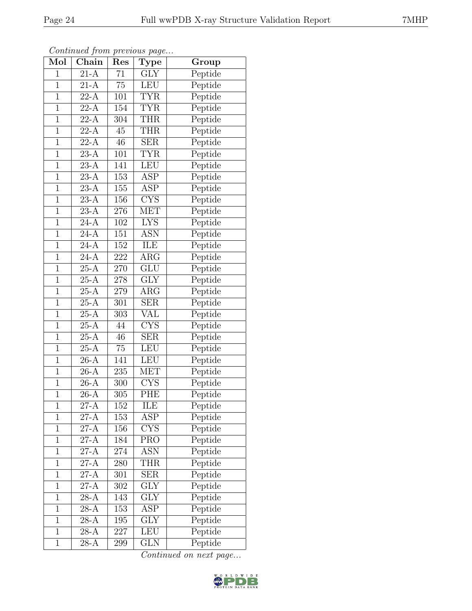|--|

| Mol            | $\overline{\text{Chain}}$ | Res              | <b>Type</b>                    | Group   |
|----------------|---------------------------|------------------|--------------------------------|---------|
| $\mathbf 1$    | $21-A$                    | 71               | $\overline{\text{G}}\text{LY}$ | Peptide |
| $\mathbf{1}$   | $21-A$                    | $75\,$           | <b>LEU</b>                     | Peptide |
| $\mathbf{1}$   | $22-A$                    | 101              | <b>TYR</b>                     | Peptide |
|                | $\overline{22-A}$         |                  |                                |         |
| $\mathbf{1}$   |                           | 154              | <b>TYR</b>                     | Peptide |
| $\overline{1}$ | $22-A$                    | 304              | <b>THR</b>                     | Peptide |
| $\mathbf{1}$   | $22-A$                    | 45               | <b>THR</b>                     | Peptide |
| $\mathbf{1}$   | $22-A$                    | 46               | <b>SER</b>                     | Peptide |
| $\mathbf{1}$   | $23-A$                    | 101              | <b>TYR</b>                     | Peptide |
| $\overline{1}$ | $23-A$                    | <sup>1</sup> 41  | <b>LEU</b>                     | Peptide |
| $\overline{1}$ | $23-A$                    | $\overline{153}$ | $\overline{\text{ASP}}$        | Peptide |
| $\mathbf 1$    | $23-A$                    | 155              | ASP                            | Peptide |
| $\overline{1}$ | $23-A$                    | 156              | $\overline{\text{CYS}}$        | Peptide |
| $\mathbf{1}$   | $23-A$                    | 276              | <b>MET</b>                     | Peptide |
| $\overline{1}$ | $\overline{24-A}$         | 102              | $\overline{\text{LYS}}$        | Peptide |
| $\overline{1}$ | $24-A$                    | 151              | ASN                            | Peptide |
| $\mathbf 1$    | $24-A$                    | 152              | ILE                            | Peptide |
| $\overline{1}$ | $24-A$                    | 222              | $\rm{ARG}$                     | Peptide |
| $\mathbf 1$    | $25-A$                    | $270\,$          | <b>GLU</b>                     | Peptide |
| $\overline{1}$ | $25-A$                    | $278\,$          | GLY                            | Peptide |
| $\mathbf{1}$   | $25-A$                    | 279              | $\rm{ARG}$                     | Peptide |
| $\mathbf{1}$   | $25-A$                    | 301              | <b>SER</b>                     | Peptide |
| $\mathbf{1}$   | $25-A$                    | 303              | $\overline{\text{VAL}}$        | Peptide |
| $\mathbf{1}$   | $25-A$                    | 44               | <b>CYS</b>                     | Peptide |
| $\overline{1}$ | $25-\overline{A}$         | 46               | <b>SER</b>                     | Peptide |
| $\overline{1}$ | $25-A$                    | 75               | <b>LEU</b>                     | Peptide |
| $\mathbf{1}$   | $26-A$                    | 141              | <b>LEU</b>                     | Peptide |
| $\mathbf{1}$   | $26-A$                    | $235\,$          | <b>MET</b>                     | Peptide |
| $\overline{1}$ | $26-A$                    | 300              | <b>CYS</b>                     | Peptide |
| $\overline{1}$ | $\overline{26-A}$         | $\overline{305}$ | <b>PHE</b>                     | Peptide |
| 1              | 27-A                      | 152              | ILE                            | Peptide |
| $\overline{1}$ | $27 - \overline{A}$       | 153              | ASP                            | Peptide |
| $\mathbf{1}$   | $27-A$                    | 156              | $\overline{\text{CYS}}$        | Peptide |
| $\overline{1}$ | $27-A$                    | 184              | <b>PRO</b>                     | Peptide |
| $\mathbf{1}$   | $27-A$                    | 274              | ASN                            | Peptide |
| $\mathbf 1$    | $27-A$                    | 280              | <b>THR</b>                     | Peptide |
| $\mathbf{1}$   | $27-A$                    | 301              | <b>SER</b>                     | Peptide |
| $\mathbf{1}$   | $27-A$                    | 302              | <b>GLY</b>                     | Peptide |
| $\overline{1}$ | $28-A$                    | 143              | <b>GLY</b>                     | Peptide |
| $\mathbf 1$    | $28-A$                    | 153              | $\operatorname{ASP}$           | Peptide |
| $\mathbf{1}$   | $28-A$                    | 195              | <b>GLY</b>                     | Peptide |
| $\mathbf{1}$   | $28-A$                    | 227              | <b>LEU</b>                     | Peptide |
| $\mathbf{1}$   | $28-A$                    | 299              | GLN                            | Peptide |

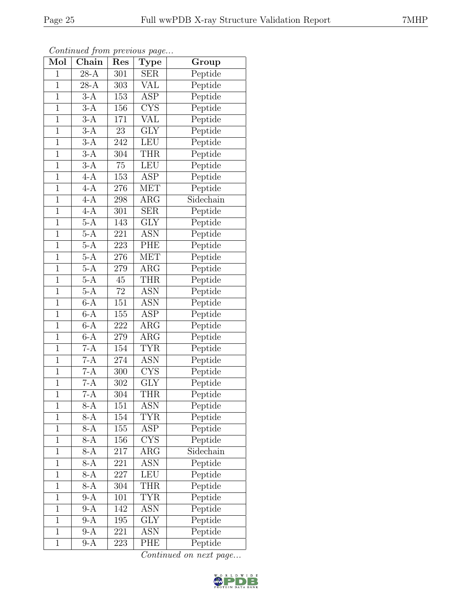|--|

| Mol            | Continuation protions page<br>Chain | Res             | Type                    | Group     |
|----------------|-------------------------------------|-----------------|-------------------------|-----------|
| $\mathbf{1}$   | $28-A$                              | 301             | $\overline{\text{SER}}$ | Peptide   |
| $\overline{1}$ | $28-A$                              | 303             | VAL                     | Peptide   |
| $\mathbf{1}$   | $3-A$                               | 153             | $\operatorname{ASP}$    | Peptide   |
| $\mathbf{1}$   | $3-A$                               | 156             | <b>CYS</b>              | Peptide   |
| $\overline{1}$ | $3-A$                               | 171             | $\overline{\text{VAL}}$ | Peptide   |
| $\mathbf{1}$   | $3-A$                               | 23              | <b>GLY</b>              | Peptide   |
| $\mathbf{1}$   | $3-A$                               | 242             | <b>LEU</b>              | Peptide   |
| $\overline{1}$ | $3-A$                               | 304             | <b>THR</b>              | Peptide   |
| $\mathbf{1}$   |                                     | 75              | <b>LEU</b>              |           |
| $\overline{1}$ | $3-A$<br>$4-A$                      |                 |                         | Peptide   |
|                |                                     | 153             | $\overline{\text{ASP}}$ | Peptide   |
| $\mathbf{1}$   | $4-A$                               | 276             | <b>MET</b>              | Peptide   |
| $\overline{1}$ | $4-A$                               | 298             | $\rm{ARG}$              | Sidechain |
| $\overline{1}$ | $4-A$                               | 301             | <b>SER</b>              | Peptide   |
| $\overline{1}$ | $\overline{5-A}$                    | 143             | <b>GLY</b>              | Peptide   |
| $\mathbf{1}$   | $5-A$                               | 221             | <b>ASN</b>              | Peptide   |
| $\overline{1}$ | $5-A$                               | 223             | PHE                     | Peptide   |
| $\overline{1}$ | $5-A$                               | 276             | <b>MET</b>              | Peptide   |
| $\mathbf 1$    | $5-A$                               | 279             | $\rm{ARG}$              | Peptide   |
| $\overline{1}$ | $5-A$                               | 45              | <b>THR</b>              | Peptide   |
| $\overline{1}$ | $5-A$                               | $\overline{72}$ | <b>ASN</b>              | Peptide   |
| $\overline{1}$ | $6-A$                               | 151             | <b>ASN</b>              | Peptide   |
| $\overline{1}$ | $6-A$                               | 155             | $\operatorname{ASP}$    | Peptide   |
| $\mathbf{1}$   | $6-A$                               | 222             | $\rm{ARG}$              | Peptide   |
| $\mathbf{1}$   | $6-A$                               | 279             | $\rm{ARG}$              | Peptide   |
| $\overline{1}$ | $7-A$                               | 154             | <b>TYR</b>              | Peptide   |
| $\mathbf{1}$   | $7-A$                               | 274             | <b>ASN</b>              | Peptide   |
| $\overline{1}$ | $7-A$                               | 300             | $\overline{\text{CYS}}$ | Peptide   |
| $\mathbf{1}$   | $7-A$                               | 302             | <b>GLY</b>              | Peptide   |
| $\overline{1}$ | $7-A$                               | 304             | <b>THR</b>              | Peptide   |
| $\mathbf 1$    | $8-A$                               | 151             | <b>ASN</b>              | Peptide   |
| $\mathbf{1}$   | $8-A$                               | 154             | <b>TYR</b>              | Peptide   |
| $\mathbf{1}$   | $8-A$                               | 155             | $\overline{\text{ASP}}$ | Peptide   |
| $\overline{1}$ | $8-A$                               | 156             | <b>CYS</b>              | Peptide   |
| $\mathbf{1}$   | $8-A$                               | 217             | $\rm{ARG}$              | Sidechain |
| $\overline{1}$ | $8-A$                               | 221             | <b>ASN</b>              | Peptide   |
| $\mathbf{1}$   | $8-A$                               | 227             | LEU                     | Peptide   |
| $\overline{1}$ | $8-A$                               | 304             | <b>THR</b>              | Peptide   |
| $\mathbf{1}$   | $9-A$                               | 101             | <b>TYR</b>              | Peptide   |
| $\mathbf{1}$   | $9-A$                               | 142             | ASN                     | Peptide   |
| $\overline{1}$ | $9-A$                               | 195             | GLY                     | Peptide   |
| $\overline{1}$ | $9-A$                               | 221             | $A\overline{SN}$        | Peptide   |
| $\mathbf{1}$   | $9-A$                               | 223             | PHE                     | Peptide   |

Continued from previous page.

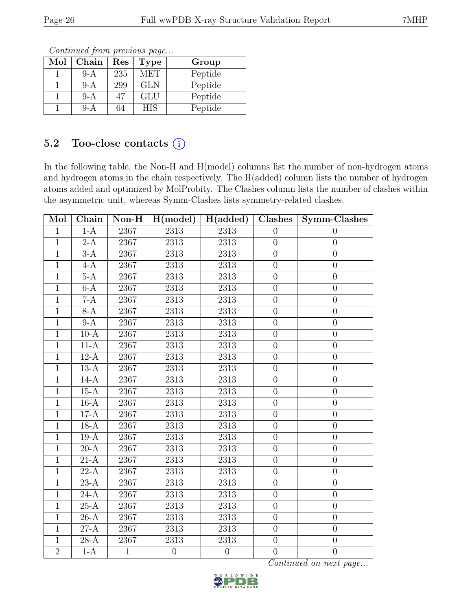| Mol | Chain | $\operatorname{Res}% \left( \mathcal{N}\right) \equiv\operatorname{Res}(\mathcal{N}_{0},\mathcal{N}_{0})$ | <b>Type</b> | Group   |  |  |  |  |  |
|-----|-------|-----------------------------------------------------------------------------------------------------------|-------------|---------|--|--|--|--|--|
|     | $9-A$ | 235                                                                                                       | <b>MET</b>  | Peptide |  |  |  |  |  |
|     | $9-A$ | 299                                                                                                       | <b>GLN</b>  | Peptide |  |  |  |  |  |
|     | 9-A   | 47                                                                                                        | GLU         | Peptide |  |  |  |  |  |
|     | $9-A$ | 64                                                                                                        | <b>HIS</b>  | Peptide |  |  |  |  |  |

### 5.2 Too-close contacts  $(i)$

In the following table, the Non-H and H(model) columns list the number of non-hydrogen atoms and hydrogen atoms in the chain respectively. The H(added) column lists the number of hydrogen atoms added and optimized by MolProbity. The Clashes column lists the number of clashes within the asymmetric unit, whereas Symm-Clashes lists symmetry-related clashes.

| Mol            | Chain             | $Non-H$      | H (model)         | $\vert$ H(added)  | Clashes          | Symm-Clashes     |
|----------------|-------------------|--------------|-------------------|-------------------|------------------|------------------|
| $\mathbf{1}$   | $1-A$             | 2367         | 2313              | 2313              | $\theta$         | $\theta$         |
| $\mathbf{1}$   | $2-A$             | 2367         | <b>2313</b>       | 2313              | $\overline{0}$   | $\boldsymbol{0}$ |
| $\mathbf{1}$   | $3-A$             | 2367         | 2313              | 2313              | $\overline{0}$   | $\boldsymbol{0}$ |
| $\mathbf{1}$   | $4-A$             | 2367         | $2313\,$          | $2313\,$          | $\theta$         | $\boldsymbol{0}$ |
| $\overline{1}$ | $5-A$             | 2367         | 2313              | 2313              | $\theta$         | $\boldsymbol{0}$ |
| $\mathbf{1}$   | $6-A$             | 2367         | 2313              | 2313              | $\boldsymbol{0}$ | $\overline{0}$   |
| $\overline{1}$ | $7-A$             | 2367         | $\overline{2313}$ | 2313              | $\overline{0}$   | $\boldsymbol{0}$ |
| $\mathbf{1}$   | $8-A$             | 2367         | 2313              | 2313              | $\overline{0}$   | $\overline{0}$   |
| $\overline{1}$ | $9-A$             | 2367         | 2313              | 2313              | $\overline{0}$   | $\overline{0}$   |
| $\mathbf{1}$   | $10-A$            | 2367         | 2313              | 2313              | $\overline{0}$   | $\boldsymbol{0}$ |
| $\mathbf{1}$   | $11-A$            | 2367         | 2313              | 2313              | $\overline{0}$   | $\boldsymbol{0}$ |
| $\overline{1}$ | $12-A$            | 2367         | 2313              | 2313              | $\overline{0}$   | $\overline{0}$   |
| $\mathbf{1}$   | $13-A$            | 2367         | 2313              | 2313              | $\overline{0}$   | $\overline{0}$   |
| $\overline{1}$ | $14-A$            | 2367         | 2313              | 2313              | $\overline{0}$   | $\boldsymbol{0}$ |
| $\mathbf{1}$   | $15-A$            | 2367         | 2313              | 2313              | $\overline{0}$   | $\overline{0}$   |
| $\mathbf{1}$   | $16-A$            | 2367         | 2313              | 2313              | $\boldsymbol{0}$ | $\boldsymbol{0}$ |
| $\mathbf{1}$   | $17-A$            | 2367         | 2313              | 2313              | $\overline{0}$   | $\overline{0}$   |
| $\mathbf{1}$   | $18-A$            | 2367         | 2313              | 2313              | $\theta$         | $\boldsymbol{0}$ |
| $\mathbf{1}$   | $19-A$            | 2367         | 2313              | 2313              | $\overline{0}$   | $\overline{0}$   |
| $\mathbf{1}$   | $20-A$            | 2367         | 2313              | 2313              | $\overline{0}$   | $\overline{0}$   |
| $\overline{1}$ | $\overline{21-A}$ | 2367         | 2313              | 2313              | $\overline{0}$   | $\overline{0}$   |
| $\overline{1}$ | $\overline{22-A}$ | 2367         | 2313              | 2313              | $\overline{0}$   | $\overline{0}$   |
| $\mathbf{1}$   | $23-A$            | 2367         | 2313              | 2313              | $\overline{0}$   | $\overline{0}$   |
| $\overline{1}$ | $\overline{24-A}$ | 2367         | 2313              | 2313              | $\overline{0}$   | $\overline{0}$   |
| $\mathbf{1}$   | $25-A$            | 2367         | 2313              | 2313              | $\overline{0}$   | $\overline{0}$   |
| $\overline{1}$ | $\overline{26-A}$ | 2367         | $\overline{2313}$ | $\overline{2313}$ | $\overline{0}$   | $\overline{0}$   |
| $\mathbf{1}$   | $27-A$            | 2367         | 2313              | 2313              | $\overline{0}$   | $\overline{0}$   |
| $\mathbf{1}$   | $28-A$            | 2367         | 2313              | 2313              | $\overline{0}$   | $\overline{0}$   |
| $\overline{2}$ | $1-A$             | $\mathbf{1}$ | $\overline{0}$    | $\overline{0}$    | $\overline{0}$   | $\overline{0}$   |

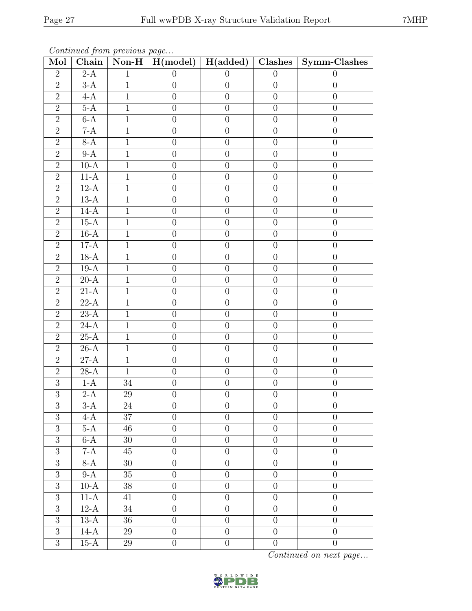| Mol                              | Chain                  | Continued from previous page |                                  | Non-H   $H(model)$   $H(added)$   Clashes |                                  | Symm-Clashes                     |
|----------------------------------|------------------------|------------------------------|----------------------------------|-------------------------------------------|----------------------------------|----------------------------------|
| $\overline{2}$                   | $2-A$                  | $\mathbf{1}$                 | $\overline{0}$                   | $\overline{0}$                            | $\theta$                         | $\theta$                         |
| $\overline{2}$                   | $3-A$                  | $\mathbf{1}$                 | $\overline{0}$                   | $\theta$                                  | $\overline{0}$                   | $\theta$                         |
| $\overline{2}$                   | $4-A$                  | $\mathbf{1}$                 | $\boldsymbol{0}$                 | $\boldsymbol{0}$                          | $\theta$                         | $\theta$                         |
| $\overline{2}$                   | $5-A$                  | $\mathbf{1}$                 | $\theta$                         | $\boldsymbol{0}$                          | $\theta$                         | $\theta$                         |
| $\overline{2}$                   | $6-A$                  | $\overline{1}$               | $\overline{0}$                   | $\overline{0}$                            | $\overline{0}$                   | $\overline{0}$                   |
| $\sqrt{2}$                       | $7-A$                  | $\mathbf{1}$                 | $\boldsymbol{0}$                 | $\boldsymbol{0}$                          | $\theta$                         | $\theta$                         |
| $\overline{2}$                   | $8-A$                  | $\mathbf{1}$                 | $\boldsymbol{0}$                 | $\boldsymbol{0}$                          | $\overline{0}$                   | $\overline{0}$                   |
| $\overline{2}$                   | $9-A$                  | $\mathbf{1}$                 | $\theta$                         | $\boldsymbol{0}$                          | $\overline{0}$                   | $\overline{0}$                   |
| $\overline{2}$                   | $10-A$                 | $\mathbf{1}$                 | $\boldsymbol{0}$                 | $\boldsymbol{0}$                          | $\overline{0}$                   | $\overline{0}$                   |
| $\overline{2}$                   | $11-A$                 | $\mathbf{1}$                 | $\theta$                         | $\boldsymbol{0}$                          | $\overline{0}$                   | $\theta$                         |
| $\overline{2}$                   | $12-A$                 | $\mathbf{1}$                 | $\boldsymbol{0}$                 | $\boldsymbol{0}$                          | $\overline{0}$                   | $\theta$                         |
| $\overline{2}$                   | $13-A$                 | $\mathbf{1}$                 | $\overline{0}$                   | $\boldsymbol{0}$                          | $\overline{0}$                   | $\theta$                         |
| $\overline{2}$                   | $14-A$                 | $\overline{1}$               | $\boldsymbol{0}$                 | $\overline{0}$                            | $\overline{0}$                   | $\overline{0}$                   |
| $\overline{2}$                   | $15-A$                 | $\mathbf{1}$                 | $\overline{0}$                   | $\boldsymbol{0}$                          | $\overline{0}$                   | $\overline{0}$                   |
| $\overline{2}$                   | $16-A$                 | $\mathbf{1}$                 | $\overline{0}$                   | $\boldsymbol{0}$                          | $\overline{0}$                   | $\overline{0}$                   |
| $\overline{2}$                   | $17-A$                 | $\mathbf{1}$                 | $\overline{0}$                   | $\boldsymbol{0}$                          | $\theta$                         | $\overline{0}$                   |
| $\overline{2}$                   | $18-A$                 | $\mathbf{1}$                 | $\boldsymbol{0}$                 | $\boldsymbol{0}$                          | $\overline{0}$                   | $\theta$                         |
| $\overline{2}$                   | $19-A$                 | $\mathbf{1}$                 | $\overline{0}$                   | $\boldsymbol{0}$                          | $\overline{0}$                   | $\overline{0}$                   |
| $\overline{2}$                   | $20-A$                 | $\mathbf{1}$                 | $\overline{0}$                   | $\boldsymbol{0}$                          | $\overline{0}$                   | $\overline{0}$                   |
| $\overline{2}$                   | $21-A$                 | $\mathbf{1}$                 | $\overline{0}$                   | $\boldsymbol{0}$                          | $\overline{0}$                   | $\overline{0}$                   |
| $\overline{2}$                   | $22-A$                 | $\mathbf{1}$                 | $\overline{0}$                   | $\boldsymbol{0}$                          | $\overline{0}$                   | $\overline{0}$                   |
| $\overline{2}$                   | $23-A$                 | $\overline{1}$               | $\boldsymbol{0}$                 | $\boldsymbol{0}$                          | $\overline{0}$                   | $\overline{0}$                   |
| $\overline{2}$                   | $24-A$                 | $\mathbf{1}$                 | $\theta$                         | $\boldsymbol{0}$                          | $\theta$                         | $\overline{0}$                   |
| $\overline{2}$                   | $25-A$                 | $\overline{1}$               | $\overline{0}$                   | $\overline{0}$                            | $\overline{0}$                   | $\overline{0}$                   |
| $\overline{2}$                   | $26-A$                 | $\mathbf{1}$                 | $\boldsymbol{0}$                 | $\boldsymbol{0}$                          | $\overline{0}$                   | $\theta$                         |
| $\overline{2}$                   | $27 - \overline{A}$    | $\mathbf{1}$                 | $\theta$                         | $\overline{0}$                            | $\overline{0}$                   | $\overline{0}$                   |
| $\overline{2}$                   | $28-A$                 | $\mathbf{1}$                 | $\theta$                         | $\boldsymbol{0}$                          | $\theta$                         | $\overline{0}$                   |
| $\overline{3}$                   | $1-A$                  | 34                           | $\boldsymbol{0}$                 | $\boldsymbol{0}$                          | $\overline{0}$                   | $\boldsymbol{0}$                 |
| $\overline{3}$                   | $2-A$                  | $\overline{29}$              | $\overline{0}$                   | $\boldsymbol{0}$                          | $\overline{0}$                   | $\overline{0}$                   |
| 3                                | $3-A$                  | 24                           | $\overline{0}$                   | $\overline{0}$                            | $\overline{0}$                   | $\overline{0}$                   |
| $\overline{3}$                   | $4-A$                  | 37                           | $\overline{0}$                   | $\boldsymbol{0}$                          | $\overline{0}$                   | $\theta$                         |
| $\overline{3}$                   | $5-A$                  | 46                           | $\overline{0}$                   | $\boldsymbol{0}$                          | $\overline{0}$                   | $\overline{0}$                   |
| $\overline{3}$                   | $6-A$                  | 30                           | $\overline{0}$                   | $\boldsymbol{0}$                          | $\overline{0}$                   | $\overline{0}$                   |
| $\overline{3}$                   | $7 - \overline{A}$     | 45                           | $\overline{0}$                   | $\overline{0}$                            | $\overline{0}$                   | $\overline{0}$                   |
| $\overline{3}$                   | 8-A                    | $30\,$                       | $\boldsymbol{0}$                 | $\boldsymbol{0}$                          | $\overline{0}$                   | $\overline{0}$                   |
| $\overline{3}$<br>$\overline{3}$ | $9-A$                  | $\overline{35}$              | $\overline{0}$                   | $\overline{0}$                            | $\overline{0}$                   | $\overline{0}$                   |
| $\overline{3}$                   | $10-A$                 | 38<br>41                     | $\overline{0}$                   | $\boldsymbol{0}$                          | $\overline{0}$                   | $\overline{0}$                   |
| $\overline{3}$                   | $11-A$<br>$12-A$       |                              | $\overline{0}$<br>$\overline{0}$ | $\overline{0}$<br>$\overline{0}$          | $\overline{0}$<br>$\overline{0}$ | $\overline{0}$<br>$\overline{0}$ |
| $\sqrt{3}$                       | $13-A$                 | $34\,$<br>36                 | $\boldsymbol{0}$                 | $\boldsymbol{0}$                          | $\overline{0}$                   | $\overline{0}$                   |
| $\overline{3}$                   | $14-A$                 | 29                           | $\boldsymbol{0}$                 | $\boldsymbol{0}$                          | $\boldsymbol{0}$                 | $\theta$                         |
| $\overline{3}$                   |                        |                              |                                  |                                           |                                  |                                  |
|                                  | $15\mbox{-}\mathrm{A}$ | 29                           | $\boldsymbol{0}$                 | $\boldsymbol{0}$                          | $\boldsymbol{0}$                 | $\theta$                         |

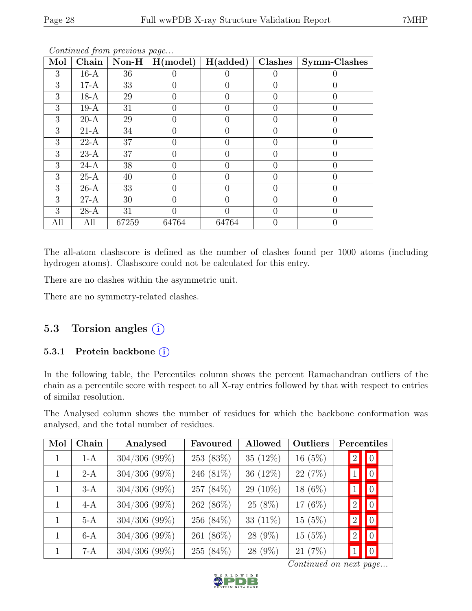| Mol | Chain  |       | Non-H $\mid$ H(model) | H(added)         | Clashes | Symm-Clashes |
|-----|--------|-------|-----------------------|------------------|---------|--------------|
| 3   | $16-A$ | 36    |                       |                  |         |              |
| 3   | $17-A$ | 33    |                       | $\left( \right)$ |         |              |
| 3   | $18-A$ | 29    | 0                     | 0                | 0       |              |
| 3   | $19-A$ | 31    |                       |                  |         |              |
| 3   | $20-A$ | 29    | $\mathbf{0}$          | $\left( \right)$ |         |              |
| 3   | $21-A$ | 34    |                       |                  |         |              |
| 3   | $22-A$ | 37    |                       | 0                |         |              |
| 3   | $23-A$ | 37    |                       | $\left( \right)$ |         |              |
| 3   | $24-A$ | 38    |                       | 0                |         |              |
| 3   | $25-A$ | 40    | $\Omega$              | $\Omega$         | 0       |              |
| 3   | $26-A$ | 33    |                       |                  |         |              |
| 3   | $27-A$ | 30    | 0                     | 0                |         |              |
| 3   | $28-A$ | 31    |                       |                  |         |              |
| All | All    | 67259 | 64764                 | 64764            |         |              |

The all-atom clashscore is defined as the number of clashes found per 1000 atoms (including hydrogen atoms). Clashscore could not be calculated for this entry.

There are no clashes within the asymmetric unit.

There are no symmetry-related clashes.

### 5.3 Torsion angles (i)

### 5.3.1 Protein backbone (i)

In the following table, the Percentiles column shows the percent Ramachandran outliers of the chain as a percentile score with respect to all X-ray entries followed by that with respect to entries of similar resolution.

The Analysed column shows the number of residues for which the backbone conformation was analysed, and the total number of residues.

| Mol | Chain | Analysed        | Favoured     | Allowed     | Outliers  | Percentiles                     |
|-----|-------|-----------------|--------------|-------------|-----------|---------------------------------|
|     | $1-A$ | $304/306$ (99%) | 253 (83%)    | 35 $(12\%)$ | $16(5\%)$ | $\boxed{0}$<br>$\left 2\right $ |
|     | $2-A$ | $304/306$ (99%) | 246 (81%)    | 36 $(12\%)$ | 22(7%)    | $\boxed{0}$                     |
|     | $3-A$ | $304/306$ (99%) | 257 (84%)    | $29(10\%)$  | 18 (6%)   | $\boxed{0}$                     |
|     | $4-A$ | $304/306$ (99%) | 262 (86%)    | $25(8\%)$   | 17 (6%)   | $\boxed{0}$<br>$\left 2\right $ |
|     | $5-A$ | $304/306$ (99%) | 256 $(84\%)$ | 33 $(11\%)$ | 15(5%)    | $\boxed{0}$<br>$\left 2\right $ |
|     | $6-A$ | $304/306$ (99%) | 261 (86%)    | $28(9\%)$   | 15(5%)    | $\boxed{0}$<br>$\overline{2}$   |
|     | 7-A   | $304/306$ (99%) | 255 (84%)    | 28 (9%)     | 21(7%)    | $\vert 0 \vert$                 |

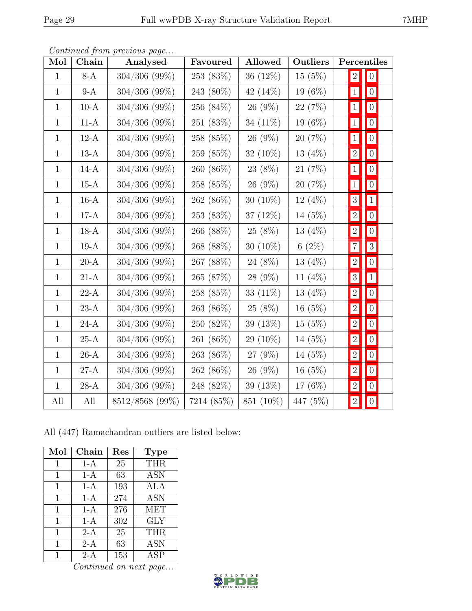| Mol          | Chain  | $\mathbf{r}$ $\mathbf{v}$<br>Analysed | Favoured   | <b>Allowed</b> | <b>Outliers</b> | Percentiles      |                 |
|--------------|--------|---------------------------------------|------------|----------------|-----------------|------------------|-----------------|
| $\mathbf{1}$ | $8-A$  | $304/306 (99\%)$                      | 253 (83%)  | $36(12\%)$     | 15(5%)          | 2                | $\vert 0 \vert$ |
| $\mathbf{1}$ | $9-A$  | $304/306$ (99%)                       | 243 (80%)  | 42 $(14\%)$    | $19(6\%)$       | $\vert 1 \vert$  | $\vert 0 \vert$ |
| $\mathbf{1}$ | $10-A$ | $304/306$ (99%)                       | 256 (84\%) | $26(9\%)$      | 22(7%)          | $\vert 1 \vert$  | 0               |
| $\mathbf{1}$ | $11-A$ | $304/306 (99\%)$                      | 251(83%)   | 34 $(11\%)$    | $19(6\%)$       | $\vert 1 \vert$  | $\vert 0 \vert$ |
| $\mathbf{1}$ | $12-A$ | $304/306$ (99%)                       | 258 (85%)  | $26(9\%)$      | 20(7%)          | $\vert 1 \vert$  | $\vert 0 \vert$ |
| $\mathbf{1}$ | $13-A$ | $304/306 (99\%)$                      | 259 (85%)  | 32 $(10\%)$    | $13(4\%)$       | $\left 2\right $ | $\vert 0 \vert$ |
| $\mathbf{1}$ | $14-A$ | $304/306$ (99%)                       | 260 (86%)  | 23 (8%)        | 21(7%)          | $\vert 1 \vert$  | $\vert 0 \vert$ |
| $\mathbf{1}$ | $15-A$ | $304/306 (99\%)$                      | 258 (85%)  | $26(9\%)$      | 20(7%)          | $\vert 1 \vert$  | $\vert 0 \vert$ |
| $\mathbf{1}$ | $16-A$ | $304/306$ (99%)                       | 262 (86%)  | 30 $(10\%)$    | $12(4\%)$       | 3                | $\mathbf{1}$    |
| $\mathbf{1}$ | $17-A$ | $304/306 (99\%)$                      | 253(83%)   | 37 $(12\%)$    | $14(5\%)$       | 2                | $\vert 0 \vert$ |
| $\mathbf{1}$ | $18-A$ | $304/306$ (99%)                       | 266 (88%)  | $25(8\%)$      | 13 $(4%)$       | 2                | $\vert 0 \vert$ |
| $\mathbf{1}$ | $19-A$ | $304/306$ (99%)                       | 268 (88%)  | 30 $(10\%)$    | 6(2%)           | 7                | $\sqrt{3}$      |
| $\mathbf{1}$ | $20-A$ | $304/306 (99\%)$                      | 267 (88%)  | $24(8\%)$      | $13(4\%)$       | $\vert 2 \vert$  | $\vert 0 \vert$ |
| $\mathbf{1}$ | $21-A$ | $304/306 (99\%)$                      | 265 (87\%) | $28(9\%)$      | 11 $(4%)$       | 3                | $\vert 1 \vert$ |
| $\mathbf{1}$ | $22-A$ | $304/306 (99\%)$                      | 258 (85%)  | 33 $(11\%)$    | 13(4%)          | $\left 2\right $ | $\vert 0 \vert$ |
| $\mathbf{1}$ | $23-A$ | $304/306$ (99%)                       | 263 (86%)  | $25(8\%)$      | 16 $(5%)$       | $\vert$ 2        | $\vert 0 \vert$ |
| $\mathbf{1}$ | $24-A$ | $304/306 (99\%)$                      | 250(82%)   | $39(13\%)$     | 15(5%)          | $\left 2\right $ | $\vert 0 \vert$ |
| $\mathbf{1}$ | $25-A$ | $304/306$ (99%)                       | 261 (86%)  | $29(10\%)$     | 14 $(5%)$       | $\left 2\right $ | $\vert 0 \vert$ |
| $\mathbf{1}$ | $26-A$ | $304/306 (99\%)$                      | 263 (86%)  | $27(9\%)$      | $14(5\%)$       | $\left 2\right $ | $\vert 0 \vert$ |
| $\mathbf{1}$ | $27-A$ | $304/306$ (99%)                       | 262 (86%)  | $26(9\%)$      | 16(5%)          | $\left 2\right $ | $\overline{0}$  |
| $\mathbf{1}$ | $28-A$ | $304/306 (99\%)$                      | 248 (82\%) | $39(13\%)$     | 17 $(6%)$       | $\boxed{2}$      | $\vert 0 \vert$ |
| All          | All    | 8512/8568 (99%)                       | 7214 (85%) | 851 (10%)      | 447 (5%)        | 2                | $\vert 0 \vert$ |

Continued from previous page...

All (447) Ramachandran outliers are listed below:

| Mol | Chain | Res | <b>Type</b> |
|-----|-------|-----|-------------|
| 1   | 1-A   | 25  | <b>THR</b>  |
| 1   | $1-A$ | 63  | <b>ASN</b>  |
| 1   | $1-A$ | 193 | ALA         |
| 1   | 1-A   | 274 | <b>ASN</b>  |
| 1   | $1-A$ | 276 | <b>MET</b>  |
| 1   | 1-A   | 302 | GLY         |
| 1   | $2-A$ | 25  | THR         |
| 1   | $2-A$ | 63  | <b>ASN</b>  |
|     | 2-A   | 153 | <b>ASP</b>  |

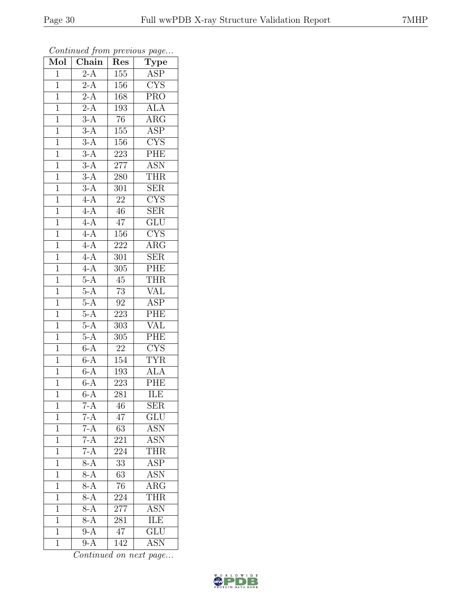| Mol            | Chain            | Res              | $\cdot$<br>$\overline{\mathrm{T}}$ ype |
|----------------|------------------|------------------|----------------------------------------|
| $\mathbf{1}$   | $2-A$            | 155              | ASP                                    |
| $\mathbf 1$    | $\overline{2-A}$ | 156              | CYS                                    |
| $\mathbf{1}$   | $2-A$            | 168              | $\overline{\text{PRO}}$                |
| $\overline{1}$ | $2-A$            | 193              | <b>ALA</b>                             |
| $\overline{1}$ | $3-A$            | $\overline{76}$  | $\overline{\rm{ARG}}$                  |
| $\mathbf{1}$   | $3-A$            | 155              | <b>ASP</b>                             |
| $\mathbf{1}$   | $\overline{3-A}$ | 156              | $\overline{\text{CYS}}$                |
| $\mathbf{1}$   | $3-A$            | 223              | PHE                                    |
| $\mathbf{1}$   | $\overline{3-A}$ | $277\,$          | <b>ASN</b>                             |
| $\overline{1}$ | $3-A$            | 280              | <b>THR</b>                             |
| $\mathbf 1$    | $3-A$            | 301              | <b>SER</b>                             |
| $\mathbf{1}$   | $4-A$            | $\overline{22}$  | $\overline{\text{CYS}}$                |
| $\mathbf{1}$   | $4-A$            | 46               | $\overline{\text{SER}}$                |
| $\overline{1}$ | $4-A$            | $\overline{4}$   | GLU                                    |
| $\overline{1}$ | $4-A$            | 156              | $\overline{\text{CYS}}$                |
| $\mathbf{1}$   | $4-A$            | 222              | $\rm{ARG}$                             |
| $\overline{1}$ | $4-A$            | $\overline{301}$ | $\overline{\text{SER}}$                |
| $\mathbf{1}$   | $4-A$            | 305              | PHE                                    |
| $\overline{1}$ | $5-A$            | $45\,$           | <b>THR</b>                             |
| $\overline{1}$ | $5-A$            | $73\,$           | $\overline{\text{VAL}}$                |
| $\mathbf{1}$   | $5-A$            | $\rm 92$         | <b>ASP</b>                             |
| $\overline{1}$ | $5-A$            | 223              | PHE                                    |
| $\overline{1}$ | $5-A$            | 303              | $\overline{\text{VAL}}$                |
| $\overline{1}$ | $5-A$            | 305              | PHE                                    |
| $\mathbf{1}$   | $6-A$            | $22\,$           | $\overline{\text{CYS}}$                |
| $\mathbf{1}$   | $6 - A$          | 154              | <b>TYR</b>                             |
| $\mathbf{1}$   | $6-A$            | 193              | <b>ALA</b>                             |
| $\mathbf{1}$   | $6-A$            | 223              | PHE                                    |
| $\overline{1}$ | $6-A$            | 281              | <b>ILE</b>                             |
| 1              | $7-A$            | 46               | SER                                    |
| 1              | $7-A$            | 47               | GLU                                    |
| $\mathbf 1$    | $7-A$            | 63               | ASN                                    |
| 1              | $7-A$            | 221              | ASN                                    |
| $\overline{1}$ | $7-A$            | 224              | <b>THR</b>                             |
| 1              | $8-A$            | 33               | ASP                                    |
| 1              | $8-A$            | $\overline{63}$  | <b>ASN</b>                             |
| $\mathbf 1$    | $\overline{8-A}$ | 76               | $\overline{\rm{ARG}}$                  |
| 1              | $\overline{8-A}$ | 224              | <b>THR</b>                             |
| $\mathbf{1}$   | $8-A$            | 277              | $\overline{\text{ASN}}$                |
| 1              | $8-A$            | 281              | <b>ILE</b>                             |
| $\overline{1}$ | $9-A$            | 47               | $\overline{\text{GLU}}$                |
| $\mathbf{1}$   | $9-A$            | 142              | ASN                                    |

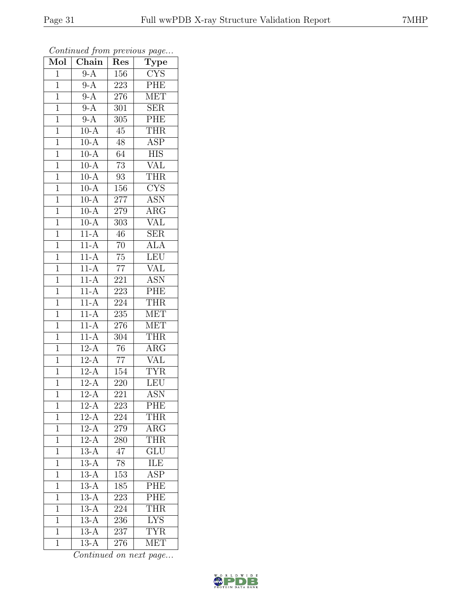| Mol            | Chain               | Res              | $\overline{\text{Type}}$  |
|----------------|---------------------|------------------|---------------------------|
| $\mathbf{1}$   | $9-A$               | 156              | <b>CYS</b>                |
| $\overline{1}$ | $9-A$               | 223              | PHE                       |
| $\mathbf{1}$   | $9-A$               | 276              | <b>MET</b>                |
| $\mathbf{1}$   | $9-A$               | 301              | <b>SER</b>                |
| $\overline{1}$ | $9-A$               | 305              | $\overline{\text{PHE}}$   |
| $\mathbf{1}$   | $10-A$              | 45               | <b>THR</b>                |
| $\overline{1}$ | $10-A$              | $48\,$           | $\overline{\text{ASP}}$   |
| $\mathbf{1}$   | $10-A$              | 64               | <b>HIS</b>                |
| $\mathbf{1}$   | $10-A$              | $\overline{73}$  | <b>VAL</b>                |
| $\overline{1}$ | $10 - \overline{A}$ | 93               | THR                       |
| $\overline{1}$ | $10-A$              | 156              | $\overline{\text{CYS}}$   |
| $\overline{1}$ | $10-A$              | 277              | <b>ASN</b>                |
| $\overline{1}$ | $10-A$              | 279              | $\overline{\rm{ARG}}$     |
| $\mathbf{1}$   | $10-A$              | $\overline{303}$ | <b>VAL</b>                |
| $\overline{1}$ | $11-A$              | $\overline{46}$  | $\overline{\text{SER}}$   |
| $\mathbf{1}$   | $11-A$              | $\overline{70}$  | <b>ALA</b>                |
| $\overline{1}$ | $11-A$              | $\overline{75}$  | LEU                       |
| $\mathbf{1}$   | $11-A$              | $\overline{77}$  | <b>VAL</b>                |
| $\overline{1}$ | $11-A$              | 221              | $\overline{\text{ASN}}$   |
| $\mathbf{1}$   | $11-A$              | 223              | PHE                       |
| $\overline{1}$ | $11-A$              | 224              | <b>THR</b>                |
| $\overline{1}$ | $11-A$              | 235              | <b>MET</b>                |
| $\mathbf{1}$   | $11-A$              | $276\,$          | <b>MET</b>                |
| $\mathbf{1}$   | $11-A$              | 304              | <b>THR</b>                |
| $\mathbf{1}$   | $12-A$              | $\overline{76}$  | $\rm{ARG}$                |
| $\mathbf{1}$   | $12-A$              | $\overline{77}$  | <b>VAL</b>                |
| $\overline{1}$ | $12-A$              | 154              | <b>TYR</b>                |
| $\mathbf{1}$   | $12-A$              | 220              | <b>LEU</b>                |
| $\overline{1}$ | $12-A$              | $\overline{221}$ | $\overline{\mathrm{ASN}}$ |
| $\mathbf{1}$   | $12-A$              | 223              | PHE                       |
| $\overline{1}$ | $12 - \overline{A}$ | 224              | <b>THR</b>                |
| $\mathbf 1$    | $12-A$              | 279              | $\rm{ARG}$                |
| $\mathbf{1}$   | $12-A$              | 280              | <b>THR</b>                |
| $\mathbf{1}$   | $13-A$              | $\sqrt{47}$      | $\overline{\text{GLU}}$   |
| $\mathbf{1}$   | $13-A$              | 78               | ILE                       |
| $\overline{1}$ | $13-A$              | $1\overline{53}$ | $\overline{\text{ASP}}$   |
| $\mathbf{1}$   | $13-A$              | 185              | PHE                       |
| $\overline{1}$ | $13-A$              | 223              | PHE                       |
| $\mathbf 1$    | $13-A$              | 224              | <b>THR</b>                |
| $\overline{1}$ | $13-A$              | 236              | <b>LYS</b>                |
| $\overline{1}$ | $13-A$              | 237              | <b>TYR</b>                |
| $\mathbf{1}$   | $13-A$              | 276              | <b>MET</b>                |

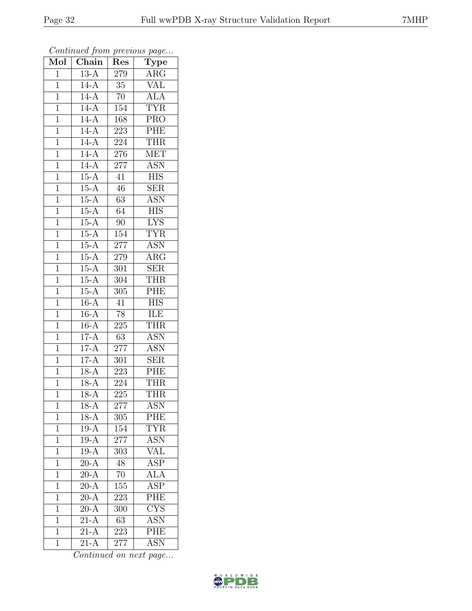| Mol            | $\overline{\text{Chain}}$ | Res              | $\cdot$<br>$\mathrm{\overline{Type}}$ |
|----------------|---------------------------|------------------|---------------------------------------|
| $\mathbf 1$    | $13-A$                    | 279              | $\overline{\text{ARG}}$               |
| $\mathbf 1$    | $14-A$                    | $35\,$           | $\overline{\text{VAL}}$               |
| $\mathbf{1}$   | $14-A$                    | $\overline{70}$  | $\overline{\text{ALA}}$               |
| $\overline{1}$ | $14-A$                    | 154              | <b>TYR</b>                            |
| $\overline{1}$ | $14-A$                    | 168              | $\overline{\text{PRO}}$               |
| $\mathbf{1}$   | $14-A$                    | 223              | PHE                                   |
| $\mathbf{1}$   | $14-A$                    | 224              | <b>THR</b>                            |
| $\mathbf{1}$   | $14-A$                    | 276              | <b>MET</b>                            |
| $\mathbf{1}$   | $14-A$                    | $277\,$          | <b>ASN</b>                            |
| $\overline{1}$ | $15-A$                    | 41               | $\overline{\text{HIS}}$               |
| $\mathbf{1}$   | $15-A$                    | 46               | <b>SER</b>                            |
| $\mathbf{1}$   | $15-A$                    | 63               | $\overline{\text{ASN}}$               |
| $\mathbf{1}$   | $15-A$                    | 64               | <b>HIS</b>                            |
| $\overline{1}$ | $15-A$                    | $\overline{90}$  | $\overline{\text{LYS}}$               |
| $\overline{1}$ | $15-A$                    | 154              | <b>TYR</b>                            |
| $\mathbf{1}$   | $15-A$                    | 277              | <b>ASN</b>                            |
| $\overline{1}$ | $15-A$                    | 279              | $\overline{\text{ARG}}$               |
| $\mathbf{1}$   | $15-A$                    | 301              | <b>SER</b>                            |
| $\overline{1}$ | $15-A$                    | 304              | <b>THR</b>                            |
| $\overline{1}$ | $15-A$                    | 305              | PHE                                   |
| $\mathbf 1$    | $16-A$                    | $\overline{41}$  | <b>HIS</b>                            |
| $\mathbf{1}$   | $16-A$                    | $\overline{78}$  | ILE                                   |
| $\overline{1}$ | $16-A$                    | 225              | <b>THR</b>                            |
| $\overline{1}$ | $17-A$                    | 63               | $A\overline{SN}$                      |
| $\mathbf{1}$   | $17-A$                    | $277\,$          | <b>ASN</b>                            |
| $\mathbf{1}$   | $17-A$                    | 301              | <b>SER</b>                            |
| $\mathbf{1}$   | $18-A$                    | 223              | PHE                                   |
| $\overline{1}$ | $18-A$                    | 224              | <b>THR</b>                            |
| $\overline{1}$ | $\overline{18-A}$         | $\overline{225}$ | <b>THR</b>                            |
| 1              | $18-A$                    | 277              | <b>ASN</b>                            |
| 1              | $18-A$                    | 305              | PHE                                   |
| $\mathbf{1}$   | $19-A$                    | 154              | $\overline{\text{TYR}}$               |
| $\mathbf{1}$   | $19-A$                    | 277              | <b>ASN</b>                            |
| $\overline{1}$ | $19-A$                    | 303              | $\overline{\text{VAL}}$               |
| $\mathbf{1}$   | $\overline{20-A}$         | 48               | <b>ASP</b>                            |
| $\mathbf{1}$   | $\overline{20-A}$         | $\overline{70}$  | $\overline{\rm ALA}$                  |
| $\mathbf 1$    | $\overline{20-A}$         | 155              | <b>ASP</b>                            |
| $\overline{1}$ | $\overline{20-A}$         | 223              | $\overline{\text{PHE}}$               |
| $\mathbf{1}$   | $\overline{20-A}$         | 300              | CYS                                   |
| 1              | $21-A$                    | 63               | <b>ASN</b>                            |
| $\mathbf{1}$   | $21-A$                    | 223              | PHE                                   |
| $\mathbf{1}$   | $21-A$                    | 277              | $\overline{\text{ASN}}$               |

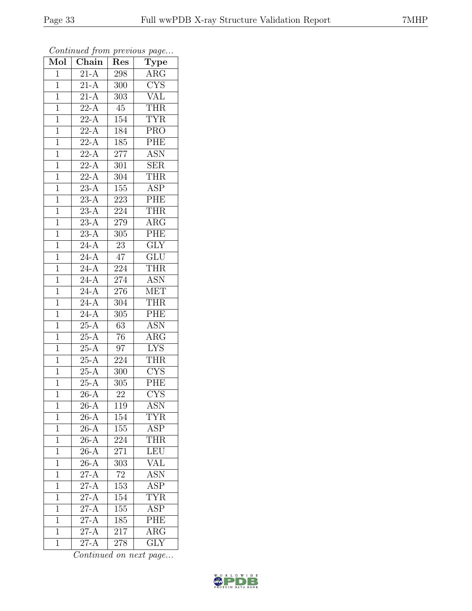| $\overline{\text{Mol}}$ | $\boldsymbol{\mathcal{J}}$<br>$\overline{\text{Chain}}$ | Res              | $\mathbf{r}$<br>$\overline{v}$<br>$\overline{\mathrm{Type}}$ |
|-------------------------|---------------------------------------------------------|------------------|--------------------------------------------------------------|
| $\mathbf{1}$            | $2\overline{1-A}$                                       | 298              | ARG                                                          |
| $\overline{1}$          | $21-A$                                                  | 300              | $\overline{\text{CYS}}$                                      |
| $\mathbf{1}$            | $21-A$                                                  | 303              | <b>VAL</b>                                                   |
| $\mathbf 1$             | $\overline{22-A}$                                       | 45               | <b>THR</b>                                                   |
| $\mathbf{1}$            | $22-A$                                                  | 154              | <b>TYR</b>                                                   |
| $\overline{1}$          | $22-A$                                                  | 184              | <b>PRO</b>                                                   |
| $\overline{1}$          | $2\overline{2-A}$                                       | $185\,$          | PHE                                                          |
| $\mathbf{1}$            | $22-A$                                                  | 277              | <b>ASN</b>                                                   |
| $\mathbf{1}$            | $22-A$                                                  | 301              | <b>SER</b>                                                   |
| $\mathbf{1}$            | $\overline{22-A}$                                       | 304              | <b>THR</b>                                                   |
| $\mathbf{1}$            | $23-A$                                                  | 155              | ASP                                                          |
| $\overline{1}$          | $\overline{23-A}$                                       | 223              | PHE                                                          |
| $\mathbf{1}$            | $23-A$                                                  | 224              | <b>THR</b>                                                   |
| $\mathbf{1}$            | $23-\overline{A}$                                       | 279              | $\rm{ARG}$                                                   |
| $\mathbf{1}$            | $\overline{23-A}$                                       | $\overline{305}$ | PHE                                                          |
| $\mathbf{1}$            | $24-A$                                                  | $23\,$           | $\overline{GLY}$                                             |
| $\overline{1}$          | $\overline{24-A}$                                       | 47               | $\overline{\text{GLU}}$                                      |
| $\mathbf{1}$            | $24-A$                                                  | 224              | THR                                                          |
| $\mathbf{1}$            | $\overline{24-A}$                                       | 274              | $\overline{\mathrm{ASN}}$                                    |
| $\mathbf{1}$            | $24 - \overline{A}$                                     | 276              | <b>MET</b>                                                   |
| $\mathbf 1$             | $\overline{24-A}$                                       | 304              | <b>THR</b>                                                   |
| $\overline{1}$          | $\overline{24-A}$                                       | 305              | $\overline{\text{PHE}}$                                      |
| $\mathbf 1$             | $\overline{25-A}$                                       | 63               | $\overline{\text{ASN}}$                                      |
| $\mathbf{1}$            | $25-A$                                                  | 76               | $\overline{\rm{ARG}}$                                        |
| $\mathbf{1}$            | $25-A$                                                  | 97               | <b>LYS</b>                                                   |
| $\overline{1}$          | $25-A$                                                  | 224              | <b>THR</b>                                                   |
| $\mathbf{1}$            | $25-A$                                                  | 300              | $\overline{\text{C} \text{YS}}$                              |
| $\mathbf{1}$            | $25-A$                                                  | 305              | PHE                                                          |
| $\overline{1}$          | $26-A$                                                  | 22               | $\overline{\text{CYS}}$                                      |
| $\mathbf 1$             | $26-A$                                                  | 119              | ASN                                                          |
| $\mathbf{1}$            | $26-A$                                                  | $\overline{1}54$ | TYR                                                          |
| $\overline{1}$          | $26-A$                                                  | $\overline{1}55$ | <b>ASP</b>                                                   |
| $\mathbf{1}$            | $26-A$                                                  | 224              | THR                                                          |
| $\mathbf{1}$            | $\overline{26-A}$                                       | 271              | LEU                                                          |
| $\mathbf{1}$            | $26-A$                                                  | 303              | <b>VAL</b>                                                   |
| $\overline{1}$          | $27-A$                                                  | $\overline{72}$  | <b>ASN</b>                                                   |
| $\mathbf{1}$            | $\overline{27-A}$                                       | 153              | <b>ASP</b>                                                   |
| $\mathbf{1}$            | $27-A$                                                  | 154              | <b>TYR</b>                                                   |
| $\mathbf 1$             | $27-A$                                                  | 155              | <b>ASP</b>                                                   |
| $\overline{1}$          | $27-A$                                                  | 185              | PHE                                                          |
| $\mathbf{1}$            | $\overline{27-A}$                                       | 217              | $\overline{\rm{ARG}}$                                        |
| $\overline{1}$          | $27-A$                                                  | 278              | $\overline{\text{GLY}}$                                      |

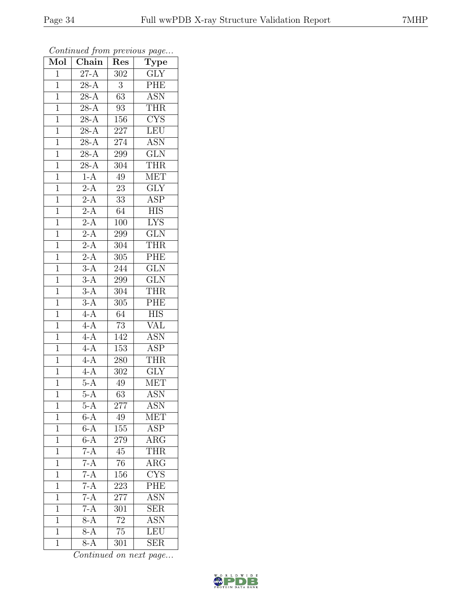| Mol            | $\overline{\text{Chain}}$ | Res              | $\cdot$<br>$\overline{\mathrm{T}}$ ype |
|----------------|---------------------------|------------------|----------------------------------------|
| $\mathbf{1}$   | $27-A$                    | 302              | <b>GLY</b>                             |
| $\mathbf 1$    | $\overline{28-A}$         | 3                | PHE                                    |
| $\mathbf{1}$   | $28-A$                    | 63               | <b>ASN</b>                             |
| $\overline{1}$ | $\overline{28-A}$         | 93               | <b>THR</b>                             |
| $\overline{1}$ | $28 - \overline{A}$       | 156              | $\overline{\text{CYS}}$                |
| $\mathbf{1}$   | $28-A$                    | 227              | <b>LEU</b>                             |
| $\mathbf{1}$   | $28-A$                    | 274              | $\overline{\text{ASN}}$                |
| $\mathbf{1}$   | $28 - \overline{A}$       | 299              | GLN                                    |
| $\mathbf{1}$   | $28-A$                    | 304              | <b>THR</b>                             |
| $\overline{1}$ | $1-A$                     | $\overline{49}$  | <b>MET</b>                             |
| $\mathbf{1}$   | $2-A$                     | $23\,$           | $\overline{\text{GLY}}$                |
| $\mathbf{1}$   | $2-A$                     | $3\overline{3}$  | $\overline{\text{ASP}}$                |
| $\mathbf{1}$   | $2-A$                     | 64               | <b>HIS</b>                             |
| $\overline{1}$ | $2-A$                     | 100              | <b>LYS</b>                             |
| $\overline{1}$ | $2-A$                     | 299              | $\overline{\text{GLN}}$                |
| $\mathbf{1}$   | $\overline{2-A}$          | 304              | <b>THR</b>                             |
| $\overline{1}$ | $2-A$                     | $\overline{305}$ | PHE                                    |
| $\mathbf{1}$   | $3-A$                     | 244              | <b>GLN</b>                             |
| $\mathbf 1$    | $\overline{3-A}$          | 299              | $\overline{\text{GLN}}$                |
| $\overline{1}$ | $3-A$                     | 304              | <b>THR</b>                             |
| $\mathbf{1}$   | $3-A$                     | 305              | PHE                                    |
| $\overline{1}$ | $4-A$                     | 64               | $\overline{HIS}$                       |
| $\overline{1}$ | $4-A$                     | 73               | VAL                                    |
| $\overline{1}$ | $\overline{4-A}$          | 142              | <b>ASN</b>                             |
| $\mathbf{1}$   | $4-A$                     | 153              | $\overline{\text{ASP}}$                |
| $\mathbf{1}$   | $4-A$                     | 280              | <b>THR</b>                             |
| $\mathbf{1}$   | $4-A$                     | 302              | $\overline{\text{GLY}}$                |
| $\mathbf{1}$   | $5-A$                     | $49\,$           | <b>MET</b>                             |
| $\overline{1}$ | $5-A$                     | $\overline{63}$  | $\overline{\mathrm{ASN}}$              |
| 1              | $5-A$                     | <b>277</b>       | <b>ASN</b>                             |
| 1              | $6-A$                     | 49               | <b>MET</b>                             |
| $\mathbf 1$    | $6-A$                     | 155              | ASP                                    |
| $\mathbf{1}$   | $6-\overline{A}$          | 279              | $\rm{ARG}$                             |
| $\overline{1}$ | $7-A$                     | $45\,$           | <b>THR</b>                             |
| $\mathbf{1}$   | $7-A$                     | 76               | $\rm{ARG}$                             |
| $\mathbf{1}$   | $7-A$                     | 156              | $\overline{\text{CYS}}$                |
| $\mathbf{1}$   | $\frac{7-A}{7-A}$         | 223              | $\overline{\text{PHE}}$                |
| $\overline{1}$ |                           | 277              | <b>ASN</b>                             |
| $\mathbf{1}$   | $7-A$                     | 301              | <b>SER</b>                             |
| $\overline{1}$ | $8-A$                     | 72               | <b>ASN</b>                             |
| $\mathbf{1}$   | $8-A$                     | 75               | LEU                                    |
| $\mathbf{1}$   | $8-A$                     | 301              | $\overline{\text{SER}}$                |

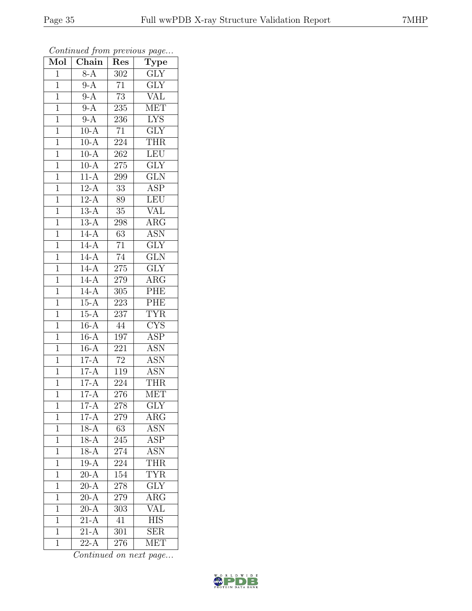| Mol            | Chain             | Res             | $\cdot$<br><b>Type</b>    |
|----------------|-------------------|-----------------|---------------------------|
| $\mathbf{1}$   | $8-A$             | 302             | GLY                       |
| $\overline{1}$ | $9-A$             | $\overline{71}$ | $\overline{\text{GLY}}$   |
| $\mathbf{1}$   | $9-A$             | $\overline{73}$ | $\rm \overline{VAL}$      |
| $\overline{1}$ | $9-A$             | 235             | <b>MET</b>                |
| $\overline{1}$ | $9-A$             | 236             | $\overline{\text{LYS}}$   |
| $\mathbf{1}$   | $10-A$            | 71              | <b>GLY</b>                |
| $\mathbf{1}$   | $10-A$            | 224             | <b>THR</b>                |
| $\mathbf{1}$   | $10-A$            | 262             | <b>LEU</b>                |
| $\mathbf{1}$   | $10\overline{A}$  | 275             | $\overline{\text{GLY}}$   |
| $\overline{1}$ | $11-A$            | 299             | $\overline{\text{GLN}}$   |
| $\mathbf{1}$   | $12-A$            | 33              | ASP                       |
| $\mathbf 1$    | $12-A$            | 89              | <b>LEU</b>                |
| $\mathbf{1}$   | $13-A$            | 35              | <b>VAL</b>                |
| $\overline{1}$ | $13-A$            | 298             | $\rm{ARG}$                |
| $\overline{1}$ | $14-A$            | $\overline{63}$ | $\overline{\mathrm{ASN}}$ |
| $\mathbf{1}$   | $14-A$            | 71              | $\overline{GLY}$          |
| $\overline{1}$ | $14-A$            | 74              | $\overline{\text{GLN}}$   |
| $\mathbf{1}$   | $14-A$            | 275             | $\overline{\text{GLY}}$   |
| $\overline{1}$ | $14-A$            | 279             | $\rm{ARG}$                |
| $\mathbf{1}$   | $14-A$            | 305             | PHE                       |
| $\mathbf 1$    | $15-A$            | 223             | PHE                       |
| $\mathbf{1}$   | $15-A$            | 237             | <b>TYR</b>                |
| $\overline{1}$ | $16-A$            | 44              | <b>CYS</b>                |
| $\overline{1}$ | $16-A$            | 197             | $\overline{\text{ASP}}$   |
| $\mathbf{1}$   | $16-A$            | 221             | <b>ASN</b>                |
| $\mathbf{1}$   | $17-A$            | 72              | <b>ASN</b>                |
| $\overline{1}$ | $17-A$            | 119             | <b>ASN</b>                |
| $\mathbf{1}$   | $17-A$            | 224             | <b>THR</b>                |
| $\overline{1}$ | $17-A$            | 276             | <b>MET</b>                |
| 1              | $17-A$            | 278             | $\overline{\text{GLY}}$   |
| $\mathbf{1}$   | $17-A$            | 279             | $\rm{ARG}$                |
| $\mathbf{1}$   | $18-A$            | $\overline{63}$ | <b>ASN</b>                |
| $\mathbf{1}$   | $18-A$            | 245             | ASP                       |
| $\overline{1}$ | $18-A$            | 274             | <b>ASN</b>                |
| $\mathbf{1}$   | $19-A$            | 224             | <b>THR</b>                |
| $\mathbf{1}$   | $\overline{20-A}$ | 154             | $\overline{\text{TYR}}$   |
| $\mathbf 1$    | $20-A$            | 278             | GLY                       |
| $\overline{1}$ | $\overline{20-A}$ | 279             | $\overline{\rm{ARG}}$     |
| $\mathbf 1$    | $\overline{20-A}$ | 303             | $\rm \overline{VAL}$      |
| $\mathbf{1}$   | $21-A$            | $41\,$          | $\overline{\text{HIS}}$   |
| $\mathbf{1}$   | $21-\overline{A}$ | 301             | $\overline{\text{SER}}$   |
| $\overline{1}$ | $22-A$            | 276             | MET                       |

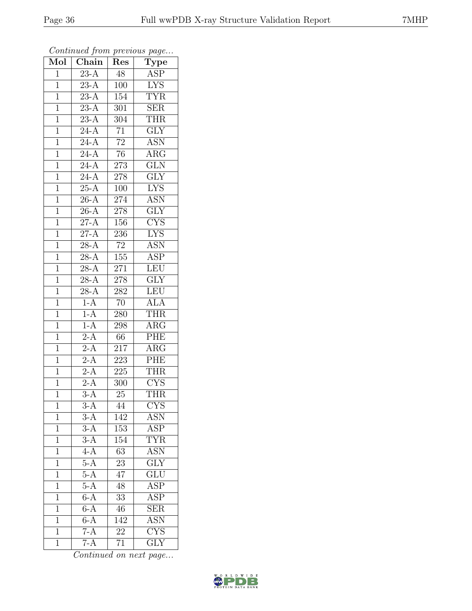| Mol            | Chain               | Res              | $\cdot$<br>$\overline{\mathrm{T}}$ ype |
|----------------|---------------------|------------------|----------------------------------------|
| $\mathbf{1}$   | $23-A$              | 48               | ASP                                    |
| $\mathbf 1$    | $\overline{23-A}$   | 100              | $\overline{\text{LYS}}$                |
| $\mathbf{1}$   | $\overline{23-A}$   | 154              | <b>TYR</b>                             |
| $\overline{1}$ | $23-A$              | 301              | SER                                    |
| $\overline{1}$ | $23 - \overline{A}$ | 304              | <b>THR</b>                             |
| $\mathbf{1}$   | $24 - \overline{A}$ | $\overline{71}$  | $\overline{\text{GLY}}$                |
| $\mathbf{1}$   | $\overline{24-A}$   | $\overline{72}$  | $A\overline{SN}$                       |
| $\mathbf{1}$   | $24-A$              | 76               | $\overline{\rm ARG}$                   |
| $\mathbf{1}$   | $\overline{24-A}$   | 273              | $\overline{\text{GLN}}$                |
| $\overline{1}$ | $24-A$              | 278              | $\overline{\text{GLY}}$                |
| $\mathbf 1$    | $25\overline{A}$    | 100              | <b>LYS</b>                             |
| $\mathbf{1}$   | $26-A$              | 274              | <b>ASN</b>                             |
| $\mathbf{1}$   | $26-A$              | $278\,$          | $\overline{\text{GLY}}$                |
| $\overline{1}$ | $27-A$              | 156              | <b>CYS</b>                             |
| $\overline{1}$ | $27-A$              | 236              | $\overline{\text{LYS}}$                |
| $\mathbf{1}$   | $28-A$              | $72\,$           | $\overline{\text{ASN}}$                |
| $\mathbf{1}$   | $28-A$              | $\overline{155}$ | $\overline{\text{ASP}}$                |
| $\mathbf{1}$   | $28-A$              | 271              | <b>LEU</b>                             |
| $\mathbf 1$    | $\overline{28-A}$   | 278              | $\overline{\text{GLY}}$                |
| $\overline{1}$ | $28-A$              | 282              | LEU                                    |
| $\mathbf{1}$   | $1-A$               | 70               | $\overline{ALA}$                       |
| $\overline{1}$ | $1-A$               | 280              | <b>THR</b>                             |
| $\overline{1}$ | $1-A$               | 298              | $\rm{ARG}$                             |
| $\overline{1}$ | $\overline{2-A}$    | 66               | PHE                                    |
| $\mathbf{1}$   | $2-A$               | 217              | $\overline{\text{ARG}}$                |
| $\mathbf{1}$   | $\overline{2-A}$    | 223              | ${\rm PHE}$                            |
| $\overline{1}$ | $\overline{2-A}$    | 225              | <b>THR</b>                             |
| $\overline{1}$ | $2-A$               | 300              | <b>CYS</b>                             |
| $\overline{1}$ | $\overline{3-A}$    | $\overline{25}$  | <b>THR</b>                             |
| 1              | $3-A$               | 44               | <b>CYS</b>                             |
| 1              | $3-\overline{A}$    | 142              | ASN                                    |
| $\mathbf 1$    | $3-A$               | 153              | $\overline{\text{ASP}}$                |
| $\overline{1}$ | $3-\overline{A}$    | 154              | $\overline{\text{YR}}$                 |
| $\overline{1}$ | $4-A$               | $\overline{63}$  | <b>ASN</b>                             |
| 1              | $5-\overline{A}$    | 23               | $\overline{\text{GLY}}$                |
| 1              | $5-A$               | $\overline{47}$  | $\overline{\text{GLU}}$                |
| $\mathbf 1$    | $5-A$               | 48               | <b>ASP</b>                             |
| $\overline{1}$ | $6-A$               | $\overline{33}$  | $\overline{\text{ASP}}$                |
| $\mathbf{1}$   | $6-A$               | 46               | $\overline{\text{SER}}$                |
| $\mathbf 1$    | $6-A$               | 142              | <b>ASN</b>                             |
| $\mathbf{1}$   | $7-A$               | 22               | CYS                                    |
| $\mathbf 1$    | $7-A$               | 71               | $\overline{\text{GLY}}$                |

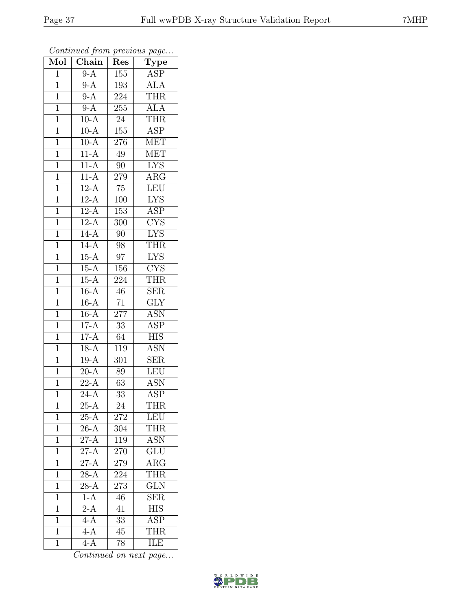| Mol            | $\overline{\text{Chain}}$ | Res             | $\cdot$<br>$\mathrm{\overline{Type}}$ |
|----------------|---------------------------|-----------------|---------------------------------------|
| $\mathbf{1}$   | $9-A$                     | 155             | ASP                                   |
| $\mathbf 1$    | $9-A$                     | 193             | <b>ALA</b>                            |
| $\mathbf{1}$   | $9-A$                     | 224             | <b>THR</b>                            |
| $\mathbf 1$    | $9-A$                     | 255             | $\overline{ALA}$                      |
| $\overline{1}$ | $10-A$                    | $24\,$          | <b>THR</b>                            |
| $\mathbf{1}$   | $10-A$                    | 155             | <b>ASP</b>                            |
| $\mathbf{1}$   | $10-A$                    | 276             | <b>MET</b>                            |
| $\mathbf{1}$   | $11-A$                    | 49              | <b>MET</b>                            |
| $\mathbf{1}$   | $11-A$                    | 90              | $\overline{\text{LYS}}$               |
| $\overline{1}$ | $11-A$                    | 279             | $\overline{\rm{ARG}}$                 |
| $\mathbf{1}$   | $12-A$                    | $75\,$          | LEU                                   |
| $\mathbf{1}$   | $\overline{12-A}$         | 100             | <b>LYS</b>                            |
| $\mathbf{1}$   | $12-A$                    | 153             | <b>ASP</b>                            |
| $\overline{1}$ | $12-A$                    | 300             | $\overline{\text{CYS}}$               |
| $\overline{1}$ | $14-A$                    | $\overline{90}$ | $\overline{\text{LYS}}$               |
| $\mathbf{1}$   | $14-A$                    | 98              | <b>THR</b>                            |
| $\mathbf{1}$   | $15-A$                    | $\overline{97}$ | $\overline{\text{LYS}}$               |
| $\mathbf{1}$   | $15-A$                    | 156             | <b>CYS</b>                            |
| $\mathbf 1$    | $15-A$                    | 224             | <b>THR</b>                            |
| $\overline{1}$ | $16-A$                    | 46              | <b>SER</b>                            |
| $\mathbf 1$    | $16-A$                    | $\overline{71}$ | $\overline{\text{GLY}}$               |
| $\overline{1}$ | $16-A$                    | 277             | $\overline{\text{ASN}}$               |
| $\mathbf 1$    | $17-A$                    | $\overline{33}$ | <b>ASP</b>                            |
| $\overline{1}$ | $17-A$                    | 64              | $\overline{\text{HIS}}$               |
| $\mathbf{1}$   | $18-A$                    | 119             | $\overline{\text{ASN}}$               |
| $\mathbf{1}$   | $19-A$                    | 301             | <b>SER</b>                            |
| $\mathbf{1}$   | $20-A$                    | 89              | LEU                                   |
| $\mathbf{1}$   | $22-A$                    | 63              | <b>ASN</b>                            |
| $\overline{1}$ | $\overline{24}$ -A        | $\overline{33}$ | $\overline{\text{ASP}}$               |
| 1              | $25-A$                    | 24              | <b>THR</b>                            |
| $\mathbf{1}$   | $25-A$                    | 272             | LEU                                   |
| $\mathbf 1$    | $26-A$                    | 304             | <b>THR</b>                            |
| $\mathbf{1}$   | $27-A$                    | 119             | <b>ASN</b>                            |
| $\overline{1}$ | $27-A$                    | 270             | $\overline{\text{GLU}}$               |
| $\mathbf{1}$   | $27-A$                    | 279             | $\rm{ARG}$                            |
| $\mathbf 1$    | $\overline{28-A}$         | 224             | <b>THR</b>                            |
| $\mathbf 1$    | $28-A$                    | 273             | <b>GLN</b>                            |
| $\overline{1}$ | $1-A$                     | 46              | <b>SER</b>                            |
| $\mathbf 1$    | $\overline{2-A}$          | 41              | <b>HIS</b>                            |
| $\overline{1}$ | $4-A$                     | 33              | $\overline{\text{ASP}}$               |
| $\overline{1}$ | $\overline{4-A}$          | 45              | <b>THR</b>                            |
| $\mathbf{1}$   | $\overline{4-A}$          | 78              | ILE                                   |

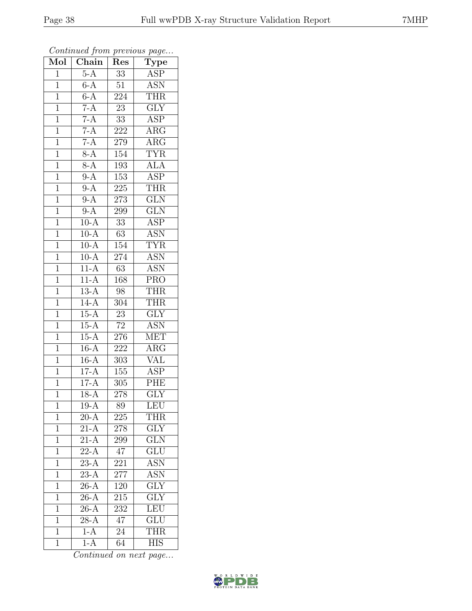| Mol            | $\overline{\text{Chain}}$ | Res              | $\cdot$<br>$\mathrm{\overline{Ty}pe}$ |
|----------------|---------------------------|------------------|---------------------------------------|
| $\mathbf 1$    | $5-A$                     | 33               | ASP                                   |
| $\overline{1}$ | $6-A$                     | 51               | $\overline{\text{ASN}}$               |
| $\mathbf{1}$   | $6-A$                     | 224              | <b>THR</b>                            |
| $\overline{1}$ | $7-A$                     | $\overline{23}$  | $\overline{\text{GLY}}$               |
| $\overline{1}$ | $7-A$                     | $\overline{33}$  | $\overline{\text{ASP}}$               |
| $\mathbf{1}$   | $7-A$                     | 222              | $\rm{ARG}$                            |
| $\mathbf{1}$   | $7-A$                     | 279              | $\rm{ARG}$                            |
| $\mathbf{1}$   | $8-A$                     | 154              | <b>TYR</b>                            |
| $\mathbf{1}$   | $8-A$                     | 193              | $\overline{\text{ALA}}$               |
| $\overline{1}$ | $9-A$                     | $\overline{153}$ | $\overline{\text{ASP}}$               |
| $\mathbf{1}$   | $9-A$                     | 225              | THR                                   |
| $\mathbf{1}$   | $9-A$                     | 273              | $\overline{\text{GLN}}$               |
| $\mathbf{1}$   | $9-A$                     | 299              | $\overline{\text{GLN}}$               |
| $\overline{1}$ | $10-A$                    | 33               | ASP                                   |
| $\overline{1}$ | $10-A$                    | $\overline{63}$  | <b>ASN</b>                            |
| $\mathbf{1}$   | $10-A$                    | 154              | <b>TYR</b>                            |
| $\overline{1}$ | $10-A$                    | 274              | $\overline{\text{ASN}}$               |
| $\mathbf{1}$   | $11-A$                    | 63               | <b>ASN</b>                            |
| $\overline{1}$ | $11-A$                    | 168              | <b>PRO</b>                            |
| $\overline{1}$ | $13-A$                    | 98               | <b>THR</b>                            |
| $\mathbf 1$    | $14-A$                    | 304              | <b>THR</b>                            |
| $\mathbf{1}$   | $15-A$                    | $\overline{23}$  | $\overline{\text{GLY}}$               |
| $\overline{1}$ | $15-A$                    | $72\,$           | <b>ASN</b>                            |
| $\overline{1}$ | $15 - \overline{A}$       | 276              | <b>MET</b>                            |
| $\mathbf{1}$   | $16-A$                    | 222              | $\rm{ARG}$                            |
| $\mathbf{1}$   | $16-A$                    | 303              | VĀL                                   |
| $\mathbf{1}$   | $17-A$                    | 155              | <b>ASP</b>                            |
| $\mathbf{1}$   | $17-A$                    | 305              | PHE                                   |
| $\overline{1}$ | $18-A$                    | $\overline{278}$ | $\overline{\text{GLY}}$               |
| 1              | $19 - A$                  | 89               | <b>LEU</b>                            |
| $\mathbf{1}$   | $20-A$                    | 225              | <b>THR</b>                            |
| $\mathbf{1}$   | $21-A$                    | 278              | $\overline{GLY}$                      |
| $\mathbf{1}$   | $21-\overline{A}$         | 299              | <b>GLN</b>                            |
| $\overline{1}$ | $22-A$                    | 47               | $\overline{\text{GLU}}$               |
| $\mathbf{1}$   | $23-A$                    | 221              | <b>ASN</b>                            |
| $\mathbf{1}$   | $\overline{23-A}$         | $\overline{277}$ | $\overline{\mathrm{ASN}}$             |
| $\mathbf 1$    | $26-A$                    | 120              | GLY                                   |
| $\overline{1}$ | $\overline{26}$ -A        | 215              | $\overline{\text{GLY}}$               |
| $\mathbf{1}$   | $26-A$                    | 232              | LEU                                   |
| 1              | $28-A$                    | 47               | <b>GLU</b>                            |
| $\mathbf{1}$   | $1-A$                     | 24               | <b>THR</b>                            |
| $\overline{1}$ | $1-A$                     | 64               | <b>HIS</b>                            |

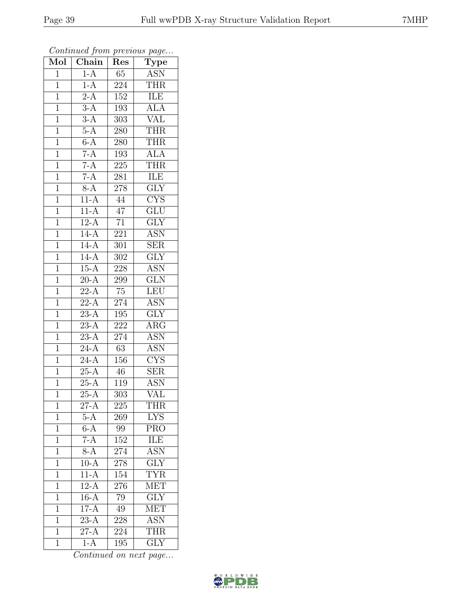| Mol            | Chain                    | Res              | $\overline{\text{Type}}$  |
|----------------|--------------------------|------------------|---------------------------|
| $\mathbf{1}$   | $1-A$                    | 65               | <b>ASN</b>                |
| $\overline{1}$ | $1-A$                    | 224              | <b>THR</b>                |
| $\mathbf{1}$   | $2-A$                    | $15\overline{2}$ | <b>ILE</b>                |
| $\mathbf 1$    | $3-A$                    | 193              | <b>ALA</b>                |
| $\overline{1}$ | $3-A$                    | 303              | <b>VAL</b>                |
| $\mathbf{1}$   | $5-A$                    | 280              | <b>THR</b>                |
| $\overline{1}$ | $6-A$                    | 280              | <b>THR</b>                |
| $\mathbf{1}$   | $7-A$                    | 193              | <b>ALA</b>                |
| $\mathbf{1}$   | $7-A$                    | 225              | THR                       |
| $\overline{1}$ | $7-A$                    | 281              | ILE                       |
| $\overline{1}$ | $8-A$                    | 278              | $\overline{\text{GLY}}$   |
| $\overline{1}$ | $11-A$                   | $\overline{44}$  | $\overline{\text{CYS}}$   |
| $\overline{1}$ | $11-A$                   | $\overline{47}$  | $\overline{\text{GLU}}$   |
| $\mathbf{1}$   | $12-A$                   | 71               | $\overline{\text{GLY}}$   |
| $\overline{1}$ | $14-A$                   | $\overline{221}$ | <b>ASN</b>                |
| $\mathbf{1}$   | $14-A$                   | 301              | SER                       |
| $\overline{1}$ | $14-A$                   | $\overline{302}$ | $\overline{\text{GLY}}$   |
| $\mathbf{1}$   | $15-A$                   | 228              | <b>ASN</b>                |
| $\overline{1}$ | $20-A$                   | 299              | $\overline{\text{GLN}}$   |
| $\mathbf{1}$   | $22-A$                   | 75               | <b>LEU</b>                |
| $\overline{1}$ | $22-A$                   | $\overline{2}74$ | <b>ASN</b>                |
| $\overline{1}$ | $\overline{23-A}$        | 195              | $\overline{\text{GLY}}$   |
| $\mathbf{1}$   | $23-A$                   | 222              | $\rm{ARG}$                |
| $\mathbf{1}$   | $\overline{23-A}$        | 274              | <b>ASN</b>                |
| $\mathbf{1}$   | $24-A$                   | 63               | <b>ASN</b>                |
| $\mathbf{1}$   | $24 - \overline{A}$      | $\overline{156}$ | <b>CYS</b>                |
| $\overline{1}$ | $25-A$                   | 46               | $\overline{\text{SER}}$   |
| $\mathbf{1}$   | $25 - \overline{A}$      | 119              | <b>ASN</b>                |
| $\mathbf{1}$   | $\overline{25-A}$        | 303              | $\overline{\text{VAL}}$   |
| $\mathbf{1}$   | $\overline{27-A}$        | 225              | THR                       |
| $\overline{1}$ | $5-\overline{A}$         | 269              | <b>LYS</b>                |
| $\mathbf 1$    | $6-A$                    | 99               | <b>PRO</b>                |
| $\mathbf{1}$   | $7-A$                    | 152              | ILE                       |
| $\mathbf{1}$   | $8-A$                    | 274              | $\overline{\mathrm{ASN}}$ |
| $\mathbf 1$    | $10-A$                   | 278              | <b>GLY</b>                |
| 1              | $11-A$                   | 154              | <b>TYR</b>                |
| $\mathbf 1$    | $12-A$                   | 276              | <b>MET</b>                |
| 1              | $16-A$                   | 79               | $\overline{\text{GLY}}$   |
| $\mathbf 1$    | $17-A$                   | 49               | <b>MET</b>                |
| $\overline{1}$ | $23-A$                   | 228              | <b>ASN</b>                |
| $\overline{1}$ | $\overline{\text{27-A}}$ | 224              | <b>THR</b>                |
| $\mathbf{1}$   | $1-A$                    | 195              | $\overline{\text{GLY}}$   |

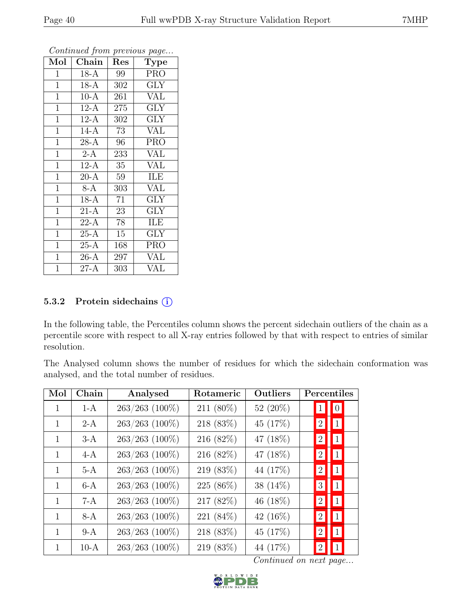| Mol            | Chain               | Res | Type                    |
|----------------|---------------------|-----|-------------------------|
| $\mathbf{1}$   | $18-A$              | 99  | <b>PRO</b>              |
| $\mathbf{1}$   | $18-A$              | 302 | GLY                     |
| $\mathbf{1}$   | $10-A$              | 261 | <b>VAL</b>              |
| $\mathbf{1}$   | $12-A$              | 275 | GLY                     |
| $\mathbf{1}$   | $12-A$              | 302 | <b>GLY</b>              |
| $\mathbf{1}$   | $14-A$              | 73  | <b>VAL</b>              |
| $\mathbf{1}$   | $28-A$              | 96  | <b>PRO</b>              |
| $\overline{1}$ | $2-A$               | 233 | <b>VAL</b>              |
| $\mathbf{1}$   | $12-A$              | 35  | <b>VAL</b>              |
| $\overline{1}$ | $20\text{-}\bar{A}$ | 59  | <b>ILE</b>              |
| $\mathbf{1}$   | $8-A$               | 303 | <b>VAL</b>              |
| $\mathbf{1}$   | $18-A$              | 71  | $\overline{\text{GLY}}$ |
| $\mathbf{1}$   | $21-A$              | 23  | <b>GLY</b>              |
| $\mathbf{1}$   | $22-A$              | 78  | ILE                     |
| $\mathbf{1}$   | $25-A$              | 15  | <b>GLY</b>              |
| $\mathbf{1}$   | $25-A$              | 168 | <b>PRO</b>              |
| $\mathbf{1}$   | $26-A$              | 297 | <b>VAL</b>              |
| $\mathbf{1}$   | $27-A$              | 303 | <b>VAL</b>              |

## 5.3.2 Protein sidechains  $(i)$

In the following table, the Percentiles column shows the percent sidechain outliers of the chain as a percentile score with respect to all X-ray entries followed by that with respect to entries of similar resolution.

The Analysed column shows the number of residues for which the sidechain conformation was analysed, and the total number of residues.

| Mol | Chain  | Analysed         | Rotameric | Outliers    | Percentiles                         |
|-----|--------|------------------|-----------|-------------|-------------------------------------|
| 1   | $1-A$  | 263/263 (100%)   | 211 (80%) | 52 (20%)    | $\boxed{0}$<br>$\vert 1 \vert$      |
| 1   | $2-A$  | 263/263 (100%)   | 218 (83%) | 45 (17%)    | $\vert 1 \vert$<br> 2               |
| 1   | $3-A$  | 263/263 (100%)   | 216 (82%) | 47 (18%)    | $\vert 1 \vert$<br> 2               |
| 1   | $4-A$  | 263/263 (100%)   | 216 (82%) | 47 (18%)    | 1 <br>$\left 2\right $              |
| 1   | $5-A$  | 263/263 (100%)   | 219 (83%) | 44 (17%)    | $\vert 1 \vert$<br>$\left 2\right $ |
| 1   | $6-A$  | 263/263 (100%)   | 225 (86%) | 38 $(14\%)$ | $\vert 1 \vert$<br> 3               |
| 1   | $7-A$  | $263/263$ (100%) | 217 (82%) | 46 (18%)    | $\vert 1 \vert$<br> 2               |
| 1   | $8-A$  | 263/263 (100%)   | 221 (84%) | 42 $(16\%)$ | $\boxed{1}$<br>2                    |
| 1   | $9-A$  | 263/263 (100%)   | 218 (83%) | 45 (17%)    | $\vert 1 \vert$<br>2                |
| 1   | $10-A$ | 263/263 (100%)   | 219 (83%) | 44 (17%)    | $\vert 1 \vert$<br>$\left 2\right $ |

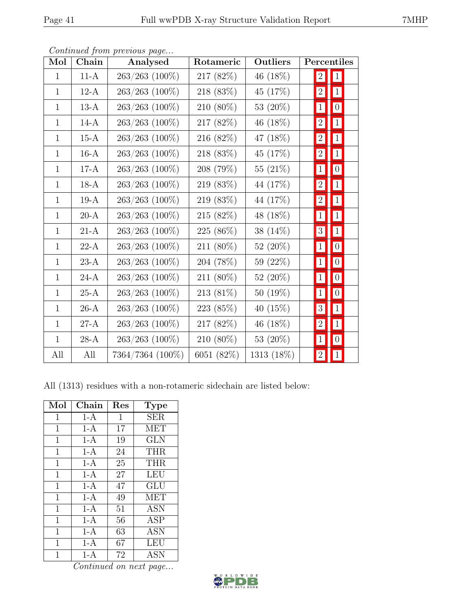| Mol          | Chain  | Analysed            | Rotameric  | Outliers    | Percentiles      |                  |
|--------------|--------|---------------------|------------|-------------|------------------|------------------|
| $\mathbf{1}$ | $11-A$ | 263/263 (100%)      | 217 (82%)  | 46 (18%)    | $\left 2\right $ | 1                |
| $\mathbf{1}$ | $12-A$ | 263/263 (100%)      | 218 (83%)  | 45 (17%)    | $\left 2\right $ | $\vert 1 \vert$  |
| $\mathbf{1}$ | $13-A$ | 263/263 (100%)      | 210 (80%)  | 53 (20%)    | 1                | 0                |
| $\mathbf{1}$ | $14-A$ | $263/263$ $(100\%)$ | 217 (82%)  | 46 (18%)    | $\left 2\right $ | 1                |
| $\mathbf{1}$ | $15-A$ | 263/263 (100%)      | 216 (82%)  | 47 (18%)    | $\left 2\right $ | $1\vert$         |
| $\mathbf{1}$ | $16-A$ | $263/263$ (100%)    | 218 (83%)  | 45 (17%)    | $\left 2\right $ | $\hat{1}$        |
| $\mathbf{1}$ | $17-A$ | 263/263 (100%)      | 208 (79%)  | 55 (21%)    | 1                | 0                |
| $\mathbf{1}$ | $18-A$ | $263/263$ (100%)    | 219 (83%)  | 44 (17%)    | $\left 2\right $ | $\vert 1 \vert$  |
| $\mathbf{1}$ | $19-A$ | 263/263 (100%)      | 219 (83%)  | 44 (17%)    | $\overline{2}$   | $\vert$ 1        |
| $\mathbf{1}$ | $20-A$ | $263/263$ (100%)    | 215 (82%)  | 48 (18%)    | 1                | 1                |
| $\mathbf{1}$ | $21-A$ | 263/263 (100%)      | 225 (86%)  | 38 (14%)    | $3\vert$         | $\vert 1 \vert$  |
| $\mathbf{1}$ | $22-A$ | 263/263 (100%)      | 211 (80%)  | 52 $(20\%)$ | $1\vert$         | 0                |
| $\mathbf{1}$ | $23-A$ | 263/263 (100%)      | 204 (78%)  | 59 (22%)    | 1                | 0                |
| $\mathbf{1}$ | $24-A$ | 263/263 (100%)      | 211 (80%)  | 52 (20%)    | 1                | 0                |
| $\mathbf{1}$ | $25-A$ | 263/263 (100%)      | 213 (81%)  | 50 (19%)    | $\vert 1 \vert$  | $\boldsymbol{0}$ |
| $\mathbf{1}$ | $26-A$ | 263/263 (100%)      | 223 (85%)  | 40 (15%)    | $\overline{3}$   | $1\,$            |
| $\mathbf{1}$ | $27-A$ | $263/263$ $(100\%)$ | 217 (82%)  | 46 (18%)    | 2                | 1                |
| $\mathbf{1}$ | $28-A$ | $263/263$ $(100\%)$ | 210 (80%)  | 53 (20%)    | $\mathbf{1}$     | 0                |
| All          | All    | 7364/7364 (100%)    | 6051 (82%) | 1313 (18%)  | $\left 2\right $ | $\mathbf{1}$     |

All (1313) residues with a non-rotameric sidechain are listed below:

| Mol          | Chain | Res    | <b>Type</b> |
|--------------|-------|--------|-------------|
| $\mathbf{1}$ | $1-A$ | 1      | <b>SER</b>  |
| 1            | $1-A$ | 17     | MET         |
| 1            | $1-A$ | 19     | <b>GLN</b>  |
| $\mathbf{1}$ | $1-A$ | 24     | <b>THR</b>  |
| 1            | $1-A$ | 25     | <b>THR</b>  |
| 1            | $1-A$ | $27\,$ | <b>LEU</b>  |
| $\mathbf{1}$ | $1-A$ | 47     | <b>GLU</b>  |
| $\mathbf 1$  | $1-A$ | 49     | <b>MET</b>  |
| 1            | $1-A$ | 51     | ASN         |
| 1            | $1-A$ | 56     | <b>ASP</b>  |
| $\mathbf 1$  | $1-A$ | 63     | <b>ASN</b>  |
| 1            | $1-A$ | 67     | LEU         |
| 1            | $1-A$ | 72     | <b>ASN</b>  |

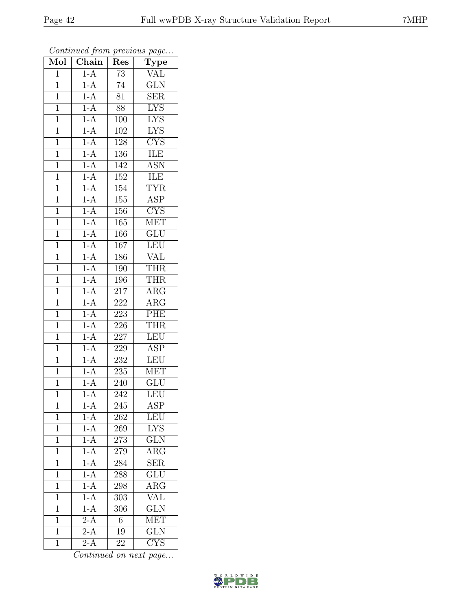| Mol            | Chain             | Res              | $\overline{v}$<br>$\overline{\text{Type}}$    |
|----------------|-------------------|------------------|-----------------------------------------------|
| $\mathbf{1}$   | $1-A$             | 73               | $\overline{\text{VAL}}$                       |
| $\mathbf 1$    | $1-A$             | $\overline{74}$  | $\overline{\text{GLN}}$                       |
| $\mathbf{1}$   | $1-A$             | $\overline{81}$  | SER                                           |
| $\overline{1}$ | $1-A$             | 88               | <b>LYS</b>                                    |
| $\overline{1}$ | $1-A$             | 100              | <b>LYS</b>                                    |
| $\mathbf{1}$   | $1-A$             | 102              | <b>LYS</b>                                    |
| $\mathbf{1}$   | $1-A$             | 128              | <b>CYS</b>                                    |
| $\mathbf{1}$   | $1-A$             | 136              | <b>ILE</b>                                    |
| $\mathbf{1}$   | $1-A$             | 142              | <b>ASN</b>                                    |
| $\overline{1}$ | $1-A$             | 152              | <b>ILE</b>                                    |
| $\mathbf{1}$   | $1-A$             | 154              | <b>TYR</b>                                    |
| $\mathbf{1}$   | $1-A$             | 155              | $\overline{\text{ASP}}$                       |
| $\mathbf{1}$   | $1-A$             | 156              | $\overline{\text{CYS}}$                       |
| $\overline{1}$ | $1-A$             | 165              | $\overline{\text{MET}}$                       |
| $\overline{1}$ | $1-A$             | 166              | $\overline{\text{GLU}}$                       |
| $\mathbf{1}$   | $1-A$             | 167              | LEU                                           |
| $\overline{1}$ | $1-A$             | 186              | <b>VAL</b>                                    |
| $\mathbf{1}$   | $\frac{1-A}{1-A}$ | 190              | <b>THR</b>                                    |
| $\overline{1}$ | $1-A$             | 196              | <b>THR</b>                                    |
| $\overline{1}$ | $1-A$             | 217              | $\overline{\text{ARG}}$                       |
| $\overline{1}$ | $1-A$             | 222              | $\overline{\text{ARG}}$                       |
| $\overline{1}$ | $1-A$             | $\overline{223}$ | PHE                                           |
| $\overline{1}$ | $1-A$             | 226              | <b>THR</b>                                    |
| $\overline{1}$ | $1-A$             | $\overline{2}27$ | <b>LEU</b>                                    |
| $\mathbf{1}$   | $1-A$             | 229              | <b>ASP</b>                                    |
| $\mathbf{1}$   | $1-A$             | 232              | <b>LEU</b>                                    |
| $\mathbf{1}$   | $1-A$             | $\overline{235}$ | <b>MET</b>                                    |
| $\overline{1}$ | $1-A$             | 240              | $\overline{\text{GLU}}$                       |
| $\overline{1}$ | $1-A$             | $\overline{242}$ | LEU                                           |
| 1              | $1-A$             | 245              | <b>ASP</b>                                    |
| $\mathbf{1}$   | $1-A$             | 262              | LEU                                           |
| 1              | $1-A$             | 269              | <b>LYS</b>                                    |
| $\mathbf{1}$   | $1-A$             | 273              | <b>GLN</b>                                    |
| $\overline{1}$ | $1-A$             | 279              | $\overline{\rm{ARG}}$                         |
| $\mathbf{1}$   | $1-A$             | 284              | <b>SER</b>                                    |
| $\mathbf{1}$   | $1-A$             | 288              | $\overline{\text{GLU}}$                       |
| $\mathbf 1$    | $1-A$             | 298              | <b>ARG</b>                                    |
| $\overline{1}$ | $1-A$             | 303              | VAL                                           |
| $\mathbf{1}$   | $1-A$             | 306              | $\overline{\text{GLN}}$                       |
| $\mathbf{1}$   | $\overline{2-A}$  | 6                | <b>MET</b>                                    |
| $\mathbf{1}$   | $\overline{2-A}$  | 19               | $\overline{\text{GLN}}$                       |
| $\mathbf{1}$   | $2-A$             | 22               | $\overline{\mathrm{C} \mathrm{Y}} \mathrm{S}$ |

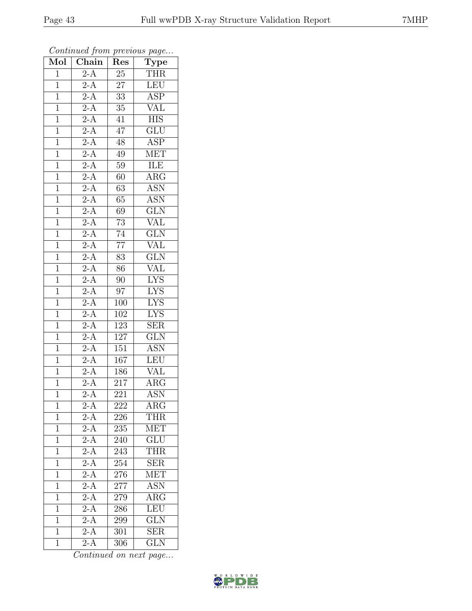| Mol            | $\overline{\text{Chain}}$ | Res              | $\cdot$<br>$\overline{\text{Type}}$ |
|----------------|---------------------------|------------------|-------------------------------------|
| $\overline{1}$ | $2-A$                     | $25\,$           | <b>THR</b>                          |
| $\overline{1}$ | $2-A$                     | $\overline{27}$  | LEU                                 |
| $\mathbf{1}$   | $\overline{2-A}$          | $\overline{33}$  | $\overline{\text{ASP}}$             |
| $\overline{1}$ | $\overline{2-A}$          | $\overline{35}$  | VAL                                 |
| $\overline{1}$ | $2-A$                     | 41               | $\overline{HIS}$                    |
| $\mathbf{1}$   | $2-A$                     | 47               | GLU                                 |
| $\mathbf{1}$   | $\frac{2-A}{2-A}$         | $48\,$           | <b>ASP</b>                          |
| $\mathbf 1$    |                           | 49               | <b>MET</b>                          |
| $\mathbf{1}$   | $\overline{2-A}$          | 59               | <b>ILE</b>                          |
| $\overline{1}$ | $2-A$                     | 60               | $\overline{\text{ARG}}$             |
| $\mathbf{1}$   | $\overline{2-A}$          | 63               | <b>ASN</b>                          |
| $\mathbf{1}$   | $2-A$                     | 65               | <b>ASN</b>                          |
| $\overline{1}$ | $2-A$                     | 69               | GLN                                 |
| $\overline{1}$ | $\overline{2-A}$          | $\overline{73}$  | $\overline{\text{VAL}}$             |
| $\overline{1}$ |                           | 74               | $\overline{\text{GLN}}$             |
| $\mathbf 1$    | $\frac{2-A}{2-A}$<br>2-A  | $\overline{77}$  | $\sqrt{\text{AL}}$                  |
| $\overline{1}$ |                           | $\overline{83}$  | $\overline{\text{GLN}}$             |
| $\mathbf{1}$   | $\frac{2-A}{2-A}$         | 86               | <b>VAL</b>                          |
| $\overline{1}$ |                           | 90               | <b>LYS</b>                          |
| $\overline{1}$ | $2-A$                     | 97               | <b>LYS</b>                          |
| $\overline{1}$ | $\overline{2-A}$          | 100              | <b>LYS</b>                          |
| $\overline{1}$ | $2-A$                     | 102              | $\overline{\text{LYS}}$             |
| $\overline{1}$ | $\overline{2-A}$          | 123              | $\overline{\text{SER}}$             |
| $\overline{1}$ | $\overline{2-A}$          | 127              | $\overline{\text{GLN}}$             |
| $\mathbf{1}$   | $2-A$                     | $\overline{151}$ | <b>ASN</b>                          |
| $\mathbf{1}$   | $2-A$                     | $\overline{1}67$ | $\overline{\text{LEU}}$             |
| $\overline{1}$ | $\overline{2-A}$          | 186              | $\overline{\text{VAL}}$             |
| $\overline{1}$ | $2-A$                     | 217              | $\rm{ARG}$                          |
| $\overline{1}$ | $\overline{2-A}$          | $\overline{221}$ | <b>ASN</b>                          |
| 1              | $2-A$                     | 222              | $\rm{ARG}$                          |
| $\mathbf{1}$   | $2-\overline{A}$          | $226\,$          | <b>THR</b>                          |
| $\mathbf{1}$   | $\overline{2-A}$          | 235              | MET                                 |
| $\mathbf{1}$   | $2-\overline{A}$          | 240              | $\overline{{\rm GLU}}$              |
| $\overline{1}$ | $\overline{2-A}$          | 243              | <b>THR</b>                          |
| $\mathbf{1}$   | $2-\overline{A}$          | 254              | <b>SER</b>                          |
| $\mathbf{1}$   | $\overline{2-A}$          | 276              | MET                                 |
| $\mathbf 1$    | $2-\overline{A}$          | 277              | <b>ASN</b>                          |
| $\overline{1}$ | $\overline{2-A}$          | 279              | $\overline{\rm{ARG}}$               |
| $\mathbf{1}$   | $2-A$                     | 286              | LEU                                 |
| $\mathbf{1}$   | $2-A$                     | 299              | <b>GLN</b>                          |
| $\mathbf{1}$   | $2-A$                     | 301              | <b>SER</b>                          |
| $\overline{1}$ | $2-A$                     | 306              | <b>GLN</b>                          |

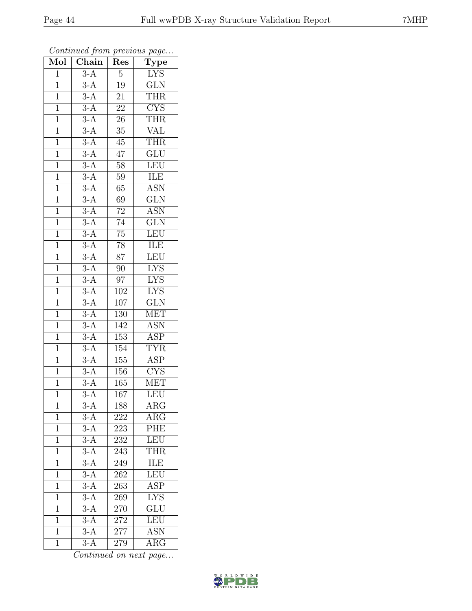| Mol            | $\frac{1}{\sqrt{2}}$<br>$\overline{\text{Chain}}$ | x.<br>Res        | $\mathbf{r}$<br>$\overline{v}$<br>Type |
|----------------|---------------------------------------------------|------------------|----------------------------------------|
| 1              | $\overline{3-A}$                                  | $\overline{5}$   | LYS                                    |
| $\mathbf{1}$   | $3-A$                                             | $19\,$           | $\overline{\text{GLN}}$                |
| $\overline{1}$ |                                                   | $2\overline{1}$  | <b>THR</b>                             |
| $\mathbf{1}$   | $\frac{3-A}{3-A}$                                 | $\overline{22}$  | <b>CYS</b>                             |
| $\overline{1}$ | $\overline{3-A}$                                  | $\overline{26}$  | <b>THR</b>                             |
| $\overline{1}$ | $3-A$                                             | 35               | <b>VAL</b>                             |
| $\overline{1}$ | $\overline{3-A}$                                  | $45\,$           | <b>THR</b>                             |
| $\mathbf{1}$   | $3-A$                                             | 47               | $\overline{\text{GLU}}$                |
| $\overline{1}$ | $\overline{3-A}$                                  | $\overline{5}8$  | LEU                                    |
| $\mathbf{1}$   | $3-A$                                             | $59\,$           | $\overline{\text{ILE}}$                |
| $\mathbf{1}$   | $\overline{3-A}$                                  | $65\,$           | <b>ASN</b>                             |
| $\mathbf{1}$   | $3-A$                                             | 69               | $\overline{\text{GLN}}$                |
| $\overline{1}$ | $3-A$                                             | $\overline{72}$  | <b>ASN</b>                             |
| $\overline{1}$ | $3-A$                                             | $\overline{74}$  | $\overline{\text{GLN}}$                |
| $\overline{1}$ | $3-A$                                             | $\overline{75}$  | LEU                                    |
| $\mathbf{1}$   | $3-A$                                             | 78               | ILE                                    |
| $\mathbf{1}$   | $3-A$                                             | $\overline{87}$  | LEU                                    |
| $\overline{1}$ | $3-A$                                             | 90               | <b>LYS</b>                             |
| $\overline{1}$ | $3-A$                                             | $\overline{97}$  | <b>LYS</b>                             |
| $\overline{1}$ | $3-A$                                             | 102              | I <sub>YS</sub>                        |
| $\mathbf{1}$   | $3-A$                                             | 107              | GLN                                    |
| $\overline{1}$ | $\overline{3-A}$                                  | $\overline{130}$ | <b>MET</b>                             |
| $\mathbf 1$    | $\overline{3-A}$                                  | 142              | <b>ASN</b>                             |
| $\overline{1}$ | $\overline{3-A}$                                  | $\overline{153}$ | $\overline{\text{ASP}}$                |
| $\overline{1}$ | $3-A$                                             | 154              | <b>TYR</b>                             |
| $\overline{1}$ | $3-A$                                             | 155              | $A\overline{SP}$                       |
| $\mathbf{1}$   | $3-A$                                             | 156              | $\overline{\text{CYS}}$                |
| $\overline{1}$ | $\overline{3-A}$                                  | 165              | $\overline{\text{MET}}$                |
| $\overline{1}$ | $\overline{3-A}$                                  | $\overline{167}$ | LEU                                    |
| 1              | $3-A$                                             | 188              | $\rm{ARG}$                             |
| $\mathbf{1}$   | $3-A$                                             | 222              | $\rm{ARG}$                             |
| $\mathbf{1}$   | $3-A$                                             | 223              | PHE                                    |
| $\mathbf{1}$   | $\overline{3-A}$                                  | 232              | LEU                                    |
| $\overline{1}$ | $3-A$                                             | 243              | THR                                    |
| 1              | $3-\overline{A}$                                  | 249              | ILE                                    |
| $\mathbf 1$    | $3-A$                                             | 262              | LEU                                    |
| $\mathbf{1}$   | $3-A$                                             | 263              | <b>ASP</b>                             |
| $\overline{1}$ | $\overline{3-A}$                                  | 269              | $\overline{\text{LYS}}$                |
| $\mathbf 1$    | $3-A$                                             | 270              | $\overline{\text{GLU}}$                |
| $\mathbf 1$    | $3-A$                                             | 272              | <b>LEU</b>                             |
| $\mathbf{1}$   | $3-A$                                             | 277              | $\overline{\text{ASN}}$                |
| $\overline{1}$ | $3-A$                                             | 279              | $\overline{\rm{ARG}}$                  |

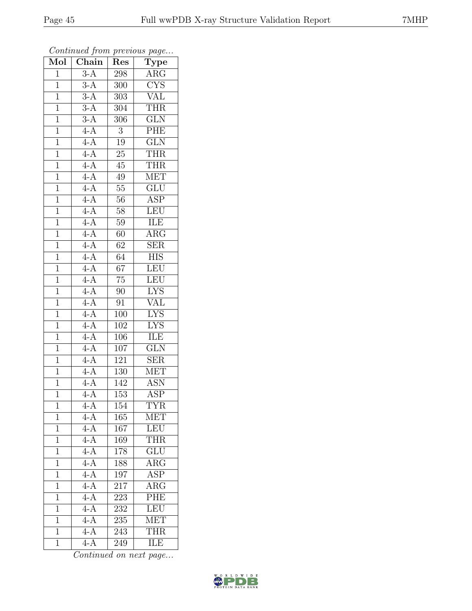| Mol            | Chain            | Res              | $\cdot$<br>$\mathrm{\overline{Type}}$ |
|----------------|------------------|------------------|---------------------------------------|
| $\mathbf{1}$   | $3-A$            | 298              | ARG                                   |
| $\overline{1}$ | $3-A$            | 300              | $\overline{\text{CYS}}$               |
| $\mathbf{1}$   | $\overline{3-A}$ | 303              | $\overline{\text{VAL}}$               |
| $\overline{1}$ | $3-A$            | 304              | <b>THR</b>                            |
| $\overline{1}$ | $3-A$            | 306              | $\overline{\text{GLN}}$               |
| $\mathbf{1}$   | $4-A$            | 3                | PHE                                   |
| $\mathbf{1}$   | $4-A$            | 19               | $\overline{\text{GLN}}$               |
| $\mathbf 1$    | $4-A$            | $25\,$           | <b>THR</b>                            |
| $\overline{1}$ | $4-A$            | $45\,$           | THR                                   |
| $\overline{1}$ | $4-A$            | 49               | <b>MET</b>                            |
| $\mathbf{1}$   | $4-A$            | $55\,$           | GLU                                   |
| $\mathbf{1}$   | $4-A$            | 56               | <b>ASP</b>                            |
| $\overline{1}$ | $4-A$            | $58\,$           | LEU                                   |
| $\overline{1}$ | $4-A$            | 59               | ILE                                   |
| $\overline{1}$ | $4-A$            | $\overline{60}$  | $\overline{\rm{ARG}}$                 |
| $\mathbf{1}$   | $4-A$            | 62               | <b>SER</b>                            |
| $\overline{1}$ | $4-A$            | $\overline{64}$  | $\overline{\text{HIS}}$               |
| $\mathbf{1}$   | $\frac{4-A}{4}$  | 67               | LEU                                   |
| $\overline{1}$ | $\overline{4-A}$ | $\overline{75}$  | $\overline{\text{LEU}}$               |
| $\overline{1}$ | $4-A$            | 90               | <b>LYS</b>                            |
| $\overline{1}$ | $4-A$            | 91               | <b>VAL</b>                            |
| $\overline{1}$ | $4-A$            | 100              | <b>LYS</b>                            |
| $\overline{1}$ | $4-A$            | 102              | $\overline{\text{LYS}}$               |
| $\overline{1}$ | $\overline{4-A}$ | 106              | ILE                                   |
| $\mathbf{1}$   | $4-A$            | 107              | $\overline{\text{GLN}}$               |
| $\mathbf{1}$   | $4-A$            | 121              | <b>SER</b>                            |
| $\overline{1}$ | $4-A$            | 130              | <b>MET</b>                            |
| $\mathbf{1}$   | $4-A$            | 142              | <b>ASN</b>                            |
| $\overline{1}$ | $4-A$            | $\overline{153}$ | $\overline{\text{ASP}}$               |
| 1              | $4-A$            | 154              | TYR                                   |
| $\mathbf{1}$   | $4-A$            | 165              | MET                                   |
| $\mathbf{1}$   | $4-A$            | 167              | <b>LEU</b>                            |
| $\mathbf{1}$   | $4-\overline{A}$ | 169              | <b>THR</b>                            |
| $\overline{1}$ | $4-A$            | 178              | $\overline{\text{GLU}}$               |
| $\mathbf{1}$   | $4-\overline{A}$ | 188              | $\rm{ARG}$                            |
| $\mathbf{1}$   | $4-A$            | 197              | <b>ASP</b>                            |
| $\mathbf 1$    | $\overline{4-A}$ | 217              | <b>ARG</b>                            |
| $\overline{1}$ | $\overline{4-A}$ | 223              | PHE                                   |
| $\mathbf{1}$   | $4-A$            | 232              | LEU                                   |
| 1              | $4-A$            | 235              | <b>MET</b>                            |
| $\mathbf{1}$   | $4-A$            | 243              | <b>THR</b>                            |
| $\overline{1}$ | $\overline{4-A}$ | 249              | ILE                                   |

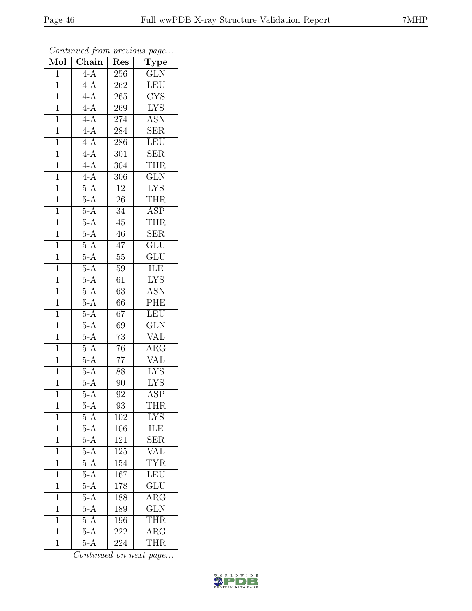| Mol            | Chain            | Res              | $\cdot$<br>$\overline{\text{Type}}$ |
|----------------|------------------|------------------|-------------------------------------|
| $\mathbf{1}$   | $4-A$            | 256              | <b>GLN</b>                          |
| $\overline{1}$ | $4-A$            | 262              | LEU                                 |
| $\mathbf{1}$   | $4-A$            | 265              | $\overline{\text{CYS}}$             |
| $\overline{1}$ | $4-A$            | 269              | $\overline{\text{LYS}}$             |
| $\overline{1}$ | $4-A$            | 274              | <b>ASN</b>                          |
| $\mathbf{1}$   | $4-A$            | 284              | $\overline{\rm SER}$                |
| $\mathbf{1}$   | $4-A$            | 286              | LEU                                 |
| $\mathbf 1$    | $4-A$            | 301              | $\overline{\text{SER}}$             |
| $\overline{1}$ | $4-A$            | 304              | <b>THR</b>                          |
| $\overline{1}$ | $4-A$            | $\overline{306}$ | $\overline{\text{GLN}}$             |
| $\mathbf{1}$   | $5-A$            | $12\,$           | <b>LYS</b>                          |
| $\mathbf{1}$   | $5-A$            | $26\,$           | <b>THR</b>                          |
| $\overline{1}$ | $5-A$            | $34\,$           | <b>ASP</b>                          |
| $\overline{1}$ | $5-A$            | $45\,$           | <b>THR</b>                          |
| $\overline{1}$ | $5-A$            | $\overline{46}$  | $\overline{\text{SER}}$             |
| $\mathbf{1}$   | $\overline{5-A}$ | 47               | $\overline{\text{GLU}}$             |
| $\overline{1}$ | $5-A$            | $\overline{55}$  | $\overline{\text{GLU}}$             |
| $\mathbf{1}$   | $5-A$            | 59               | ILE                                 |
| $\overline{1}$ | $5-A$            | $\overline{61}$  | <b>LYS</b>                          |
| $\overline{1}$ | $5-A$            | 63               | <b>ASN</b>                          |
| $\overline{1}$ | $5-A$            | 66               | PHE                                 |
| $\overline{1}$ | $\overline{5-A}$ | $\overline{67}$  | LEU                                 |
| $\overline{1}$ | $5-A$            | 69               | $\overline{\text{GLN}}$             |
| $\overline{1}$ | $5-A$            | $\overline{73}$  | $\rm V\overline{AL}$                |
| $\mathbf{1}$   | $5-A$            | 76               | $\overline{\rm{ARG}}$               |
| $\mathbf{1}$   | $5-A$            | $\overline{77}$  | <b>VAL</b>                          |
| $\overline{1}$ | $5-A$            | $\overline{88}$  | $\overline{\text{LYS}}$             |
| $\overline{1}$ | $5-A$            | 90               | <b>LYS</b>                          |
| $\overline{1}$ | $5-A$            | 92               | $\overline{\text{ASP}}$             |
| 1              | $5-A$            | 93               | THR                                 |
| $\mathbf{1}$   | $5-\overline{A}$ | 102              | <b>LYS</b>                          |
| $\mathbf{1}$   | $5-A$            | 106              | <b>ILE</b>                          |
| $\mathbf{1}$   | $5-\overline{A}$ | 121              | $\overline{\text{SER}}$             |
| $\overline{1}$ | $5-A$            | $\overline{125}$ | $\overline{\text{VAL}}$             |
| $\mathbf{1}$   | $5-\overline{A}$ | 154              | <b>TYR</b>                          |
| $\mathbf{1}$   | $5-A$            | 167              | LEU                                 |
| $\mathbf 1$    | $5-A$            | 178              | $\overline{\text{GLU}}$             |
| $\overline{1}$ | $\overline{5-A}$ | 188              | $\overline{\rm{ARG}}$               |
| $\mathbf 1$    | $5-A$            | 189              | $\overline{\text{GLN}}$             |
| $\mathbf 1$    | $5-A$            | 196              | <b>THR</b>                          |
| $\overline{1}$ | $5-A$            | 222              | $\overline{\text{ARG}}$             |
| $\mathbf{1}$   | $5-A$            | 224              | <b>THR</b>                          |

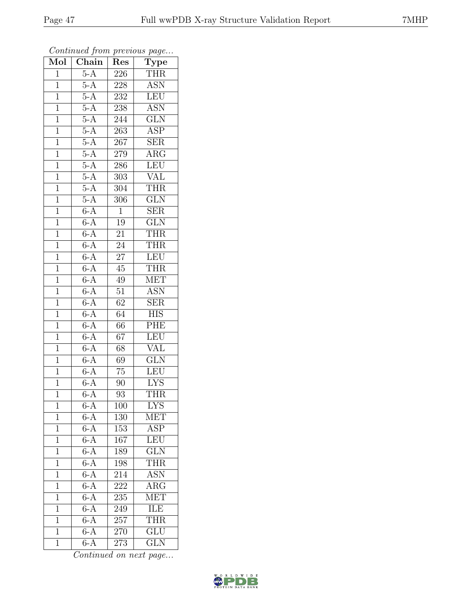| Mol            | Chain            | Res             | $\cdot$<br>$\overline{\text{Type}}$ |
|----------------|------------------|-----------------|-------------------------------------|
| $\mathbf 1$    | $5-A$            | 226             | <b>THR</b>                          |
| $\mathbf 1$    | $\overline{5-A}$ | 228             | $\overline{\mathrm{ASN}}$           |
| $\mathbf{1}$   | $5-A$            | 232             | LEU                                 |
| $\overline{1}$ | $5-A$            | 238             | <b>ASN</b>                          |
| $\overline{1}$ | $5-A$            | 244             | $\overline{\text{GLN}}$             |
| $\mathbf{1}$   | $5-A$            | 263             | <b>ASP</b>                          |
| $\mathbf{1}$   | $5-A$            | 267             | <b>SER</b>                          |
| $\mathbf{1}$   | $5-A$            | 279             | $\rm{ARG}$                          |
| $\mathbf{1}$   | $5-A$            | 286             | LEU                                 |
| $\overline{1}$ | $5-A$            | 303             | VAL                                 |
| $\mathbf 1$    | $5-A$            | 304             | THR                                 |
| $\mathbf{1}$   | $5-A$            | 306             | $\overline{\text{GLN}}$             |
| $\overline{1}$ | $6-A$            | $\mathbf{1}$    | <b>SER</b>                          |
| $\overline{1}$ | $6-A$            | 19              | $\overline{\text{GLN}}$             |
| $\overline{1}$ | $6-A$            | $\overline{21}$ | <b>THR</b>                          |
| $\mathbf{1}$   | $6-A$            | 24              | <b>THR</b>                          |
| $\overline{1}$ | $6-A$            | $\overline{27}$ | <b>LEU</b>                          |
| $\mathbf{1}$   | $6-A$            | 45              | <b>THR</b>                          |
| $\overline{1}$ | $6-A$            | 49              | <b>MET</b>                          |
| $\overline{1}$ | $6-A$            | $\overline{51}$ | $\overline{\text{ASN}}$             |
| $\overline{1}$ | $6-A$            | $\overline{62}$ | $\overline{\text{SER}}$             |
| $\overline{1}$ | $6-A$            | 64              | $\overline{HIS}$                    |
| $\overline{1}$ | $6-A$            | 66              | PHE                                 |
| $\overline{1}$ | $6-A$            | $\overline{67}$ | LEU                                 |
| $\mathbf{1}$   | $6-A$            | 68              | <b>VAL</b>                          |
| $\mathbf{1}$   | $6-A$            | 69              | $\overline{\text{GLN}}$             |
| $\mathbf{1}$   | $6-A$            | $\overline{75}$ | <b>LEU</b>                          |
| $\overline{1}$ | $6-A$            | 90              | <b>LYS</b>                          |
| $\overline{1}$ | $6-A$            | 93              | <b>THR</b>                          |
| 1              | $6-A$            | 100             | <b>LYS</b>                          |
| 1              | $6-A$            | 130             | MET                                 |
| $\mathbf 1$    | $6-A$            | 153             | <b>ASP</b>                          |
| $\mathbf 1$    | $6-\overline{A}$ | 167             | LEU                                 |
| $\overline{1}$ | $6-A$            | 189             | $\overline{\text{GLN}}$             |
| 1              | $6-\overline{A}$ | 198             | THR                                 |
| 1              | $6-A$            | 214             | <b>ASN</b>                          |
| 1              | $6 - A$          | 222             | ARG                                 |
| $\overline{1}$ | $6-A$            | 235             | <b>MET</b>                          |
| 1              | $6-A$            | 249             | ILE                                 |
| $\mathbf 1$    | $6-A$            | 257             | <b>THR</b>                          |
| $\mathbf{1}$   | $6-A$            | 270             | $\overline{\text{GLU}}$             |
| $\mathbf{1}$   | $6-A$            | 273             | <b>GLN</b>                          |

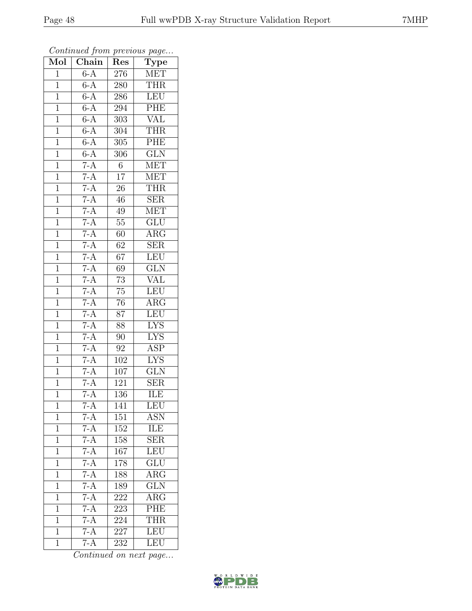| Mol            | Chain             | Res              | $\overline{\text{Type}}$ |
|----------------|-------------------|------------------|--------------------------|
| $\mathbf{1}$   | $6-A$             | 276              | MET                      |
| $\mathbf 1$    | $6-A$             | 280              | <b>THR</b>               |
| $\mathbf{1}$   | $6-A$             | 286              | LEU                      |
| $\overline{1}$ | $6-A$             | 294              | PHE                      |
| $\overline{1}$ | $6-A$             | 303              | <b>VAL</b>               |
| $\mathbf{1}$   | $6-A$             | 304              | <b>THR</b>               |
| $\mathbf{1}$   | $6-A$             | 305              | PHE                      |
| $\mathbf{1}$   | $6-A$             | 306              | $\overline{\text{GLN}}$  |
| $\mathbf{1}$   | $7-A$             | $\,6$            | <b>MET</b>               |
| $\overline{1}$ | $7-A$             | $\overline{17}$  | <b>MET</b>               |
| $\mathbf{1}$   | $\frac{7-A}{7-A}$ | 26               | <b>THR</b>               |
| $\mathbf 1$    |                   | 46               | $\overline{\text{SER}}$  |
| $\overline{1}$ | $7-A$             | 49               | <b>MET</b>               |
| $\overline{1}$ | $7-A$             | 55               | $\overline{\text{GLU}}$  |
| $\overline{1}$ | $7-A$             | 60               | $\overline{\text{ARG}}$  |
| $\mathbf{1}$   | $7-A$             | 62               | <b>SER</b>               |
| $\mathbf{1}$   | $7-A$             | 67               | LEU                      |
| $\mathbf{1}$   | $7-A$             | 69               | GLN                      |
| $\mathbf 1$    | $\overline{7-A}$  | $\overline{73}$  | VAL                      |
| $\overline{1}$ | $7-A$             | 75               | LEU                      |
| $\mathbf{1}$   | $7-A$             | 76               | $\rm{ARG}$               |
| $\overline{1}$ | $7-A$             | 87               | $\overline{\text{LEU}}$  |
| $\overline{1}$ | $7-A$             | 88               | $\overline{\text{LYS}}$  |
| $\overline{1}$ | $7-A$             | 90               | $\overline{\text{LYS}}$  |
| $\mathbf{1}$   | $7-A$             | 92               | <b>ASP</b>               |
| $\mathbf{1}$   | $7-A$             | 102              | <b>LYS</b>               |
| $\mathbf{1}$   | $7-A$             | 107              | $\overline{\text{GLN}}$  |
| $\mathbf{1}$   | $7-A$             | $\overline{121}$ | <b>SER</b>               |
| $\overline{1}$ | $7-A$             | $\overline{136}$ | ILE                      |
| 1              | $7-A$             | 141              | LEU                      |
| 1              | $7 - A$           | 151              | <b>ASN</b>               |
| $\mathbf 1$    | $7-A$             | 152              | ILE                      |
| 1              | $7-A$             | 158              | <b>SER</b>               |
| $\overline{1}$ | $7-A$             | 167              | LEU                      |
| 1              | $7-A$             | 178              | GLU                      |
| 1              | $7-A$             | 188              | $\overline{\text{ARG}}$  |
| $\mathbf 1$    | $\frac{7-A}{7-A}$ | 189              | <b>GLN</b>               |
| $\overline{1}$ |                   | 222              | $\overline{\rm{ARG}}$    |
| $\mathbf{1}$   | $7-A$             | 223              | PHE                      |
| $\mathbf 1$    | $7-A$             | 224              | <b>THR</b>               |
| $\overline{1}$ | $7-A$             | 227              | <b>LEU</b>               |
| $\mathbf{1}$   | $7-A$             | 232              | <b>LEU</b>               |

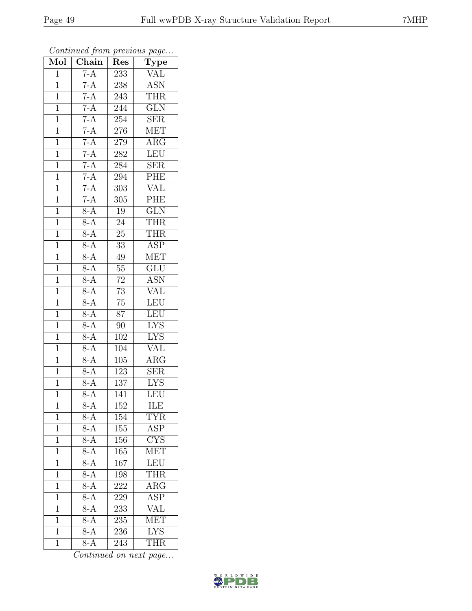| Mol            | $\overline{\text{Chain}}$ | Res              | $\cdot$<br>$\overline{\mathrm{T}}$ ype |
|----------------|---------------------------|------------------|----------------------------------------|
| $\mathbf 1$    | $7-A$                     | 233              | <b>VAL</b>                             |
| $\mathbf 1$    | $7-A$                     | 238              | $\overline{ASN}$                       |
| $\mathbf{1}$   | $7-A$                     | 243              | <b>THR</b>                             |
| $\overline{1}$ | $7-A$                     | 244              | GLN                                    |
| $\overline{1}$ | $7-A$                     | $\overline{254}$ | SER                                    |
| $\mathbf{1}$   | $7-A$                     | $276\,$          | <b>MET</b>                             |
| $\mathbf{1}$   | $7-A$                     | 279              | $\rm{ARG}$                             |
| $\mathbf{1}$   | $7-A$                     | 282              | <b>LEU</b>                             |
| $\mathbf{1}$   | $7-A$                     | 284              | <b>SER</b>                             |
| $\overline{1}$ | $7-A$                     | 294              | PHE                                    |
| $\mathbf{1}$   | $\frac{7-A}{7-A}$         | 303              | <b>VAL</b>                             |
| $\mathbf{1}$   |                           | 305              | PHE                                    |
| $\mathbf{1}$   | $8-A$                     | 19               | $\overline{\text{GLN}}$                |
| $\overline{1}$ | $\overline{8-A}$          | 24               | <b>THR</b>                             |
| $\overline{1}$ | $8-A$                     | $\overline{25}$  | <b>THR</b>                             |
| $\mathbf{1}$   | $8-A$                     | 33               | <b>ASP</b>                             |
| $\overline{1}$ | $8-A$                     | $49\,$           | <b>MET</b>                             |
| $\mathbf{1}$   | $8-A$                     | 55               | $\overline{\text{GLU}}$                |
| $\overline{1}$ | $8-A$                     | $\overline{72}$  | $\overline{\text{ASN}}$                |
| $\overline{1}$ | $8-A$                     | 73               | <b>VAL</b>                             |
| $\mathbf 1$    | $8-A$                     | $\overline{75}$  | LEU                                    |
| $\mathbf{1}$   | $8-A$                     | $\overline{87}$  | LEU                                    |
| $\overline{1}$ | $8-A$                     | 90               | $\overline{\text{LYS}}$                |
| $\overline{1}$ | $8-A$                     | 102              | <b>LYS</b>                             |
| $\mathbf{1}$   | $8-A$                     | 104              | <b>VAL</b>                             |
| $\mathbf{1}$   | $8-A$                     | 105              | $\overline{\text{ARG}}$                |
| $\mathbf{1}$   | $8-A$                     | 123              | $\overline{\rm SER}$                   |
| $\mathbf{1}$   | $8-A$                     | 137              | <b>LYS</b>                             |
| $\overline{1}$ | $\overline{8-A}$          | $\overline{141}$ | LEU                                    |
| 1              | $8-A$                     | 152              | ILE                                    |
| 1              | $8-\overline{A}$          | 154              | TYR                                    |
| $\mathbf{1}$   | $8-A$                     | $\overline{155}$ | <b>ASP</b>                             |
| $\mathbf 1$    | $8-\overline{A}$          | 156              | $\overline{\text{C} \text{YS}}$        |
| $\overline{1}$ | $8-A$                     | $\overline{165}$ | MET                                    |
| $\mathbf{1}$   | $8-\overline{A}$          | 167              | LEU                                    |
| $\mathbf{1}$   | $8-A$                     | 198              | <b>THR</b>                             |
| $\mathbf 1$    | $8-A$                     | 222              | <b>ARG</b>                             |
| $\overline{1}$ | $\overline{8-A}$          | 229              | <b>ASP</b>                             |
| $\mathbf 1$    | $8-A$                     | 233              | $\overline{\text{VAL}}$                |
| 1              | $8-A$                     | 235              | $\overline{\text{MET}}$                |
| $\mathbf{1}$   | $8-A$                     | 236              | $\overline{\text{LYS}}$                |
| $\mathbf{1}$   | $8-A$                     | 243              | <b>THR</b>                             |

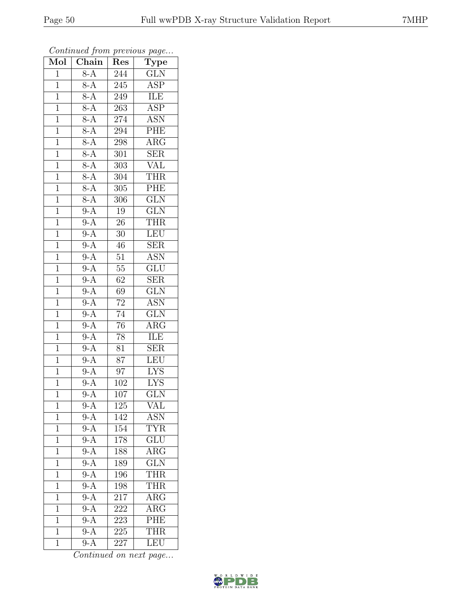| Mol            | $\overline{\text{Chain}}$ | Res              | $\overline{\text{Type}}$ |
|----------------|---------------------------|------------------|--------------------------|
| $\mathbf{1}$   | $8-A$                     | 244              | <b>GLN</b>               |
| $\overline{1}$ | $8-A$                     | $\overline{245}$ | <b>ASP</b>               |
| $\overline{1}$ | $8-A$                     | 249              | ILE                      |
| $\mathbf{1}$   | $8-A$                     | 263              | <b>ASP</b>               |
| $\overline{1}$ | $8-A$                     | 274              | $\overline{\text{ASN}}$  |
| $\mathbf{1}$   | $8-A$                     | 294              | PHE                      |
| $\overline{1}$ | $8-A$                     | 298              | $\overline{\rm{ARG}}$    |
| $\mathbf{1}$   | $8-A$                     | 301              | $\overline{\text{SER}}$  |
| $\mathbf{1}$   | $8-A$                     | 303              | <b>VAL</b>               |
| $\mathbf{1}$   | $\overline{8-A}$          | 304              | <b>THR</b>               |
| $\mathbf{1}$   | $8-A$                     | 305              | PHE                      |
| $\overline{1}$ | $\overline{8-A}$          | $\overline{306}$ | $\overline{\text{GLN}}$  |
| $\overline{1}$ | $9-A$                     | 19               | $\overline{\text{GLN}}$  |
| $\mathbf{1}$   | $9-A$                     | 26               | THR                      |
| $\overline{1}$ | $9-A$                     | $\overline{30}$  | LEU                      |
| $\mathbf 1$    | $9-A$                     | 46               | <b>SER</b>               |
| $\overline{1}$ | $9-A$                     | $\overline{51}$  | <b>ASN</b>               |
| $\mathbf{1}$   | $9-A$                     | $55\,$           | GLU                      |
| $\overline{1}$ | $9-A$                     | $\overline{62}$  | $\overline{\text{SER}}$  |
| $\mathbf{1}$   | $9-A$                     | 69               | $\overline{\text{GLN}}$  |
| $\overline{1}$ | $9-A$                     | $\overline{72}$  | <b>ASN</b>               |
| $\overline{1}$ | $9-A$                     | $\overline{74}$  | $\overline{\text{GLN}}$  |
| $\mathbf{1}$   | $9-A$                     | 76               | $\rm{ARG}$               |
| $\overline{1}$ | $9-A$                     | $\overline{78}$  | <b>ILE</b>               |
| $\mathbf{1}$   | $9-A$                     | 81               | $\overline{\text{SER}}$  |
| $\mathbf{1}$   | $9-A$                     | 87               | LEU                      |
| $\overline{1}$ | $9-A$                     | $\overline{97}$  | <b>LYS</b>               |
| $\mathbf 1$    | $9-A$                     | 102              | <b>LYS</b>               |
| $\mathbf 1$    | $\overline{9-A}$          | 107              | $\overline{\text{GLN}}$  |
| 1              | $9-A$                     | $\overline{125}$ | VAL                      |
| $\overline{1}$ | $9-{\overline{\rm A}}$    | 142              | ASN                      |
| $\mathbf 1$    | $9-A$                     | 154              | <b>TYR</b>               |
| $\mathbf{1}$   | $9-A$                     | 178              | <b>GLU</b>               |
| $\mathbf 1$    | $9-A$                     | 188              | $\overline{\rm{ARG}}$    |
| $\mathbf{1}$   | $9-A$                     | 189              | <b>GLN</b>               |
| $\overline{1}$ | $9-A$                     | 196              | <b>THR</b>               |
| $\mathbf{1}$   | $9-A$                     | 198              | <b>THR</b>               |
| 1              | $\overline{9-A}$          | 217              | $\overline{\rm{ARG}}$    |
| $\mathbf{1}$   | $9-A$                     | 222              | $\rm{ARG}$               |
| $\mathbf{1}$   | $9-A$                     | 223              | PHE                      |
| $\mathbf{1}$   | $9-A$                     | 225              | <b>THR</b>               |
| $\mathbf 1$    | $9-A$                     | 227              | LEU                      |

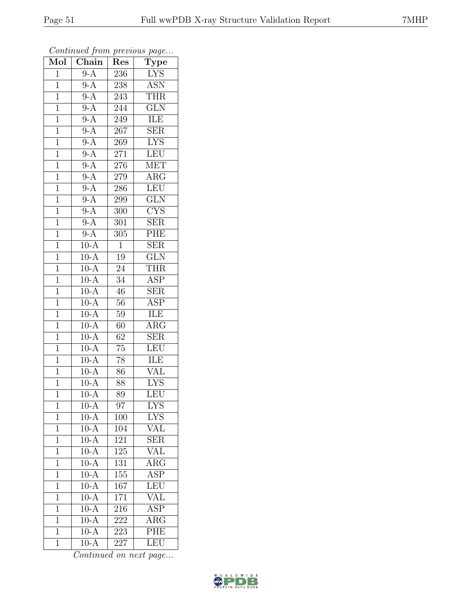| Mol            | Chain             | Res              | $\cdot$<br>$\overline{\text{Type}}$ |
|----------------|-------------------|------------------|-------------------------------------|
| $\mathbf{1}$   | $\overline{9-A}$  | 236              | <b>LYS</b>                          |
| $\overline{1}$ | $9-A$             | 238              | $\overline{\text{ASN}}$             |
| $\mathbf{1}$   | $9-A$             | 243              | <b>THR</b>                          |
| $\overline{1}$ | $9-A$             | 244              | GLN                                 |
| $\overline{1}$ | $9-A$             | 249              | ILE                                 |
| $\mathbf{1}$   | $9-A$             | 267              | $\overline{\text{SER}}$             |
| $\mathbf{1}$   | $9-A$             | 269              | <b>LYS</b>                          |
| $\mathbf{1}$   | $9-A$             | 271              | <b>LEU</b>                          |
| $\mathbf{1}$   | $9-A$             | 276              | <b>MET</b>                          |
| $\overline{1}$ | $9-A$             | $\overline{279}$ | $\overline{\text{ARG}}$             |
| $\mathbf{1}$   | $9-A$             | 286              | LEU                                 |
| $\mathbf{1}$   | $9-A$             | 299              | $\overline{\text{GLN}}$             |
| $\overline{1}$ | $9-A$             | 300              | $\overline{\text{CYS}}$             |
| $\overline{1}$ | $\overline{9-A}$  | $\overline{301}$ | <b>SER</b>                          |
| $\overline{1}$ | $9-A$             | $\overline{305}$ | PHE                                 |
| $\mathbf{1}$   | $10-A$            | $\mathbf{1}$     | <b>SER</b>                          |
| $\overline{1}$ | $10-A$            | $\overline{19}$  | $\overline{\text{GLN}}$             |
| $\mathbf{1}$   | $10-A$            | 24               | <b>THR</b>                          |
| $\overline{1}$ | $10-A$            | $\overline{34}$  | <b>ASP</b>                          |
| $\overline{1}$ | $10-A$            | 46               | <b>SER</b>                          |
| $\mathbf 1$    | $10-A$            | 56               | <b>ASP</b>                          |
| $\mathbf{1}$   | $10-A$            | 59               | ILE                                 |
| $\overline{1}$ | $10-A$            | 60               | $\overline{\text{ARG}}$             |
| $\overline{1}$ | $10-A$            | 62               | SER                                 |
| $\mathbf{1}$   | $10-A$            | 75               | LEU                                 |
| $\mathbf{1}$   | $10-A$            | 78               | ILE                                 |
| $\overline{1}$ | $10-A$            | 86               | $\overline{\text{VAL}}$             |
| $\mathbf 1$    | $10-A$            | 88               | <b>LYS</b>                          |
| $\overline{1}$ | $10-A$            | 89               | LEU                                 |
| 1              | $10-A$            | 97               | <b>LYS</b>                          |
| 1              | $10-A$            | 100              | <b>LYS</b>                          |
| $\mathbf{1}$   | $10-A$            | 104              | VAL                                 |
| $\mathbf{1}$   | $10-\overline{A}$ | 121              | SER                                 |
| $\overline{1}$ | $10-A$            | 125              | $\overline{\text{VAL}}$             |
| $\mathbf{1}$   | $10-A$            | 131              | $\rm{ARG}$                          |
| $\mathbf{1}$   | $10-A$            | 155              | $\overline{\text{ASP}}$             |
| $\mathbf 1$    | $10-A$            | 167              | LEU                                 |
| $\overline{1}$ | $10-A$            | 171              | VAL                                 |
| $\mathbf 1$    | $10-A$            | 216              | $\overline{\text{ASP}}$             |
| 1              | $10-A$            | 222              | $\overline{\rm{ARG}}$               |
| $\mathbf{1}$   | $10-A$            | 223              | PHE                                 |
| $\overline{1}$ | $10-A$            | 227              | LEU                                 |

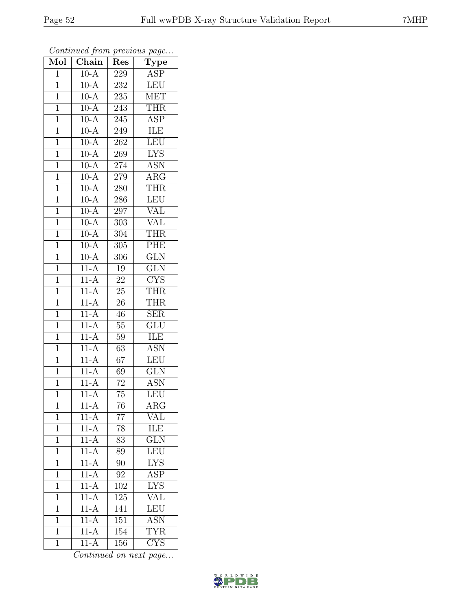| $\overline{\text{Mol}}$ | $\boldsymbol{\mathcal{J}}$<br>$\overline{\text{Chain}}$ | Res              | $\mathbf{r}$<br>$\overline{v}$<br>$\overline{\text{Type}}$ |
|-------------------------|---------------------------------------------------------|------------------|------------------------------------------------------------|
| $\overline{1}$          | $10-A$                                                  | 229              | <b>ASP</b>                                                 |
| $\overline{1}$          | $10-A$                                                  | 232              | <b>LEU</b>                                                 |
| $\overline{1}$          | $10-A$                                                  | 235              | $\overline{\text{MET}}$                                    |
| $\mathbf 1$             | $10-A$                                                  | 243              | <b>THR</b>                                                 |
| $\overline{1}$          | $10-A$                                                  | 245              | $\overline{\text{ASP}}$                                    |
| $\overline{1}$          | $10-A$                                                  | 249              | ILE                                                        |
| $\overline{1}$          | $10-A$                                                  | 262              | LEU                                                        |
| $\mathbf{1}$            | $10-A$                                                  | 269              | $\overline{\text{LYS}}$                                    |
| $\mathbf{1}$            | $10\overline{A}$                                        | 274              | <b>ASN</b>                                                 |
| $\overline{1}$          | $10-A$                                                  | 279              | $\overline{\text{ARG}}$                                    |
| $\mathbf{1}$            | $10-A$                                                  | 280              | <b>THR</b>                                                 |
| $\overline{1}$          | $10-A$                                                  | 286              | LEU                                                        |
| $\overline{1}$          | $10-A$                                                  | 297              | VĀL                                                        |
| $\mathbf{1}$            | $10-A$                                                  | 303              | VAL                                                        |
| $\mathbf{1}$            | $10-A$                                                  | $\overline{304}$ | THR                                                        |
| $\overline{1}$          | $10-A$                                                  | $\overline{3}05$ | PHE                                                        |
| $\overline{1}$          | $10-A$                                                  | $\overline{306}$ | $\overline{\text{GLN}}$                                    |
| $\mathbf{1}$            | $11-A$                                                  | 19               | <b>GLN</b>                                                 |
| $\mathbf{1}$            | $11-A$                                                  | 22               | $\overline{\text{CYS}}$                                    |
| $\mathbf{1}$            | $11-A$                                                  | 25               | <b>THR</b>                                                 |
| $\mathbf 1$             | $11-A$                                                  | 26               | <b>THR</b>                                                 |
| $\overline{1}$          | $11-A$                                                  | 46               | $\overline{\text{SER}}$                                    |
| $\mathbf 1$             | $11-A$                                                  | 55               | $\overline{\text{GLU}}$                                    |
| $\overline{1}$          | $11-A$                                                  | 59               | <b>ILE</b>                                                 |
| $\mathbf{1}$            | $11-A$                                                  | 63               | <b>ASN</b>                                                 |
| $\overline{1}$          | $11-A$                                                  | 67               | $\overline{\text{LEU}}$                                    |
| $\mathbf{1}$            | $11-A$                                                  | 69               | $\overline{\text{GLN}}$                                    |
| $\mathbf{1}$            | $11-A$                                                  | $72\,$           | <b>ASN</b>                                                 |
| $\overline{1}$          | $11-A$                                                  | $\overline{75}$  | LEU                                                        |
| $\mathbf 1$             | $11-A$                                                  | 76               | $\rm{ARG}$                                                 |
| $\mathbf{1}$            | $11-A$                                                  | 77               | VAL                                                        |
| $\overline{1}$          | $11-A$                                                  | 78               | <b>ILE</b>                                                 |
| 1                       | $11-A$                                                  | 83               | <b>GLN</b>                                                 |
| $\mathbf 1$             | $11-A$                                                  | 89               | LEU                                                        |
| $\mathbf{1}$            | $11-A$                                                  | 90               | <b>LYS</b>                                                 |
| $\overline{1}$          | $11-A$                                                  | $\overline{92}$  | $\overline{\text{ASP}}$                                    |
| 1                       | $11-A$                                                  | 102              | <b>LYS</b>                                                 |
| $\mathbf{1}$            | $11-A$                                                  | 125              | VAL                                                        |
| $\mathbf 1$             | $11-A$                                                  | 141              | LEU                                                        |
| $\mathbf{1}$            | $11-A$                                                  | 151              | <b>ASN</b>                                                 |
| $\mathbf 1$             | $11-A$                                                  | 154              | <b>TYR</b>                                                 |
| $\overline{1}$          | $11-A$                                                  | <b>156</b>       | $\overline{\text{CYS}}$                                    |

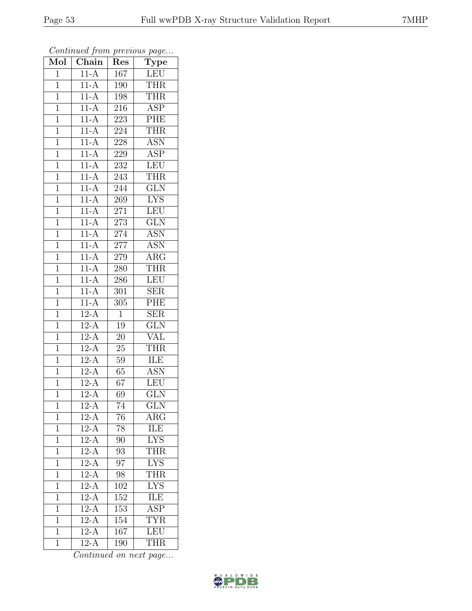| Mol            | $\overline{\text{Chain}}$ | Res             | $\cdot$<br>$\overline{\text{Type}}$ |
|----------------|---------------------------|-----------------|-------------------------------------|
| $\mathbf 1$    | $11-A$                    | 167             | <b>LEU</b>                          |
| $\mathbf 1$    | $11-A$                    | 190             | <b>THR</b>                          |
| $\mathbf{1}$   | $11-A$                    | 198             | <b>THR</b>                          |
| $\overline{1}$ | $11-A$                    | 216             | <b>ASP</b>                          |
| $\overline{1}$ | $11-A$                    | 223             | PHE                                 |
| $\mathbf{1}$   | $11-A$                    | 224             | <b>THR</b>                          |
| $\mathbf{1}$   | $11-A$                    | 228             | <b>ASN</b>                          |
| $\mathbf 1$    | $11-A$                    | 229             | $\overline{\text{ASP}}$             |
| $\mathbf{1}$   | $11-A$                    | 232             | <b>LEU</b>                          |
| $\overline{1}$ | $11-A$                    | 243             | <b>THR</b>                          |
| $\mathbf{1}$   | $11-A$                    | 244             | <b>GLN</b>                          |
| $\mathbf 1$    | $11-A$                    | 269             | $\overline{\text{LYS}}$             |
| $\mathbf{1}$   | $11-A$                    | 271             | <b>LEU</b>                          |
| $\overline{1}$ | $11-A$                    | 273             | <b>GLN</b>                          |
| $\overline{1}$ | $11-A$                    | 274             | $\overline{\text{ASN}}$             |
| $\mathbf{1}$   | $11-A$                    | 277             | ASN                                 |
| $\mathbf{1}$   | $11-A$                    | 279             | $\overline{\rm{ARG}}$               |
| $\mathbf{1}$   | $11-A$                    | 280             | THR                                 |
| $\overline{1}$ | $11-A$                    | 286             | LEU                                 |
| $\mathbf{1}$   | $11-A$                    | 301             | <b>SER</b>                          |
| $\mathbf 1$    | $11-A$                    | 305             | PHE                                 |
| $\mathbf{1}$   | $12-A$                    | $\mathbf{1}$    | SER                                 |
| $\overline{1}$ | $12-A$                    | $19\,$          | <b>GLN</b>                          |
| $\overline{1}$ | $12 - \overline{A}$       | 20              | $\rm V\overline{AL}$                |
| $\mathbf{1}$   | $12-A$                    | $25\,$          | <b>THR</b>                          |
| $\mathbf{1}$   | $12-A$                    | $59\,$          | ILE                                 |
| $\mathbf{1}$   | $12-A$                    | 65              | $\overline{\text{ASN}}$             |
| $\mathbf{1}$   | $12-A$                    | 67              | LEU                                 |
| $\overline{1}$ | $12-A$                    | 69              | $\overline{\text{GLN}}$             |
| 1              | $12-A$                    | 74              | <b>GLN</b>                          |
| 1              | $12-\overline{A}$         | 76              | $\rm{ARG}$                          |
| $\mathbf{1}$   | $12-A$                    | 78              | <b>ILE</b>                          |
| $\mathbf{1}$   | $12-A$                    | 90              | <b>LYS</b>                          |
| $\overline{1}$ | $\overline{12-A}$         | $\overline{93}$ | <b>THR</b>                          |
| $\mathbf{1}$   | $12\overline{A}$          | 97              | <b>LYS</b>                          |
| $\mathbf{1}$   | $12-A$                    | 98              | <b>THR</b>                          |
| $\mathbf 1$    | $12-A$                    | 102             | <b>LYS</b>                          |
| $\overline{1}$ | $\overline{12-A}$         | 152             | ILE                                 |
| $\mathbf 1$    | $12-A$                    | 153             | $\overline{\text{ASP}}$             |
| 1              | $12-A$                    | 154             | <b>TYR</b>                          |
| $\mathbf{1}$   | $12-A$                    | 167             | LEU                                 |
| $\overline{1}$ | $12-A$                    | 190             | <b>THR</b>                          |

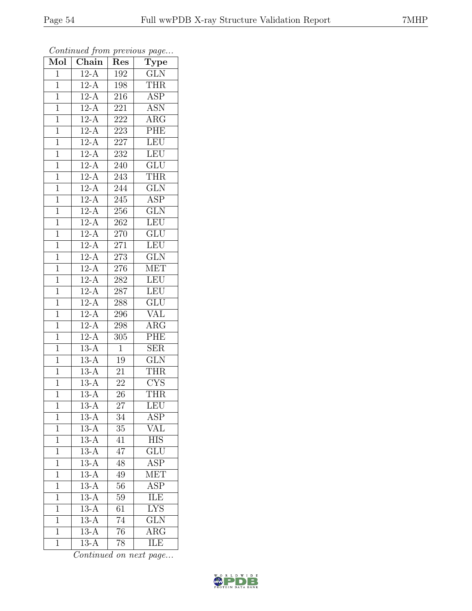| $\overline{\text{Mol}}$ | $\boldsymbol{\mathcal{J}}$<br>$\overline{\text{Chain}}$ | Res             | $\mathbf{r}$<br>$\overline{v}$<br>$\overline{\text{Type}}$ |
|-------------------------|---------------------------------------------------------|-----------------|------------------------------------------------------------|
| $\mathbf{1}$            | $12-A$                                                  | 192             | <b>GLN</b>                                                 |
| $\overline{1}$          | $12-A$                                                  | 198             | <b>THR</b>                                                 |
| $\overline{1}$          | $12-A$                                                  | 216             | $\overline{\text{ASP}}$                                    |
| $\mathbf 1$             | $12-A$                                                  | 221             | <b>ASN</b>                                                 |
| $\mathbf{1}$            | $12-A$                                                  | 222             | $\rm{ARG}$                                                 |
| $\mathbf 1$             | $12-A$                                                  | 223             | PHE                                                        |
| $\mathbf{1}$            | $12-A$                                                  | $227\,$         | <b>LEU</b>                                                 |
| $\mathbf{1}$            | $12-A$                                                  | 232             | LEU                                                        |
| $\mathbf{1}$            | $12-A$                                                  | 240             | <b>GLU</b>                                                 |
| $\mathbf{1}$            | $12-A$                                                  | 243             | <b>THR</b>                                                 |
| $\mathbf{1}$            | $12-A$                                                  | 244             | $\overline{\text{GLN}}$                                    |
| $\overline{1}$          | $12-A$                                                  | 245             | <b>ASP</b>                                                 |
| $\overline{1}$          | $12-A$                                                  | 256             | <b>GLN</b>                                                 |
| $\mathbf{1}$            | $12-A$                                                  | 262             | <b>LEU</b>                                                 |
| $\mathbf{1}$            | $12-A$                                                  | $270\,$         | $\overline{{\rm GLU}}$                                     |
| $\overline{1}$          | $12-A$                                                  | 271             | <b>LEU</b>                                                 |
| $\overline{1}$          | $12-A$                                                  | 273             | $\overline{\text{GLN}}$                                    |
| $\mathbf{1}$            | $12-A$                                                  | 276             | <b>MET</b>                                                 |
| $\mathbf{1}$            | $12-A$                                                  | 282             | <b>LEU</b>                                                 |
| $\overline{1}$          | $12-A$                                                  | 287             | LEU                                                        |
| $\mathbf 1$             | $12-A$                                                  | 288             | $\overline{\text{GLU}}$                                    |
| $\overline{1}$          | $12-A$                                                  | 296             | $\overline{\text{VAL}}$                                    |
| $\mathbf 1$             | $12-A$                                                  | 298             | $\overline{\text{A}}\text{RG}$                             |
| $\overline{1}$          | $12-A$                                                  | 305             | PHE                                                        |
| $\mathbf 1$             | $13-A$                                                  | $\mathbf{1}$    | <b>SER</b>                                                 |
| $\overline{1}$          | $13-A$                                                  | $19\,$          | $\overline{\text{GLN}}$                                    |
| $\mathbf{1}$            | $\overline{1}3-A$                                       | 21              | <b>THR</b>                                                 |
| $\mathbf{1}$            | $13-A$                                                  | $22\,$          | ${\rm CYS}$                                                |
| $\mathbf 1$             | $13-A$                                                  | 26              | <b>THR</b>                                                 |
| $\mathbf 1$             | $13-A$                                                  | 27              | LEU                                                        |
| $\mathbf 1$             | $13-A$                                                  | 34              | ASP                                                        |
| $\mathbf 1$             | $13-A$                                                  | 35              | VAL                                                        |
| 1                       | $\overline{13}$ -A                                      | 41              | <b>HIS</b>                                                 |
| $\mathbf 1$             | $13-A$                                                  | 47              | $\overline{\text{GLU}}$                                    |
| $\mathbf 1$             | $13-A$                                                  | 48              | <b>ASP</b>                                                 |
| $\overline{1}$          | $13-A$                                                  | 49              | $\overline{\text{MET}}$                                    |
| $\mathbf 1$             | $13-A$                                                  | $\overline{56}$ | <b>ASP</b>                                                 |
| $\overline{1}$          | $13-A$                                                  | 59              | ILE                                                        |
| $\mathbf 1$             | $13-A$                                                  | 61              | $\overline{\text{LYS}}$                                    |
| $\overline{1}$          | $13-A$                                                  | 74              | <b>GLN</b>                                                 |
| $\overline{1}$          | $13-A$                                                  | $\overline{76}$ | $\rm A\overline{RG}$                                       |
| $\overline{1}$          | $13-A$                                                  | 78              | ILE                                                        |

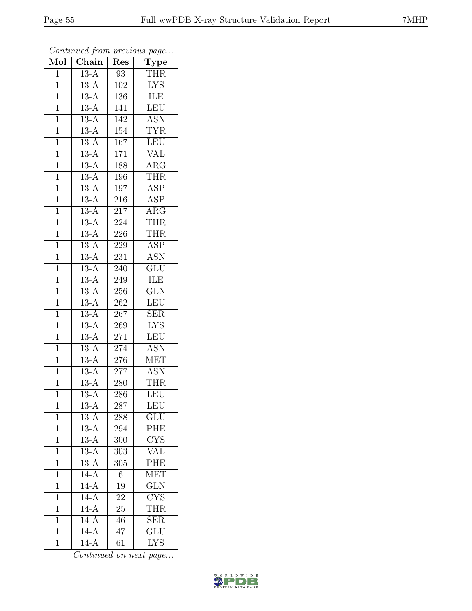| Mol            | $\overline{\text{Chain}}$ | Res              | $\overline{v}$<br>$\overline{\mathrm{T}}$ ype |
|----------------|---------------------------|------------------|-----------------------------------------------|
| $\mathbf{1}$   | $13-A$                    | 93               | <b>THR</b>                                    |
| $\mathbf 1$    | $13-A$                    | 102              | <b>LYS</b>                                    |
| $\mathbf{1}$   | $13-A$                    | 136              | ILE                                           |
| $\mathbf 1$    | $13-A$                    | 141              | $\overline{\text{LEU}}$                       |
| $\overline{1}$ | $13-A$                    | 142              | $\overline{\mathrm{ASN}}$                     |
| $\mathbf{1}$   | $13-A$                    | 154              | <b>TYR</b>                                    |
| $\mathbf{1}$   | $13-A$                    | 167              | <b>LEU</b>                                    |
| $\mathbf{1}$   | $13-A$                    | 171              | <b>VAL</b>                                    |
| $\mathbf{1}$   | $13-A$                    | 188              | $AR\overline{G}$                              |
| $\overline{1}$ | $13-A$                    | 196              | <b>THR</b>                                    |
| $\mathbf{1}$   | $13-A$                    | 197              | <b>ASP</b>                                    |
| $\mathbf{1}$   | $13-A$                    | 216              | <b>ASP</b>                                    |
| $\mathbf{1}$   | $13-A$                    | 217              | ARG                                           |
| $\overline{1}$ | $13-A$                    | 224              | <b>THR</b>                                    |
| $\overline{1}$ | $13-A$                    | 226              | <b>THR</b>                                    |
| $\mathbf{1}$   | $13-A$                    | 229              | <b>ASP</b>                                    |
| $\mathbf{1}$   | $\overline{13-A}$         | $\overline{231}$ | <b>ASN</b>                                    |
| $\mathbf{1}$   | $13-A$                    | 240              | <b>GLU</b>                                    |
| $\mathbf 1$    | $13-A$                    | 249              | ILE                                           |
| $\overline{1}$ | $13-A$                    | 256              | $\overline{\text{GLN}}$                       |
| $\mathbf 1$    | $13-A$                    | 262              | $\overline{\text{LEU}}$                       |
| $\mathbf{1}$   | $13-A$                    | 267              | SER                                           |
| $\mathbf 1$    | $13-A$                    | 269              | <b>LYS</b>                                    |
| $\overline{1}$ | $13-A$                    | $27\overline{1}$ | LEU                                           |
| $\mathbf{1}$   | $13-A$                    | 274              | $\overline{\text{ASN}}$                       |
| $\mathbf{1}$   | $13-A$                    | 276              | <b>MET</b>                                    |
| $\mathbf{1}$   | $13-A$                    | 277              | <b>ASN</b>                                    |
| $\mathbf{1}$   | $13-A$                    | 280              | <b>THR</b>                                    |
| $\overline{1}$ | $\overline{13-A}$         | 286              | LEU                                           |
| 1              | $13-A$                    | 287              | LEU                                           |
| 1              | $13-A$                    | 288              | GLU                                           |
| $\mathbf 1$    | $13-A$                    | 294              | $\overline{\text{PHE}}$                       |
| $\mathbf{1}$   | $13-A$                    | 300              | <b>CYS</b>                                    |
| $\overline{1}$ | $13-A$                    | $\overline{303}$ | <b>VAL</b>                                    |
| $\mathbf{1}$   | $13-A$                    | 305              | $P\overline{\text{HE}}$                       |
| 1              | $14-A$                    | $\overline{6}$   | <b>MET</b>                                    |
| $\mathbf 1$    | $14-A$                    | 19               | <b>GLN</b>                                    |
| 1              | $14-A$                    | 22               | $\overline{\text{CYS}}$                       |
| $\mathbf 1$    | $14-A$                    | 25               | THR                                           |
| 1              | $14-A$                    | 46               | <b>SER</b>                                    |
| $\overline{1}$ | $14-A$                    | 47               | $\overline{\mathrm{GLU}}$                     |
| $\mathbf{1}$   | $14-A$                    | 61               | $\overline{\text{L} \text{YS}}$               |

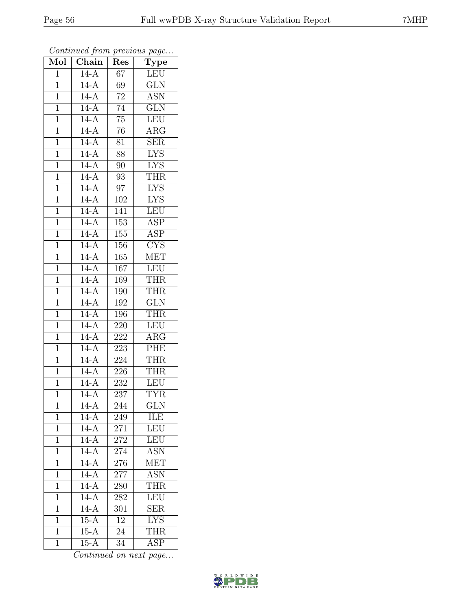| Mol            | $\overline{\text{Chain}}$ | Res              | $\mathrm{\bar{Ty}pe}$   |
|----------------|---------------------------|------------------|-------------------------|
| $\mathbf{1}$   | $14-A$                    | 67               | LEU                     |
| $\overline{1}$ | $14-A$                    | 69               | <b>GLN</b>              |
| $\mathbf{1}$   | $14-A$                    | $\overline{72}$  | $\overline{\text{ASN}}$ |
| $\mathbf 1$    | $14-A$                    | 74               | $\overline{\text{GLN}}$ |
| $\mathbf{1}$   | $14-A$                    | $\overline{75}$  | <b>LEU</b>              |
| $\mathbf{1}$   | $14-A$                    | 76               | $AR\overline{G}$        |
| $\overline{1}$ | $14-A$                    | 81               | SER                     |
| $\mathbf{1}$   | $14-A$                    | 88               | <b>LYS</b>              |
| $\mathbf{1}$   | $14-A$                    | 90               | <b>LYS</b>              |
| $\overline{1}$ | $14-A$                    | 93               | <b>THR</b>              |
| $\mathbf{1}$   | $14-A$                    | 97               | <b>LYS</b>              |
| $\overline{1}$ | $14-A$                    | $10\overline{2}$ | $\overline{\text{LYS}}$ |
| $\mathbf{1}$   | $14-A$                    | 141              | <b>LEU</b>              |
| $\mathbf{1}$   | $14-A$                    | 153              | $\overline{\text{ASP}}$ |
| $\overline{1}$ | $14-A$                    | 155              | $\overline{\text{ASP}}$ |
| $\mathbf 1$    | $14-A$                    | 156              | $\overline{\text{CYS}}$ |
| $\overline{1}$ | $14-A$                    | 165              | <b>MET</b>              |
| $\mathbf{1}$   | $14-A$                    | 167              | <b>LEU</b>              |
| $\overline{1}$ | $14-A$                    | 169              | <b>THR</b>              |
| $\mathbf{1}$   | $14-A$                    | 190              | <b>THR</b>              |
| $\overline{1}$ | $14-A$                    | 192              | <b>GLN</b>              |
| $\overline{1}$ | $14-A$                    | 196              | <b>THR</b>              |
| $\mathbf{1}$   | $14-A$                    | 220              | <b>LEU</b>              |
| $\mathbf{1}$   | $14-A$                    | 222              | $\overline{\rm{ARG}}$   |
| $\mathbf{1}$   | $14-A$                    | 223              | PHE                     |
| $\mathbf{1}$   | $14-A$                    | 224              | <b>THR</b>              |
| $\overline{1}$ | $14-A$                    | 226              | <b>THR</b>              |
| $\overline{1}$ | $14-A$                    | 232              | <b>LEU</b>              |
| $\overline{1}$ | $14-A$                    | $\overline{237}$ | <b>TYR</b>              |
| $\mathbf{1}$   | $14-A$                    | 244              | $\overline{\text{GLN}}$ |
| $\overline{1}$ | $14 - \overline{A}$       | 249              | ILE                     |
| $\mathbf 1$    | $14-A$                    | 271              | <b>LEU</b>              |
| $\mathbf{1}$   | $14-A$                    | 272              | LEU                     |
| $\mathbf 1$    | $14-A$                    | 274              | <b>ASN</b>              |
| $\mathbf{1}$   | $14-A$                    | 276              | MET                     |
| 1              | $14-A$                    | $\overline{2}77$ | <b>ASN</b>              |
| $\mathbf{1}$   | $14-A$                    | 280              | THR                     |
| $\overline{1}$ | $14-A$                    | 282              | LEU                     |
| $\mathbf 1$    | $14-A$                    | 301              | SER                     |
| $\mathbf 1$    | $15-A$                    | 12               | <b>LYS</b>              |
| $\mathbf{1}$   | $15-A$                    | 24               | <b>THR</b>              |
| $\mathbf{1}$   | $15-A$                    | 34               | $\overline{\text{ASP}}$ |

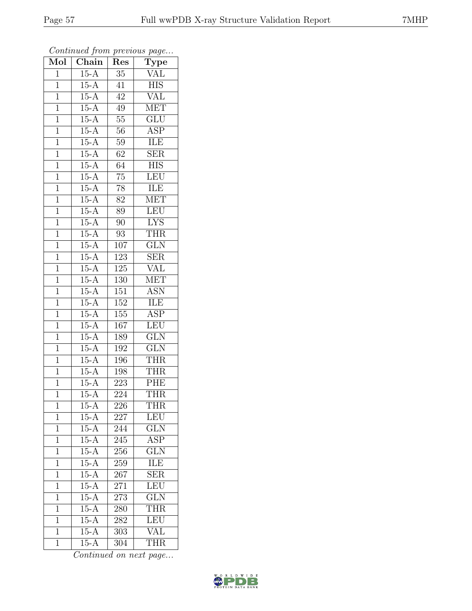| $\overline{\text{Mol}}$ | $\boldsymbol{\mathcal{J}}$<br>$\overline{\text{Chain}}$ | ı<br>Res         | $\overline{ }$<br>$\overline{v}$<br>$\overline{\text{Type}}$ |
|-------------------------|---------------------------------------------------------|------------------|--------------------------------------------------------------|
| $\overline{1}$          | $15-A$                                                  | $\overline{35}$  | <b>VAL</b>                                                   |
| $\overline{1}$          | $15-A$                                                  | 41               | <b>HIS</b>                                                   |
| $\overline{1}$          | $15-A$                                                  | $\overline{42}$  | $\overline{\text{VAL}}$                                      |
| $\mathbf 1$             | $15-A$                                                  | 49               | <b>MET</b>                                                   |
| $\overline{1}$          | $15-A$                                                  | $55\,$           | $\overline{\text{GLU}}$                                      |
| $\overline{1}$          | $15-A$                                                  | 56               | ASP                                                          |
| $\overline{1}$          | $15-A$                                                  | $59\,$           | <b>ILE</b>                                                   |
| $\mathbf{1}$            | $15-A$                                                  | 62               | $\overline{\text{SER}}$                                      |
| $\mathbf{1}$            | $15-A$                                                  | 64               | <b>HIS</b>                                                   |
| $\overline{1}$          | $15-A$                                                  | $\overline{75}$  | LEU                                                          |
| $\mathbf{1}$            | $15-A$                                                  | $78\,$           | ILE                                                          |
| $\overline{1}$          | $15-A$                                                  | 82               | <b>MET</b>                                                   |
| $\overline{1}$          | $15-A$                                                  | 89               | LEU                                                          |
| $\mathbf{1}$            | $15-A$                                                  | 90               | <b>LYS</b>                                                   |
| $\mathbf{1}$            | $15-A$                                                  | $\overline{93}$  | <b>THR</b>                                                   |
| $\overline{1}$          | $15-A$                                                  | 107              | <b>GLN</b>                                                   |
| $\overline{1}$          | $15-A$                                                  | $\overline{123}$ | $\overline{\text{SER}}$                                      |
| $\mathbf{1}$            | $15-A$                                                  | 125              | <b>VAL</b>                                                   |
| $\mathbf{1}$            | $15-A$                                                  | 130              | <b>MET</b>                                                   |
| $\mathbf{1}$            | $15-A$                                                  | 151              | <b>ASN</b>                                                   |
| $\overline{1}$          | $15-A$                                                  | 152              | ILE                                                          |
| $\overline{1}$          | $15-A$                                                  | 155              | $\overline{\text{ASP}}$                                      |
| $\mathbf 1$             | $15-A$                                                  | 167              | LEU                                                          |
| $\overline{1}$          | $15-A$                                                  | 189              | $\overline{\text{GLN}}$                                      |
| $\mathbf{1}$            | $15-A$                                                  | 192              | <b>GLN</b>                                                   |
| $\overline{1}$          | $15-A$                                                  | 196              | <b>THR</b>                                                   |
| $\mathbf{1}$            | $15-A$                                                  | 198              | <b>THR</b>                                                   |
| $\mathbf{1}$            | $15-A$                                                  | 223              | PHE                                                          |
| $\overline{1}$          | $15-A$                                                  | $\overline{22}4$ | <b>THR</b>                                                   |
| $\mathbf 1$             | $15 - A$                                                | 226              | THR                                                          |
| $\mathbf 1$             | $15-A$                                                  | 227              | LEU                                                          |
| $\overline{1}$          | $15-A$                                                  | 244              | $\overline{\text{GLN}}$                                      |
| $\mathbf{1}$            | $15-A$                                                  | 245              | ASP                                                          |
| $\mathbf 1$             | $15-A$                                                  | 256              | $\overline{\text{GLN}}$                                      |
| $\mathbf{1}$            | $15-A$                                                  | 259              | ILE                                                          |
| $\overline{1}$          | $15-A$                                                  | 267              | $\overline{\text{SER}}$                                      |
| $\mathbf 1$             | $15-A$                                                  | 271              | LEU                                                          |
| $\mathbf 1$             | $15-A$                                                  | 273              | <b>GLN</b>                                                   |
| $\mathbf 1$             | $15-A$                                                  | 280              | THR                                                          |
| $\overline{1}$          | $15-A$                                                  | 282              | LEU                                                          |
| $\mathbf{1}$            | $15-A$                                                  | 303              | <b>VAL</b>                                                   |
| $\overline{1}$          | $15-A$                                                  | 304              | <b>THR</b>                                                   |

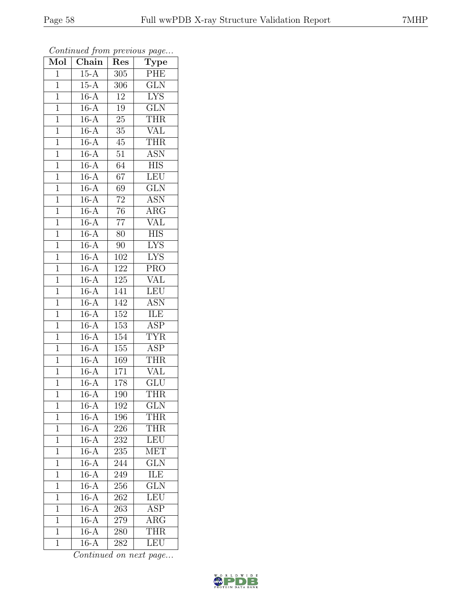| Mol            | $\overline{\text{Chain}}$ | Res              | $\cdot$<br>$\overline{\mathrm{T}}$ ype |
|----------------|---------------------------|------------------|----------------------------------------|
| $\mathbf{1}$   | $15-A$                    | 305              | PHE                                    |
| $\overline{1}$ | $15-A$                    | 306              | $\overline{\text{GLN}}$                |
| $\mathbf{1}$   | $16-A$                    | 12               | $\overline{\text{LYS}}$                |
| $\overline{1}$ | $16-A$                    | $19\,$           | $\overline{\text{GLN}}$                |
| $\overline{1}$ | $16-A$                    | $\overline{25}$  | <b>THR</b>                             |
| $\mathbf{1}$   | $16-A$                    | 35               | <b>VAL</b>                             |
| $\mathbf{1}$   | $16-A$                    | $45\,$           | <b>THR</b>                             |
| $\mathbf{1}$   | $16-A$                    | $\overline{51}$  | <b>ASN</b>                             |
| $\mathbf{1}$   | $16-A$                    | 64               | <b>HIS</b>                             |
| $\overline{1}$ | $16-A$                    | $\overline{67}$  | LEU                                    |
| $\mathbf{1}$   | $16-A$                    | 69               | <b>GLN</b>                             |
| $\mathbf{1}$   | $16-A$                    | $\overline{72}$  | <b>ASN</b>                             |
| $\overline{1}$ | $16-A$                    | 76               | $\overline{\text{ARG}}$                |
| $\overline{1}$ | $16-\overline{A}$         | $\overline{77}$  | <b>VAL</b>                             |
| $\overline{1}$ | $16-A$                    | $\overline{80}$  | <b>HIS</b>                             |
| $\mathbf{1}$   | $16-A$                    | 90               | <b>LYS</b>                             |
| $\overline{1}$ | $16-A$                    | $\overline{102}$ | $\overline{\text{LYS}}$                |
| $\mathbf{1}$   | $16-A$                    | 122              | <b>PRO</b>                             |
| $\overline{1}$ | $16-A$                    | 125              | VAL                                    |
| $\overline{1}$ | $16-A$                    | 141              | <b>LEU</b>                             |
| $\mathbf 1$    | $16-A$                    | 142              | <b>ASN</b>                             |
| $\mathbf{1}$   | $16-A$                    | 152              | ILE                                    |
| $\overline{1}$ | $16-A$                    | 153              | ASP                                    |
| $\overline{1}$ | $16-A$                    | 154              | <b>TYR</b>                             |
| $\mathbf{1}$   | $16-A$                    | 155              | <b>ASP</b>                             |
| $\mathbf{1}$   | $16-A$                    | 169              | <b>THR</b>                             |
| $\overline{1}$ | $16-A$                    | 171              | <b>VAL</b>                             |
| $\overline{1}$ | $16-A$                    | 178              | <b>GLU</b>                             |
| $\overline{1}$ | $16-A$                    | 190              | <b>THR</b>                             |
| 1              | $16 - \overline{A}$       | 192              | <b>GLN</b>                             |
| 1              | $16-A$                    | 196              | THR                                    |
| $\mathbf{1}$   | $16-A$                    | 226              | THR                                    |
| $\mathbf{1}$   | $16-A$                    | 232              | LEU                                    |
| $\overline{1}$ | $16-A$                    | 235              | $\overline{\text{MET}}$                |
| $\mathbf{1}$   | $16-A$                    | 244              | <b>GLN</b>                             |
| $\mathbf{1}$   | $16-A$                    | 249              | ILE                                    |
| $\mathbf 1$    | $16-A$                    | 256              | $\overline{\text{GLN}}$                |
| $\overline{1}$ | $16-A$                    | 262              | LEU                                    |
| $\mathbf 1$    | $16-A$                    | 263              | $\overline{\text{ASP}}$                |
| 1              | $16-A$                    | 279              | $\rm{ARG}$                             |
| $\mathbf{1}$   | $16-A$                    | 280              | <b>THR</b>                             |
| $\overline{1}$ | $16-A$                    | 282              | <b>LEU</b>                             |

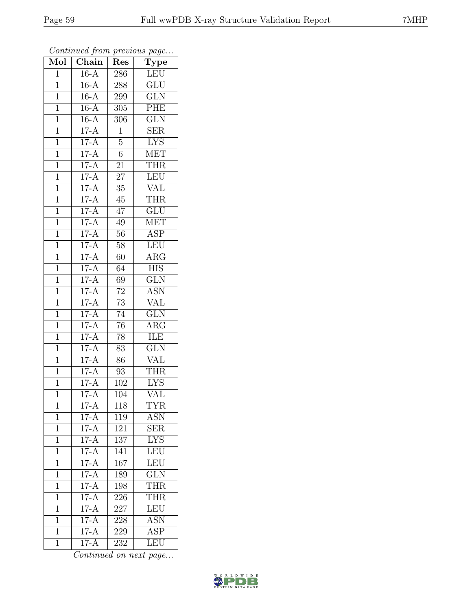| Mol            | $\overline{\text{Chain}}$ | Res              | $\cdot$<br>$\overline{\mathrm{T}}$ ype |
|----------------|---------------------------|------------------|----------------------------------------|
| $\mathbf 1$    | $16-A$                    | 286              | <b>LEU</b>                             |
| $\overline{1}$ | $16-A$                    | 288              | $\overline{\text{GLU}}$                |
| $\mathbf{1}$   | $16-A$                    | 299              | $\overline{\text{GLN}}$                |
| $\overline{1}$ | $16-A$                    | 305              | PHE                                    |
| $\overline{1}$ | $16-A$                    | $\overline{306}$ | $\overline{\text{GLN}}$                |
| $\mathbf{1}$   | $17-A$                    | $\mathbf{1}$     | <b>SER</b>                             |
| $\mathbf{1}$   | $17-A$                    | $\overline{5}$   | <b>LYS</b>                             |
| $\mathbf{1}$   | $17-A$                    | 6                | $\overline{\text{MET}}$                |
| $\mathbf{1}$   | $17-A$                    | 21               | <b>THR</b>                             |
| $\overline{1}$ | $17-A$                    | $\overline{27}$  | LEU                                    |
| $\overline{1}$ | $17-A$                    | 35               | VĀL                                    |
| $\mathbf 1$    | $17-A$                    | 45               | THR                                    |
| $\mathbf{1}$   | $17-A$                    | 47               | $\overline{\mathrm{GLU}}$              |
| $\overline{1}$ | $17-A$                    | 49               | <b>MET</b>                             |
| $\overline{1}$ | $17-A$                    | $\overline{56}$  | $\overline{\text{ASP}}$                |
| $\mathbf{1}$   | $17-A$                    | 58               | LEU                                    |
| $\overline{1}$ | $17-A$                    | 60               | $\overline{\rm{ARG}}$                  |
| $\mathbf{1}$   | $17-A$                    | 64               | <b>HIS</b>                             |
| $\overline{1}$ | $17-A$                    | $\overline{69}$  | $\overline{\text{GLN}}$                |
| $\mathbf{1}$   | $17-A$                    | 72               | <b>ASN</b>                             |
| $\mathbf 1$    | $17-A$                    | $\overline{73}$  | <b>VAL</b>                             |
| $\mathbf{1}$   | $17-A$                    | $\overline{74}$  | $\overline{\text{GLN}}$                |
| $\overline{1}$ | $17-A$                    | 76               | $AR\overline{G}$                       |
| $\overline{1}$ | $17-A$                    | $\overline{78}$  | <b>ILE</b>                             |
| $\mathbf{1}$   | $17-A$                    | 83               | $\overline{\text{GLN}}$                |
| $\mathbf{1}$   | $17-A$                    | 86               | <b>VAL</b>                             |
| $\mathbf{1}$   | $17-A$                    | 93               | <b>THR</b>                             |
| $\mathbf{1}$   | $17-A$                    | 102              | <b>LYS</b>                             |
| $\overline{1}$ | $17-A$                    | $\overline{104}$ | $\overline{\text{VAL}}$                |
| 1              | $17-A$                    | 118              | TYR                                    |
| 1              | $17-A$                    | 119              | <b>ASN</b>                             |
| $\mathbf{1}$   | $17-A$                    | 121              | <b>SER</b>                             |
| $\mathbf 1$    | $17-A$                    | 137              | <b>LYS</b>                             |
| $\overline{1}$ | $17-A$                    | 141              | LEU                                    |
| $\mathbf{1}$   | $17-A$                    | 167              | LEU                                    |
| $\mathbf{1}$   | $17-A$                    | 189              | $\overline{\text{GLN}}$                |
| $\mathbf 1$    | $17-A$                    | 198              | THR                                    |
| $\overline{1}$ | $17-A$                    | 226              | <b>THR</b>                             |
| $\mathbf 1$    | $17-A$                    | 227              | LEU                                    |
| 1              | $17-A$                    | 228              | <b>ASN</b>                             |
| $\mathbf{1}$   | $17-A$                    | 229              | ASP                                    |
| $\overline{1}$ | $17-A$                    | 232              | LEU                                    |

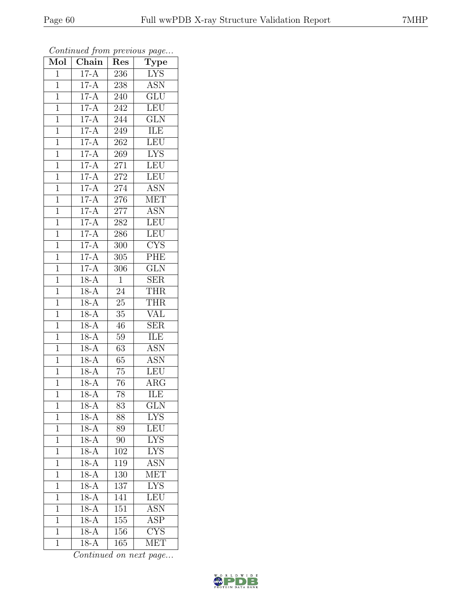| Mol            | $\overline{\text{Chain}}$ | Res              | $\cdot$<br>$\overline{\text{Type}}$ |
|----------------|---------------------------|------------------|-------------------------------------|
| $\mathbf{1}$   | $17-A$                    | 236              | <b>LYS</b>                          |
| $\overline{1}$ | $17-A$                    | 238              | <b>ASN</b>                          |
| $\mathbf{1}$   | $17-A$                    | 240              | $\overline{\text{GLU}}$             |
| $\overline{1}$ | $17-A$                    | 242              | <b>LEU</b>                          |
| $\overline{1}$ | $17-A$                    | 244              | $\overline{\text{GLN}}$             |
| $\mathbf{1}$   | $17-A$                    | 249              | ILE                                 |
| $\mathbf{1}$   | $17-A$                    | 262              | LEU                                 |
| $\mathbf{1}$   | $17-A$                    | 269              | <b>LYS</b>                          |
| $\mathbf{1}$   | $17-A$                    | 271              | <b>LEU</b>                          |
| $\overline{1}$ | $17-A$                    | 272              | LEU                                 |
| $\mathbf{1}$   | $17-A$                    | 274              | $\overline{\text{ASN}}$             |
| $\mathbf{1}$   | $17-A$                    | 276              | <b>MET</b>                          |
| $\mathbf{1}$   | $17-A$                    | 277              | <b>ASN</b>                          |
| $\overline{1}$ | $17-A$                    | 282              | <b>LEU</b>                          |
| $\overline{1}$ | $17-A$                    | 286              | LEU                                 |
| $\mathbf{1}$   | $17-A$                    | 300              | $\overline{\text{C} \text{YS}}$     |
| $\overline{1}$ | $17-A$                    | $\overline{305}$ | PHE                                 |
| $\mathbf{1}$   | $17-A$                    | 306              | <b>GLN</b>                          |
| $\overline{1}$ | $18-A$                    | $\mathbf{1}$     | <b>SER</b>                          |
| $\overline{1}$ | $18-A$                    | 24               | <b>THR</b>                          |
| $\mathbf 1$    | $18-A$                    | $\overline{25}$  | <b>THR</b>                          |
| $\mathbf{1}$   | $18 - \overline{A}$       | $35\,$           | <b>VAL</b>                          |
| $\overline{1}$ | $18-A$                    | 46               | $\overline{\text{SER}}$             |
| $\overline{1}$ | $18-A$                    | $\overline{5}9$  | <b>ILE</b>                          |
| $\mathbf{1}$   | $18-A$                    | 63               | $\overline{\text{ASN}}$             |
| $\mathbf{1}$   | $18-A$                    | 65               | <b>ASN</b>                          |
| $\overline{1}$ | $18-A$                    | $\overline{75}$  | LEU                                 |
| $\overline{1}$ | $18-A$                    | 76               | $\rm{ARG}$                          |
| $\overline{1}$ | $18-A$                    | $\overline{78}$  | ILE                                 |
| 1              | $18-A$                    | 83               | <b>GLN</b>                          |
| $\mathbf{1}$   | $18-A$                    | 88               | $LY\overline{S}$                    |
| $\mathbf{1}$   | $18-A$                    | 89               | LEU                                 |
| $\mathbf{1}$   | $18-A$                    | 90               | <b>LYS</b>                          |
| $\overline{1}$ | $18-A$                    | $\overline{102}$ | $\overline{\text{LYS}}$             |
| $\mathbf{1}$   | $18-A$                    | 119              | ASN                                 |
| $\mathbf{1}$   | $18-A$                    | 130              | MET                                 |
| $\mathbf 1$    | $18-A$                    | 137              | <b>LYS</b>                          |
| $\overline{1}$ | $18-A$                    | 141              | <b>LEU</b>                          |
| $\mathbf 1$    | $18-A$                    | 151              | <b>ASN</b>                          |
| 1              | $18-A$                    | 155              | <b>ASP</b>                          |
| $\mathbf{1}$   | $18-A$                    | 156              | $\overline{\text{CYS}}$             |
| $\mathbf{1}$   | $18-A$                    | 165              | <b>MET</b>                          |

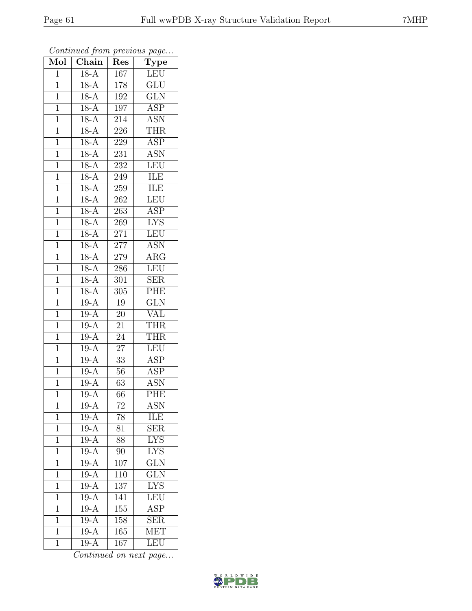| Mol            | $\boldsymbol{\mathcal{J}}$<br>Chain | Res               | ÷.<br>$\overline{v}$<br>$\overline{\mathrm{T}}$ ype |
|----------------|-------------------------------------|-------------------|-----------------------------------------------------|
| $\overline{1}$ | $18-A$                              | 167               | LEU                                                 |
| $\overline{1}$ | $18-A$                              | 178               | <b>GLU</b>                                          |
| $\overline{1}$ | $18-A$                              | 192               | $\overline{\text{GLN}}$                             |
| $\mathbf 1$    | $18-A$                              | 197               | $\overline{\text{ASP}}$                             |
| $\mathbf{1}$   | $18-\overline{A}$                   | $\overline{214}$  | $\overline{\text{ASN}}$                             |
| $\mathbf 1$    | $18-A$                              | 226               | <b>THR</b>                                          |
| $\mathbf{1}$   | $18 - \overline{A}$                 | 229               | $\overline{\text{ASP}}$                             |
| $\mathbf{1}$   | $18-A$                              | 231               | <b>ASN</b>                                          |
| $\mathbf{1}$   | $18-A$                              | 232               | <b>LEU</b>                                          |
| $\mathbf{1}$   | $18-A$                              | 249               | <b>ILE</b>                                          |
| $\mathbf{1}$   | $18-A$                              | 259               | ILE                                                 |
| $\overline{1}$ | $18-A$                              | 262               | <b>LEU</b>                                          |
| $\overline{1}$ | $18-A$                              | 263               | ASP                                                 |
| $\mathbf{1}$   | $18-A$                              | 269               | <b>LYS</b>                                          |
| $\mathbf{1}$   | $18-A$                              | 271               | LEU                                                 |
| $\overline{1}$ | $18-A$                              | $277\,$           | <b>ASN</b>                                          |
| $\overline{1}$ | $18-A$                              | $279\,$           | $\overline{\rm ARG}$                                |
| $\mathbf{1}$   | $18-{\overline{\rm A}}$             | 286               | <b>LEU</b>                                          |
| $\mathbf{1}$   | $18 - \overline{A}$                 | 301               | <b>SER</b>                                          |
| $\mathbf{1}$   | $18-A$                              | 305               | PHE                                                 |
| $\mathbf 1$    | $19-A$                              | 19                | $\overline{\text{GLN}}$                             |
| $\overline{1}$ | $19-A$                              | $20\,$            | $\rm \overline{VAL}$                                |
| $\mathbf 1$    | $19-A$                              | $\overline{21}$   | <b>THR</b>                                          |
| $\mathbf{1}$   | $19-A$                              | 24                | <b>THR</b>                                          |
| $\mathbf{1}$   | $19-A$                              | 27                | <b>LEU</b>                                          |
| $\overline{1}$ | $19-\overline{A}$                   | 33                | $AS\overline{P}$                                    |
| $\mathbf{1}$   | $19-A$                              | $\overline{56}$   | <b>ASP</b>                                          |
| $\mathbf{1}$   | $19-A$                              | $\overline{63}$   | $A\overline{SN}$                                    |
| $\mathbf 1$    | $\overline{19}$ -A                  | 66                | PHE                                                 |
| 1              | $19-A$                              | 72                | ASN                                                 |
| $\mathbf 1$    | $19 - \overline{A}$                 | 78                | ILE                                                 |
| $\mathbf 1$    | $19-A$                              | 81                | <b>SER</b>                                          |
| 1              | $19-A$                              | 88                | <b>LYS</b>                                          |
| $\mathbf 1$    | $19-A$                              | 90                | $\overline{\text{LYS}}$                             |
| $\mathbf 1$    | $19-A$                              | 107               | GLN                                                 |
| $\overline{1}$ | $19-A$                              | 110               | $\overline{\text{GLN}}$                             |
| 1              | $19-A$                              | 137               | <b>LYS</b>                                          |
| $\overline{1}$ | $19-A$                              | 141               | LEU                                                 |
| 1              | $19-A$                              | 155               | $\overline{\text{ASP}}$                             |
| 1              | $19-A$                              | $\overline{1}$ 58 | <b>SER</b>                                          |
| $\mathbf 1$    | $19-A$                              | 165               | <b>MET</b>                                          |
| $\overline{1}$ | $19-A$                              | 167               | LEU                                                 |

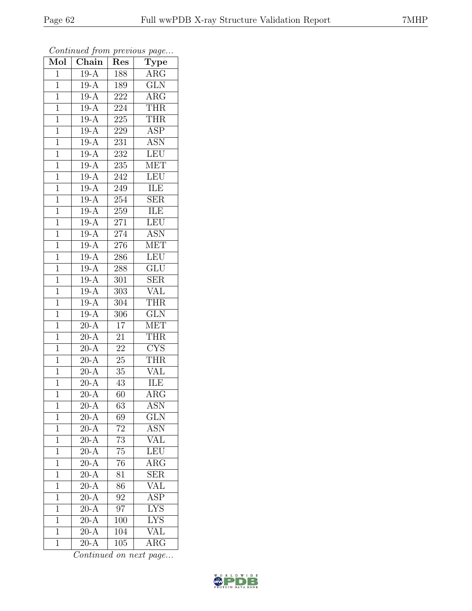| Mol            | Chain                    | Res              | $\cdot$<br>$\mathrm{\bar{Ty}pe}$ |
|----------------|--------------------------|------------------|----------------------------------|
| $\mathbf{1}$   | $19-A$                   | 188              | ARG                              |
| $\mathbf 1$    | $19-A$                   | 189              | <b>GLN</b>                       |
| $\mathbf 1$    | $19-A$                   | 222              | $AR\overline{G}$                 |
| $\mathbf 1$    | $19-A$                   | $22\overline{4}$ | THR                              |
| $\overline{1}$ | $19-A$                   | 225              | <b>THR</b>                       |
| $\mathbf{1}$   | $19-A$                   | 229              | <b>ASP</b>                       |
| $\mathbf{1}$   | $19-A$                   | 231              | $\overline{\text{ASN}}$          |
| $\mathbf{1}$   | $19-A$                   | 232              | <b>LEU</b>                       |
| $\mathbf{1}$   | $19-A$                   | 235              | <b>MET</b>                       |
| $\overline{1}$ | $19-A$                   | 242              | LEU                              |
| $\mathbf 1$    | $19-A$                   | 249              | ILE                              |
| $\mathbf{1}$   | $19-A$                   | 254              | $\overline{\text{SER}}$          |
| $\mathbf{1}$   | $19-A$                   | 259              | ILE                              |
| $\overline{1}$ | $19-A$                   | 271              | <b>LEU</b>                       |
| $\overline{1}$ | $19-A$                   | 274              | <b>ASN</b>                       |
| $\mathbf{1}$   | $19-A$                   | 276              | <b>MET</b>                       |
| $\mathbf{1}$   | $19-A$                   | 286              | <b>LEU</b>                       |
| $\mathbf{1}$   | $19-A$                   | 288              | GLU                              |
| $\mathbf 1$    | $19-A$                   | 301              | $\overline{\text{SER}}$          |
| $\overline{1}$ | $19-A$                   | 303              | VAL                              |
| $\mathbf 1$    | $19-A$                   | 304              | THR                              |
| $\mathbf{1}$   | $19 - \overline{A}$      | $\overline{306}$ | $\overline{\text{GLN}}$          |
| $\mathbf 1$    | $20-A$                   | 17               | <b>MET</b>                       |
| $\overline{1}$ | $20\overline{A}$         | 21               | <b>THR</b>                       |
| $\mathbf{1}$   | $20-A$                   | 22               | $\overline{\text{CYS}}$          |
| $\mathbf{1}$   | $20-A$                   | 25               | <b>THR</b>                       |
| $\mathbf{1}$   | $\overline{20}$ -A       | $35\,$           | $\overline{\text{VAL}}$          |
| $\mathbf{1}$   | $20-A$                   | 43               | ILE                              |
| $\overline{1}$ | $\overline{20-A}$        | 60               | $\overline{\rm{ARG}}$            |
| 1              | $20-A$                   | 63               | ASN                              |
| 1              | $20 - \overline{A}$      | 69               | <b>GLN</b>                       |
| $\mathbf 1$    | $20-A$                   | 72               | ASN                              |
| $\mathbf 1$    | $20-A$                   | 73               | VAL                              |
| $\overline{1}$ | $20-A$                   | $\overline{75}$  | LEU                              |
| 1              | $20-\overline{A}$        | 76               | $\rm{ARG}$                       |
| 1              | $\overline{20-A}$        | $\overline{81}$  | SER                              |
| $\mathbf 1$    | $20-A$                   | 86               | VAL                              |
| $\overline{1}$ | $20-A$                   | 92               | <b>ASP</b>                       |
| $\mathbf 1$    | $20\overline{\text{-A}}$ | 97               | $\overline{\text{LYS}}$          |
| 1              | $20-A$                   | 100              | $\overline{\text{LYS}}$          |
| $\overline{1}$ | $20-A$                   | 104              | $\overline{\text{VAL}}$          |
| $\mathbf{1}$   | $20-A$                   | 105              | $\rm{ARG}$                       |

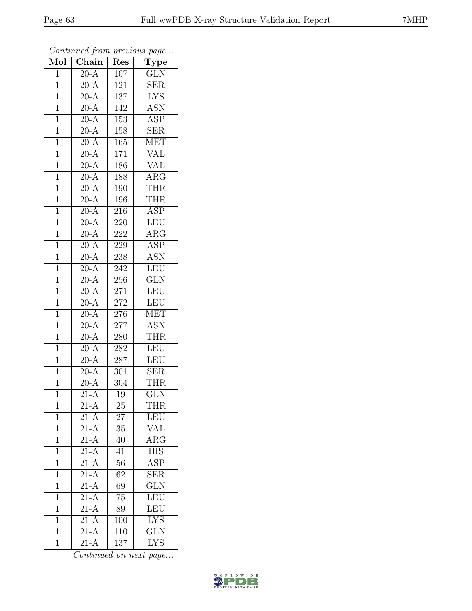| $\overline{\text{Mol}}$ | $\boldsymbol{\mathcal{J}}$<br>$\overline{\text{Chain}}$ | Res              | $\mathbf{r}$<br>$\overline{v}$<br><b>Type</b> |
|-------------------------|---------------------------------------------------------|------------------|-----------------------------------------------|
| $\overline{1}$          | $20-A$                                                  | 107              | <b>GLN</b>                                    |
| $\overline{1}$          | $20-A$                                                  | 121              | $\overline{\text{SER}}$                       |
| $\overline{1}$          | $\overline{20-A}$                                       | 137              | $\overline{\text{LYS}}$                       |
| $\mathbf 1$             | $20-A$                                                  | 142              | $\overline{\text{ASN}}$                       |
| $\mathbf{1}$            | $20 - A$                                                | 153              | $A\overline{SP}$                              |
| $\overline{1}$          | $20 - \overline{A}$                                     | 158              | <b>SER</b>                                    |
| $\overline{1}$          | $20-A$                                                  | 165              | <b>MET</b>                                    |
| $\mathbf{1}$            | $20-A$                                                  | 171              | <b>VAL</b>                                    |
| $\mathbf{1}$            | $20-A$                                                  | 186              | VAL                                           |
| $\overline{1}$          | $\overline{20-A}$                                       | 188              | ARG                                           |
| $\mathbf{1}$            | $20-A$                                                  | 190              | <b>THR</b>                                    |
| $\overline{1}$          | $\overline{20-A}$                                       | 196              | <b>THR</b>                                    |
| $\overline{1}$          | $20 - A$                                                | 216              | <b>ASP</b>                                    |
| $\mathbf{1}$            | $20-A$                                                  | 220              | LEU                                           |
| $\mathbf{1}$            | $20-A$                                                  | 222              | $\overline{\rm{ARG}}$                         |
| $\overline{1}$          | $20-A$                                                  | 229              | <b>ASP</b>                                    |
| $\overline{1}$          | $20-A$                                                  | $\overline{238}$ | $\overline{\mathrm{ASN}}$                     |
| $\mathbf{1}$            | $20-A$                                                  | 242              | LEU                                           |
| $\mathbf{1}$            | $\overline{20-A}$                                       | 256              | $\overline{\text{GLN}}$                       |
| $\mathbf{1}$            | $20-A$                                                  | $271\,$          | <b>LEU</b>                                    |
| $\mathbf 1$             | $20-A$                                                  | 272              | LEU                                           |
| $\overline{1}$          | $\overline{20-A}$                                       | $276\,$          | <b>MET</b>                                    |
| $\mathbf 1$             | $20-A$                                                  | $\overline{2}77$ | <b>ASN</b>                                    |
| $\overline{1}$          | $20 - A$                                                | 280              | <b>THR</b>                                    |
| $\mathbf{1}$            | $20-A$                                                  | 282              | <b>LEU</b>                                    |
| $\overline{1}$          | $20-\overline{A}$                                       | 287              | LEU                                           |
| $\mathbf{1}$            | $20-A$                                                  | 301              | $\overline{\text{SER}}$                       |
| $\mathbf{1}$            | $\overline{20-A}$                                       | 304              | <b>THR</b>                                    |
| $\overline{1}$          | $\overline{21-A}$                                       | 19               | $\overline{\text{GLN}}$                       |
| $\mathbf 1$             | $21-A$                                                  | 25               | THR                                           |
| $\mathbf 1$             | $21 - \overline{A}$                                     | 27               | LEU                                           |
| $\overline{1}$          | $21-A$                                                  | 35               | $\overline{\text{VAL}}$                       |
| $\mathbf{1}$            | $21-\overline{A}$                                       | 40               | $\rm{ARG}$                                    |
| $\mathbf 1$             | $\overline{21-A}$                                       | 41               | <b>HIS</b>                                    |
| $\mathbf{1}$            | $21-\overline{A}$                                       | 56               | <b>ASP</b>                                    |
| $\overline{1}$          | $\overline{21-A}$                                       | $\overline{62}$  | $\overline{\text{SER}}$                       |
| $\mathbf{1}$            | $21-A$                                                  | 69               | GLN                                           |
| $\mathbf 1$             | $21-A$                                                  | 75               | LEU                                           |
| $\mathbf{1}$            | $2\overline{1-A}$                                       | 89               | LEU                                           |
| $\overline{1}$          | $\overline{21-A}$                                       | 100              | <b>LYS</b>                                    |
| $\mathbf{1}$            | $2\overline{1-A}$                                       | 110              | $\overline{\text{GLN}}$                       |
| $\overline{1}$          | $21-A$                                                  | 137              | <b>LYS</b>                                    |

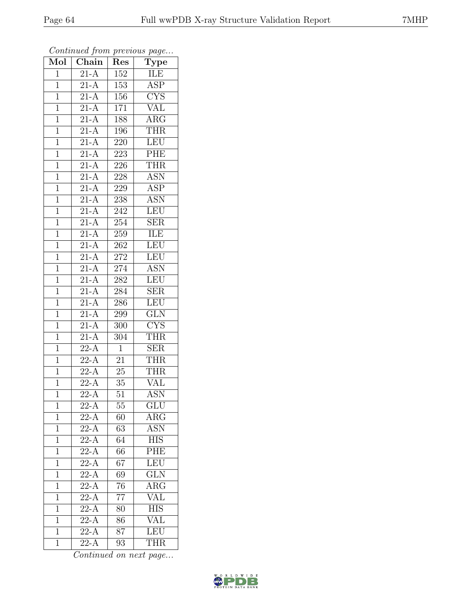| $\overline{\text{Mol}}$ | $\boldsymbol{\mathcal{J}}$<br>Chain | Res              | $\mathbf{r}$<br>$\overline{v}$<br>$\overline{\mathrm{Type}}$ |
|-------------------------|-------------------------------------|------------------|--------------------------------------------------------------|
| $\mathbf{1}$            | $21-A$                              | 152              | ILE                                                          |
| $\overline{1}$          | $21-A$                              | 153              | <b>ASP</b>                                                   |
| $\overline{1}$          | $\overline{21-A}$                   | 156              | $\overline{\text{CYS}}$                                      |
| $\mathbf 1$             | $21-A$                              | $\overline{171}$ | $\overline{\text{VAL}}$                                      |
| $\mathbf{1}$            | $\overline{21-A}$                   | 188              | $\rm{ARG}$                                                   |
| $\mathbf 1$             | $\overline{21-A}$                   | 196              | <b>THR</b>                                                   |
| $\mathbf{1}$            | $21 - \overline{A}$                 | 220              | <b>LEU</b>                                                   |
| $\mathbf{1}$            | $\overline{21-A}$                   | 223              | <b>PHE</b>                                                   |
| $\mathbf{1}$            | $21-A$                              | 226              | <b>THR</b>                                                   |
| $\mathbf{1}$            | $\overline{21-A}$                   | 228              | $\overline{\text{ASN}}$                                      |
| $\mathbf{1}$            | $21-A$                              | 229              | <b>ASP</b>                                                   |
| $\mathbf{1}$            | $21-A$                              | 238              | <b>ASN</b>                                                   |
| $\mathbf{1}$            | $21-A$                              | 242              | <b>LEU</b>                                                   |
| $\mathbf 1$             | $21-A$                              | 254              | <b>SER</b>                                                   |
| $\mathbf{1}$            | $\overline{21-A}$                   | 259              | ILE                                                          |
| $\overline{1}$          | $21-A$                              | 262              | LEU                                                          |
| $\overline{1}$          | $21-A$                              | ${\bf 272}$      | <b>LEU</b>                                                   |
| $\mathbf{1}$            | $21-A$                              | $\overline{274}$ | $\overline{\text{ASN}}$                                      |
| $\mathbf{1}$            | $\overline{21-A}$                   | 282              | LEU                                                          |
| $\mathbf{1}$            | $2\overline{1-A}$                   | 284              | <b>SER</b>                                                   |
| $\mathbf 1$             | $\overline{21-A}$                   | 286              | LEU                                                          |
| $\overline{1}$          | $\overline{21-A}$                   | 299              | $\overline{\text{GLN}}$                                      |
| $\mathbf 1$             | $21-A$                              | 300              | $\overline{\text{CYS}}$                                      |
| $\mathbf{1}$            | $21-A$                              | 304              | <b>THR</b>                                                   |
| $\mathbf{1}$            | $22-A$                              | $\mathbf{1}$     | <b>SER</b>                                                   |
| $\mathbf{1}$            | $22-A$                              | 21               | <b>THR</b>                                                   |
| $\mathbf{1}$            | $22-A$                              | $\overline{2}5$  | <b>THR</b>                                                   |
| $\mathbf{1}$            | $22-A$                              | $35\,$           | <b>VAL</b>                                                   |
| $\mathbf 1$             | $\overline{22-A}$                   | 51               | $\overline{\mathrm{ASN}}$                                    |
| $\mathbf 1$             | 22-A                                | 55               | GLU                                                          |
| $\mathbf{1}$            | $22-\overline{A}$                   | 60               | $\rm{ARG}$                                                   |
| $\overline{1}$          | $22-A$                              | 63               | <b>ASN</b>                                                   |
| $\mathbf 1$             | $22-A$                              | 64               | <b>HIS</b>                                                   |
| $\mathbf 1$             | $22-A$                              | 66               | PHE                                                          |
| $\mathbf{1}$            | $22-\overline{A}$                   | 67               | LEU                                                          |
| $\mathbf 1$             | $22-A$                              | 69               | $\overline{\text{GLN}}$                                      |
| $\mathbf{1}$            | $22-A$                              | 76               | $\overline{\text{ARG}}$                                      |
| $\mathbf 1$             | $22 - A$                            | 77               | VAL                                                          |
| $\mathbf 1$             | $22-A$                              | 80               | $\overline{\text{HIS}}$                                      |
| $\overline{1}$          | $\overline{22-A}$                   | 86               | VAL                                                          |
| $\overline{1}$          | $2\overline{2-A}$                   | 87               | LEU                                                          |
| $\mathbf 1$             | $22-A$                              | 93               | <b>THR</b>                                                   |

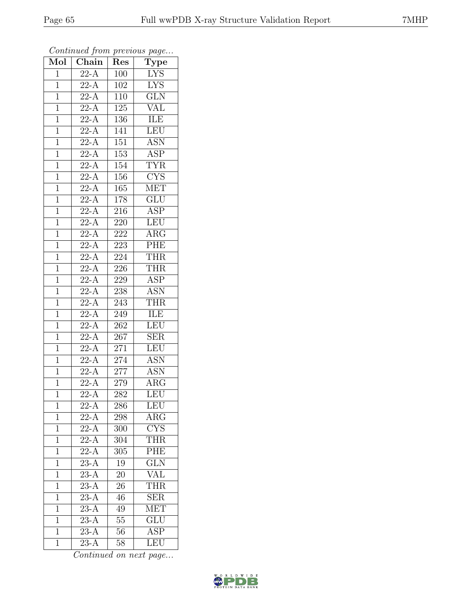| $\overline{\text{Mol}}$ | $\boldsymbol{\theta}$<br>Chain | Res                         | ×.<br>$\overline{v}$<br><b>Type</b> |
|-------------------------|--------------------------------|-----------------------------|-------------------------------------|
| $\mathbf{1}$            | $22-A$                         | 100                         | <b>LYS</b>                          |
| $\overline{1}$          | $\overline{22-A}$              | $\overline{102}$            | <b>LYS</b>                          |
| $\overline{1}$          | $22-A$                         | 110                         | $\overline{\text{GLN}}$             |
| $\mathbf 1$             | $22-A$                         | 125                         | VAL                                 |
| $\mathbf{1}$            | $\overline{22-A}$              | 136                         | <b>ILE</b>                          |
| $\overline{1}$          | $22-A$                         | 141                         | LEU                                 |
| $\overline{1}$          | $2\overline{2-A}$              | 151                         | $A\overline{SN}$                    |
| $\mathbf{1}$            | $22-A$                         | 153                         | $\overline{\text{ASP}}$             |
| $\mathbf 1$             | $22-A$                         | 154                         | <b>TYR</b>                          |
| $\overline{1}$          | $22-A$                         | 156                         | $\overline{\text{CYS}}$             |
| $\mathbf{1}$            | $22 - \overline{A}$            | 165                         | <b>MET</b>                          |
| $\overline{1}$          | $2\overline{2-A}$              | $\overline{178}$            | $\overline{\mathrm{GLU}}$           |
| $\overline{1}$          | $22-A$                         | 216                         | <b>ASP</b>                          |
| $\mathbf{1}$            | $22-\overline{A}$              | 220                         | <b>LEU</b>                          |
| $\overline{1}$          | $\overline{22-A}$              | $2\overline{2}\overline{2}$ | $\overline{\text{ARG}}$             |
| $\overline{1}$          | $22-A$                         | 223                         | PHE                                 |
| $\overline{1}$          | $2\overline{2-A}$              | 224                         | <b>THR</b>                          |
| $\mathbf{1}$            | $22-\overline{A}$              | 226                         | THR                                 |
| $\mathbf{1}$            | $22-A$                         | 229                         | $\overline{\text{ASP}}$             |
| $\mathbf{1}$            | $22-A$                         | 238                         | <b>ASN</b>                          |
| $\mathbf{1}$            | $\overline{22-A}$              | 243                         | <b>THR</b>                          |
| $\overline{1}$          | $2\overline{2-A}$              | 249                         | ILE                                 |
| $\mathbf 1$             | $\overline{22-A}$              | 262                         | LEU                                 |
| $\overline{1}$          | $22-\overline{A}$              | $26\overline{7}$            | $\widetilde{\text{SER}}$            |
| $\mathbf{1}$            | $22-A$                         | 271                         | <b>LEU</b>                          |
| $\overline{1}$          | $22 - A$                       | 274                         | <b>ASN</b>                          |
| $\mathbf{1}$            | $22-A$                         | 277                         | <b>ASN</b>                          |
| $\mathbf{1}$            | $22-A$                         | 279                         | $\rm{ARG}$                          |
| $\overline{1}$          | $\overline{22-A}$              | 282                         | LEU                                 |
| $\mathbf 1$             | 22-A                           | 286                         | LEU                                 |
| $\mathbf{1}$            | $22-\overline{A}$              | 298                         | $\rm{ARG}$                          |
| $\mathbf{1}$            | $22-A$                         | 300                         | $\overline{\text{CYS}}$             |
| $\mathbf 1$             | $22-A$                         | 304                         | <b>THR</b>                          |
| $\mathbf{1}$            | $22-A$                         | 305                         | <b>PHE</b>                          |
| $\mathbf{1}$            | $23-A$                         | 19                          | $\overline{\text{GLN}}$             |
| 1                       | $\overline{23-A}$              | $20\,$                      | $\overline{\text{VAL}}$             |
| $\mathbf 1$             | $23-A$                         | 26                          | <b>THR</b>                          |
| $\mathbf{1}$            | $\overline{23-A}$              | 46                          | <b>SER</b>                          |
| $\mathbf 1$             | $23-A$                         | 49                          | <b>MET</b>                          |
| $\overline{1}$          | $23-A$                         | 55                          | <b>GLU</b>                          |
| $\mathbf{1}$            | $\overline{23-A}$              | 56                          | $\overline{\text{ASP}}$             |
| $\overline{1}$          | $23-A$                         | 58                          | LEU                                 |

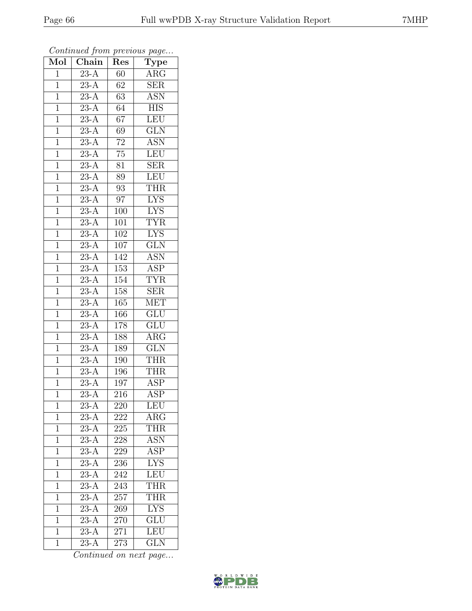| Mol            | Chain             | Res              | $\cdot$<br>Type           |
|----------------|-------------------|------------------|---------------------------|
| $\mathbf 1$    | $23-A$            | 60               | ARG                       |
| $\mathbf 1$    | $23-A$            | 62               | <b>SER</b>                |
| $\mathbf{1}$   | $23-A$            | 63               | <b>ASN</b>                |
| $\overline{1}$ | $23-A$            | 64               | <b>HIS</b>                |
| $\overline{1}$ | $\overline{23-A}$ | $\overline{67}$  | LEU                       |
| $\mathbf{1}$   | $23-A$            | 69               | $\overline{\text{GLN}}$   |
| $\mathbf{1}$   | $23\overline{-A}$ | $72\,$           | <b>ASN</b>                |
| $\mathbf 1$    | $23-A$            | $\overline{75}$  | <b>LEU</b>                |
| $\mathbf{1}$   | $23-\overline{A}$ | 81               | SER                       |
| $\overline{1}$ | $23-A$            | 89               | LEU                       |
| $\mathbf{1}$   | $23-A$            | 93               | THR                       |
| $\mathbf 1$    | $23-A$            | 97               | $\overline{\text{LYS}}$   |
| $\mathbf{1}$   | $23-A$            | 100              | <b>LYS</b>                |
| $\overline{1}$ | $23-\bar{A}$      | 101              | <b>TYR</b>                |
| $\overline{1}$ | $\overline{23-A}$ | 102              | $\overline{\text{LYS}}$   |
| $\mathbf{1}$   | $23-A$            | 107              | $\overline{\text{GLN}}$   |
| $\mathbf{1}$   | $23-A$            | 142              | $\overline{\mathrm{ASN}}$ |
| $\mathbf{1}$   | $23-A$            | 153              | <b>ASP</b>                |
| $\overline{1}$ | $\overline{23-A}$ | 154              | <b>TYR</b>                |
| $\mathbf{1}$   | $23-A$            | 158              | <b>SER</b>                |
| $\mathbf 1$    | $23-A$            | 165              | <b>MET</b>                |
| $\mathbf{1}$   | $\overline{23-A}$ | 166              | $\overline{\text{GLU}}$   |
| $\overline{1}$ | $23-A$            | 178              | <b>GLU</b>                |
| $\overline{1}$ | $\overline{23-A}$ | 188              | $\rm{ARG}$                |
| $\mathbf{1}$   | $23-A$            | 189              | $\overline{\text{GLN}}$   |
| $\mathbf{1}$   | $23-A$            | 190              | <b>THR</b>                |
| $\mathbf{1}$   | $23-A$            | $\overline{1}96$ | <b>THR</b>                |
| $\mathbf{1}$   | $23-A$            | 197              | <b>ASP</b>                |
| $\overline{1}$ | $\overline{23-A}$ | $\overline{216}$ | $\overline{\text{ASP}}$   |
| $\mathbf{1}$   | $23-A$            | 220              | LEU                       |
| $\mathbf{1}$   | $23-A$            | 222              | $\rm{ARG}$                |
| $\mathbf{1}$   | $23-A$            | 225              | THR                       |
| $\mathbf 1$    | $23-A$            | 228              | <b>ASN</b>                |
| $\overline{1}$ | $23-A$            | 229              | <b>ASP</b>                |
| $\mathbf{1}$   | $23-A$            | 236              | <b>LYS</b>                |
| $\mathbf{1}$   | $23-A$            | 242              | <b>LEU</b>                |
| $\mathbf{1}$   | $23-A$            | 243              | <b>THR</b>                |
| $\overline{1}$ | $\overline{23-A}$ | 257              | <b>THR</b>                |
| $\mathbf 1$    | $\overline{23-A}$ | 269              | <b>LYS</b>                |
| $\mathbf{1}$   | $23-A$            | 270              | $\overline{\text{GLU}}$   |
| $\mathbf{1}$   | $23\overline{-A}$ | 271              | LEU                       |
| $\mathbf{1}$   | $23-A$            | 273              | $\overline{\text{GLN}}$   |

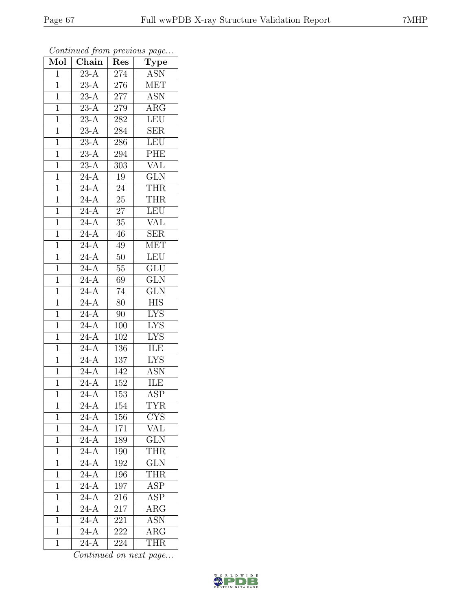| $\overline{\text{Mol}}$ | $\boldsymbol{\mathcal{J}}$<br>Chain | Res              | x.<br>$\overline{v}$<br>$\overline{\mathrm{T}}$ ype |
|-------------------------|-------------------------------------|------------------|-----------------------------------------------------|
| $\overline{1}$          | $2\overline{3-A}$                   | 274              | <b>ASN</b>                                          |
| $\overline{1}$          | $\overline{23-A}$                   | 276              | <b>MET</b>                                          |
| $\overline{1}$          | $\overline{23-A}$                   | 277              | $\overline{\text{ASN}}$                             |
| $\mathbf{1}$            | $23-A$                              | 279              | $\rm{ARG}$                                          |
| $\mathbf{1}$            | $23-A$                              | 282              | <b>LEU</b>                                          |
| $\mathbf 1$             | $23-A$                              | 284              | <b>SER</b>                                          |
| $\mathbf{1}$            | $23-A$                              | $286\,$          | LEU                                                 |
| $\mathbf{1}$            | $23-A$                              | 294              | <b>PHE</b>                                          |
| $\mathbf{1}$            | $23-A$                              | 303              | <b>VAL</b>                                          |
| $\mathbf{1}$            | $\overline{24-A}$                   | $\overline{1}9$  | $\overline{\text{GLN}}$                             |
| $\mathbf{1}$            | $24-A$                              | 24               | <b>THR</b>                                          |
| $\mathbf{1}$            | $24-A$                              | $\overline{25}$  | <b>THR</b>                                          |
| $\mathbf{1}$            | $24-A$                              | $27\,$           | <b>LEU</b>                                          |
| $\mathbf 1$             | $24-A$                              | 35               | <b>VAL</b>                                          |
| $\mathbf{1}$            | $24-A$                              | 46               | $\overline{\text{SER}}$                             |
| $\overline{1}$          | $24-A$                              | 49               | $\overline{\text{MET}}$                             |
| $\overline{1}$          | $\overline{24-A}$                   | $\overline{50}$  | <b>LEU</b>                                          |
| $\mathbf{1}$            | $24-A$                              | $\overline{55}$  | $\overline{{\rm GLU}}$                              |
| $\mathbf{1}$            | $2\overline{4-A}$                   | $\overline{69}$  | $\overline{\text{GLN}}$                             |
| $\mathbf{1}$            | $24-A$                              | 74               | GLN                                                 |
| $\mathbf{1}$            | $\overline{24-A}$                   | 80               | <b>HIS</b>                                          |
| $\overline{1}$          | $\overline{24-A}$                   | 90               | <b>LYS</b>                                          |
| $\mathbf 1$             | $24-A$                              | 100              | <b>LYS</b>                                          |
| $\mathbf{1}$            | $24-A$                              | 102              | $\overline{\text{LYS}}$                             |
| $\mathbf{1}$            | $24-A$                              | 136              | ILE                                                 |
| $\mathbf{1}$            | $24 - \overline{A}$                 | 137              | $\overline{\text{LYS}}$                             |
| $\mathbf{1}$            | $24-A$                              | 142              | $\overline{\text{ASN}}$                             |
| $\mathbf{1}$            | $24-A$                              | 152              | ILE                                                 |
| 1                       | $\overline{24-A}$                   | 153              | $\overline{\text{ASP}}$                             |
| $\mathbf{1}$            | $24-A$                              | 154              | TYR                                                 |
| $\mathbf 1$             | $24 - \overline{A}$                 | 156              | <b>CYS</b>                                          |
| $\overline{1}$          | $\overline{24-A}$                   | $\overline{1}71$ | $\overline{\text{VAL}}$                             |
| 1                       | $24-A$                              | 189              | <b>GLN</b>                                          |
| $\mathbf 1$             | $\overline{24-A}$                   | 190              | <b>THR</b>                                          |
| $\mathbf 1$             | $24 - \overline{A}$                 | 192              | <b>GLN</b>                                          |
| $\mathbf 1$             | $\overline{24-A}$                   | 196              | <b>THR</b>                                          |
| $\mathbf 1$             | $24-A$                              | $\overline{197}$ | <b>ASP</b>                                          |
| $\mathbf 1$             | $\overline{24-A}$                   | 216              | <b>ASP</b>                                          |
| $\mathbf 1$             | $24-A$                              | 217              | $\rm{ARG}$                                          |
| 1                       | $24-A$                              | 221              | <b>ASN</b>                                          |
| $\mathbf{1}$            | $24 - \overline{A}$                 | 222              | $\overline{\rm{ARG}}$                               |
| $\mathbf 1$             | $24-A$                              | 224              | <b>THR</b>                                          |

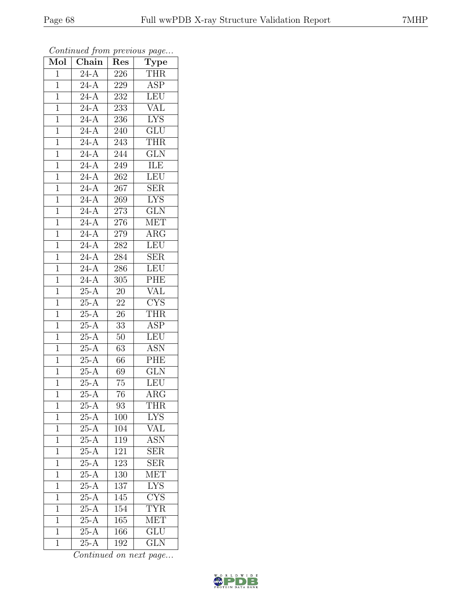| Mol            | $\boldsymbol{\theta}$<br>Chain | Res              | x.<br>$\overline{v}$<br>$\overline{\text{Type}}$ |
|----------------|--------------------------------|------------------|--------------------------------------------------|
| $\overline{1}$ | $24-A$                         | 226              | <b>THR</b>                                       |
| $\overline{1}$ | $\overline{24-A}$              | 229              | $\overline{\text{ASP}}$                          |
| $\overline{1}$ | $\overline{24-A}$              | 232              | <b>LEU</b>                                       |
| $\mathbf 1$    | $24-A$                         | 233              | VAL                                              |
| $\mathbf{1}$   | $\overline{24-A}$              | 236              | <b>LYS</b>                                       |
| $\overline{1}$ | $24-A$                         | 240              | $\overline{\text{GLU}}$                          |
| $\overline{1}$ | $24 - \overline{A}$            | 243              | <b>THR</b>                                       |
| $\mathbf{1}$   | $24-A$                         | 244              | $\overline{\text{GLN}}$                          |
| $\mathbf{1}$   | $24-A$                         | 249              | ILE                                              |
| $\overline{1}$ | $\overline{24-A}$              | 262              | LEU                                              |
| $\mathbf{1}$   | $24 - \overline{A}$            | 267              | <b>SER</b>                                       |
| $\overline{1}$ | $24-A$                         | 269              | $\overline{\text{LYS}}$                          |
| $\overline{1}$ | $24-A$                         | 273              | $\overline{\text{GLN}}$                          |
| $\mathbf{1}$   | $24-A$                         | 276              | <b>MET</b>                                       |
| $\overline{1}$ | $\overline{24-A}$              | $2\overline{79}$ | $\overline{\rm{ARG}}$                            |
| $\mathbf{1}$   | $24-A$                         | 282              | <b>LEU</b>                                       |
| $\overline{1}$ | $\overline{24-A}$              | 284              | SER                                              |
| $\mathbf{1}$   | $24-A$                         | 286              | LEU                                              |
| $\mathbf{1}$   | $\overline{24-A}$              | 305              | PHE                                              |
| $\mathbf{1}$   | $25-A$                         | $20\,$           | <b>VAL</b>                                       |
| $\mathbf{1}$   | $25-A$                         | $\overline{22}$  | $\overline{\text{CYS}}$                          |
| $\overline{1}$ | $25-A$                         | $\overline{26}$  | $\overline{\text{THR}}$                          |
| $\mathbf 1$    | $25-A$                         | 33               | <b>ASP</b>                                       |
| $\overline{1}$ | $25-A$                         | 50               | LEU                                              |
| $\mathbf{1}$   | $25-A$                         | 63               | <b>ASN</b>                                       |
| $\overline{1}$ | $25-A$                         | 66               | PHE                                              |
| $\mathbf{1}$   | $25-A$                         | $\overline{6}9$  | $\overline{\text{GLN}}$                          |
| $\mathbf{1}$   | $25-A$                         | 75               | <b>LEU</b>                                       |
| $\overline{1}$ | $25-A$                         | $\overline{7}6$  | $\rm{ARG}$                                       |
| $\mathbf 1$    | $25-A$                         | 93               | THR                                              |
| $\mathbf{1}$   | $25-\overline{A}$              | 100              | <b>LYS</b>                                       |
| $\mathbf{1}$   | $\overline{25}$ -A             | 104              | $\overline{\text{VAL}}$                          |
| $\mathbf 1$    | $25-A$                         | 119              | <b>ASN</b>                                       |
| $\mathbf 1$    | $25-A$                         | 121              | $\overline{\text{SER}}$                          |
| $\mathbf{1}$   | $25-\overline{A}$              | 123              | <b>SER</b>                                       |
| 1              | $\overline{25-A}$              | $\overline{130}$ | <b>MET</b>                                       |
| $\mathbf 1$    | $25-A$                         | 137              | <b>LYS</b>                                       |
| $\mathbf{1}$   | $25-A$                         | 145              | $\overline{\text{CYS}}$                          |
| $\mathbf 1$    | $25-A$                         | 154              | <b>TYR</b>                                       |
| $\overline{1}$ | $25-A$                         | 165              | MET                                              |
| $\mathbf{1}$   | $25-A$                         | 166              | $\overline{\text{GLU}}$                          |
| $\overline{1}$ | $25-A$                         | 192              | $\overline{\text{GLN}}$                          |

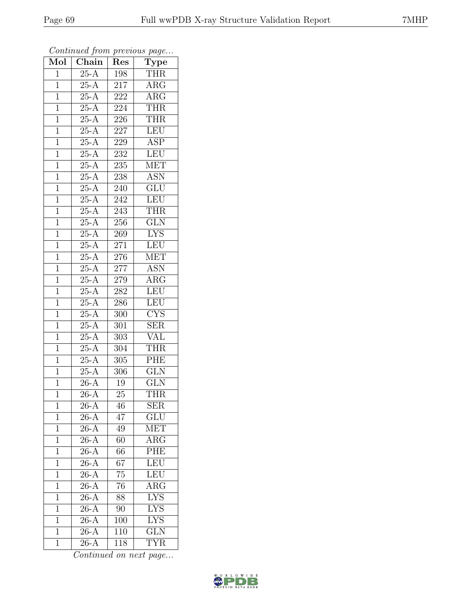| $\overline{\text{Mol}}$ | $\boldsymbol{\theta}$<br>$\overline{\text{Chain}}$ | Res             | x.<br>$\cdot$<br>$\overline{\text{Type}}$ |
|-------------------------|----------------------------------------------------|-----------------|-------------------------------------------|
| $\mathbf{1}$            | $25-A$                                             | 198             | <b>THR</b>                                |
| $\overline{1}$          | $\overline{25-A}$                                  | 217             | $\rm{ARG}$                                |
| $\mathbf{1}$            | $25-A$                                             | 222             | $\overline{\text{ARG}}$                   |
| $\mathbf{1}$            | $25-A$                                             | 224             | <b>THR</b>                                |
| $\mathbf{1}$            | $25-A$                                             | 226             | <b>THR</b>                                |
| $\mathbf 1$             | $25-A$                                             | 227             | $\overline{\text{LEU}}$                   |
| $\mathbf{1}$            | $25 - \overline{A}$                                | 229             | $A\overline{SP}$                          |
| $\mathbf{1}$            | $25-A$                                             | 232             | LEU                                       |
| $\mathbf{1}$            | $25-A$                                             | 235             | <b>MET</b>                                |
| $\mathbf{1}$            | $25-A$                                             | 238             | $\overline{ASN}$                          |
| $\mathbf{1}$            | $25-A$                                             | 240             | GLU                                       |
| $\mathbf{1}$            | $25-A$                                             | 242             | <b>LEU</b>                                |
| $\mathbf{1}$            | $25-A$                                             | 243             | <b>THR</b>                                |
| $\mathbf 1$             | $25-A$                                             | 256             | $\overline{\text{GLN}}$                   |
| $\mathbf{1}$            | $25-A$                                             | 269             | $\overline{\text{LYS}}$                   |
| $\mathbf{1}$            | $25-\overline{A}$                                  | 271             | LEU                                       |
| $\overline{1}$          | $\overline{25-A}$                                  | 276             | <b>MET</b>                                |
| $\mathbf{1}$            | $\overline{25-A}$                                  | 277             | <b>ASN</b>                                |
| $\mathbf{1}$            | $25-A$                                             | 279             | $\overline{\rm{ARG}}$                     |
| $\mathbf{1}$            | $25-A$                                             | 282             | <b>LEU</b>                                |
| $\mathbf 1$             | $25-A$                                             | 286             | LEU                                       |
| $\overline{1}$          | $\overline{25-A}$                                  | 300             | CYS                                       |
| $\mathbf 1$             | $25-A$                                             | 301             | $\overline{\text{SER}}$                   |
| $\mathbf{1}$            | $25-A$                                             | 303             | <b>VAL</b>                                |
| $\mathbf{1}$            | $25-A$                                             | 304             | <b>THR</b>                                |
| $\mathbf{1}$            | $25-A$                                             | 305             | PHE                                       |
| $\mathbf{1}$            | $25-A$                                             | 306             | $\overline{\text{GLN}}$                   |
| $\mathbf{1}$            | $26-A$                                             | 19              | $\overline{\text{GLN}}$                   |
| $\overline{1}$          | $26-A$                                             | 25              | <b>THR</b>                                |
| $\mathbf 1$             | $26-A$                                             | 46              | ${\rm SER}$                               |
| $\mathbf 1$             | $26-A$                                             | 47              | $GL\overline{U}$                          |
| $\overline{1}$          | $26-A$                                             | 49              | MET                                       |
| 1                       | $26-A$                                             | 60              | $\rm{ARG}$                                |
| $\overline{1}$          | $\overline{26-A}$                                  | 66              | PHE                                       |
| $\mathbf{1}$            | $26-A$                                             | 67              | LEU                                       |
| $\overline{1}$          | $\overline{26-A}$                                  | $\overline{75}$ | LEU                                       |
| $\mathbf 1$             | $\overline{26}$ -A                                 | 76              | $\overline{\rm{ARG}}$                     |
| $\mathbf{1}$            | $26-A$                                             | $8\overline{8}$ | <b>LYS</b>                                |
| $\mathbf 1$             | $26-A$                                             | 90              | <b>LYS</b>                                |
| $\overline{1}$          | $26-A$                                             | 100             | $\overline{\text{LYS}}$                   |
| $\mathbf{1}$            | $26-A$                                             | 110             | $\overline{\text{GLN}}$                   |
| $\overline{1}$          | $26-A$                                             | 118             | <b>TYR</b>                                |

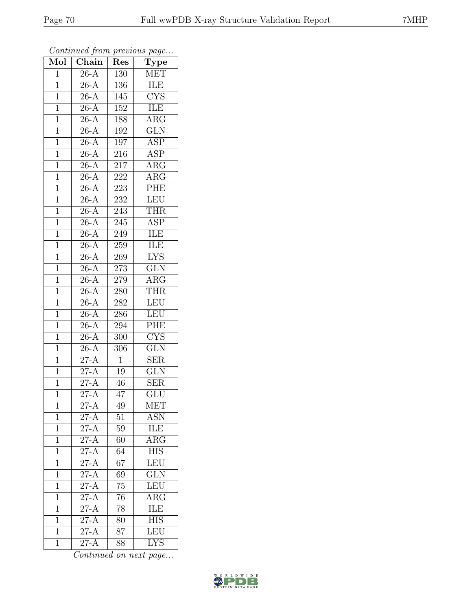| $\overline{\text{Mol}}$ | $\boldsymbol{\mathcal{J}}$<br>$\overline{\text{Chain}}$ | Res             | $\mathbf{r}$<br>$\overline{v}$<br><b>Type</b> |
|-------------------------|---------------------------------------------------------|-----------------|-----------------------------------------------|
| $\overline{1}$          | $26-A$                                                  | 130             | <b>MET</b>                                    |
| $\overline{1}$          | $\overline{26-A}$                                       | 136             | ILE                                           |
| $\overline{1}$          | $26-A$                                                  | 145             | $\overline{\text{C} \text{YS}}$               |
| $\mathbf 1$             | $26-A$                                                  | 152             | ILE                                           |
| $\mathbf{1}$            | $26-\overline{A}$                                       | 188             | $\overline{\text{ARG}}$                       |
| $\overline{1}$          | $26-\overline{A}$                                       | 192             | <b>GLN</b>                                    |
| $\overline{1}$          | $26-\overline{A}$                                       | 197             | ASP                                           |
| $\mathbf{1}$            | $\overline{26}$ -A                                      | $216\,$         | <b>ASP</b>                                    |
| $\mathbf{1}$            | $26-A$                                                  | 217             | $\rm{ARG}$                                    |
| $\overline{1}$          | $26-A$                                                  | 222             | $\overline{\text{ARG}}$                       |
| $\mathbf{1}$            | $26-\overline{A}$                                       | 223             | PHE                                           |
| $\overline{1}$          | $26-A$                                                  | 232             | <b>LEU</b>                                    |
| $\overline{1}$          | $26-A$                                                  | 243             | <b>THR</b>                                    |
| $\mathbf{1}$            | $26-A$                                                  | 245             | $\overline{\text{ASP}}$                       |
| $\mathbf{1}$            | $26-A$                                                  | 249             | <b>ILE</b>                                    |
| $\mathbf{1}$            | $26-A$                                                  | 259             | ILE                                           |
| $\overline{1}$          | $26-A$                                                  | 269             | $\overline{\text{LYS}}$                       |
| $\mathbf{1}$            | $26-A$                                                  | 273             | <b>GLN</b>                                    |
| $\mathbf{1}$            | $26-A$                                                  | 279             | $AR\overline{G}$                              |
| $\mathbf{1}$            | $26-A$                                                  | 280             | <b>THR</b>                                    |
| $\mathbf 1$             | $26-A$                                                  | 282             | <b>LEU</b>                                    |
| $\overline{1}$          | $26-A$                                                  | 286             | <b>LEU</b>                                    |
| $\mathbf 1$             | $26-A$                                                  | 294             | PHE                                           |
| $\overline{1}$          | $26 - \overline{A}$                                     | 300             | $\overline{\text{CYS}}$                       |
| $\mathbf{1}$            | $26-A$                                                  | 306             | <b>GLN</b>                                    |
| $\overline{1}$          | $27-A$                                                  | $\mathbf{1}$    | <b>SER</b>                                    |
| $\mathbf{1}$            | $27-A$                                                  | $19\,$          | $\overline{\text{GLN}}$                       |
| $\mathbf{1}$            | $27-A$                                                  | 46              | <b>SER</b>                                    |
| $\overline{1}$          | $\overline{27-A}$                                       | 47              | $\overline{\text{GLU}}$                       |
| $\mathbf 1$             | $27-A$                                                  | 49              | <b>MET</b>                                    |
| $\mathbf 1$             | $27 - \overline{A}$                                     | 51              | <b>ASN</b>                                    |
| $\overline{1}$          | $27-A$                                                  | 59              | <b>ILE</b>                                    |
| $\mathbf{1}$            | $27-A$                                                  | 60              | $\overline{\text{ARG}}$                       |
| $\overline{1}$          | $\overline{27-A}$                                       | $\overline{64}$ | <b>HIS</b>                                    |
| $\mathbf{1}$            | $27-A$                                                  | 67              | LEU                                           |
| $\overline{1}$          | $27-A$                                                  | 69              | $\overline{\text{GLN}}$                       |
| $\mathbf 1$             | $\overline{\text{27-A}}$                                | 75              | LEU                                           |
| $\mathbf{1}$            | $\overline{27-A}$                                       | 76              | $\overline{\text{ARG}}$                       |
| $\mathbf 1$             | $\overline{27-A}$                                       | 78              | <b>ILE</b>                                    |
| $\overline{1}$          | $\overline{27-A}$                                       | 80              | <b>HIS</b>                                    |
| $\mathbf{1}$            | $\overline{27-A}$                                       | $\overline{87}$ | LEU                                           |
| $\overline{1}$          | $27-A$                                                  | 88              | $\overline{\text{LYS}}$                       |

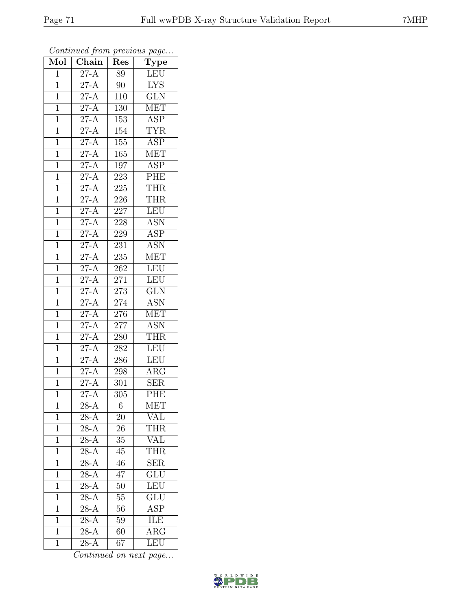| Mol            | $\overline{\text{Chain}}$    | Res              | $\cdot$<br>$\overline{\mathrm{T}}$ ype |
|----------------|------------------------------|------------------|----------------------------------------|
| $\mathbf{1}$   | $27-A$                       | 89               | LEU                                    |
| $\mathbf 1$    | $\overline{\text{27-A}}$     | 90               | <b>LYS</b>                             |
| $\mathbf{1}$   | $27-A$                       | 110              | $\overline{\text{GLN}}$                |
| $\mathbf 1$    | $27-A$                       | 130              | <b>MET</b>                             |
| $\overline{1}$ | $27-A$                       | 153              | ASP                                    |
| $\mathbf{1}$   | $27 - \overline{A}$          | 154              | <b>TYR</b>                             |
| $\mathbf{1}$   | $\overline{27-A}$            | 155              | $\overline{\text{ASP}}$                |
| $\mathbf{1}$   | $27-A$                       | 165              | <b>MET</b>                             |
| $\mathbf{1}$   | $27 - \overline{A}$          | 197              | ASP                                    |
| $\overline{1}$ | $\overline{27-A}$            | 223              | PHE                                    |
| $\mathbf{1}$   | $27-A$                       | 225              | <b>THR</b>                             |
| $\mathbf{1}$   | $27-A$                       | 226              | <b>THR</b>                             |
| $\mathbf{1}$   | $27 - A$                     | 227              | <b>LEU</b>                             |
| $\overline{1}$ | $27-A$                       | 228              | <b>ASN</b>                             |
| $\mathbf{1}$   | $27-A$                       | 229              | $\overline{\text{ASP}}$                |
| $\mathbf{1}$   | $\overline{27-A}$            | 231              | <b>ASN</b>                             |
| $\mathbf{1}$   | $27-A$                       | $\overline{235}$ | <b>MET</b>                             |
| $\mathbf{1}$   | $27-A$                       | 262              | <b>LEU</b>                             |
| $\mathbf 1$    | $\overline{27-A}$            | 271              | <b>LEU</b>                             |
| $\overline{1}$ | $\overline{27-A}$            | 273              | GLN                                    |
| $\mathbf 1$    | $27-A$                       | $\overline{2}74$ | <b>ASN</b>                             |
| $\mathbf{1}$   | $27-A$                       | 276              | <b>MET</b>                             |
| $\mathbf 1$    | $2\overline{7-A}$            | 277              | <b>ASN</b>                             |
| $\overline{1}$ | $2\overline{7-A}$            | 280              | <b>THR</b>                             |
| $\mathbf{1}$   | $27-A$                       | 282              | <b>LEU</b>                             |
| $\mathbf{1}$   | $27-A$                       | 286              | <b>LEU</b>                             |
| $\mathbf{1}$   | $\overline{\text{27-A}}$     | 298              | $\overline{\text{ARG}}$                |
| $\mathbf{1}$   | $27-A$                       | 301              | <b>SER</b>                             |
| $\overline{1}$ | $\overline{27-A}$            | 305              | PHE                                    |
| 1              | 28-A                         | 6                | <b>MET</b>                             |
| 1              | $28-A$                       | 20               | VAL                                    |
| $\mathbf 1$    | $28-A$                       | 26               | <b>THR</b>                             |
| $\mathbf{1}$   | $28-A$                       | 35               | VĀL                                    |
| $\overline{1}$ | $28-A$                       | 45               | <b>THR</b>                             |
| $\mathbf{1}$   | $28-A$                       | 46               | <b>SER</b>                             |
| $\mathbf 1$    | $28-A$                       | $\overline{47}$  | $\overline{\mathrm{GLU}}$              |
| $\mathbf 1$    | $28-A$                       | 50               | LEU                                    |
| $\overline{1}$ | $\overline{28-A}$            | 55               | $\overline{\text{GLU}}$                |
| $\mathbf 1$    | $\overline{28}$ -A           | 56               | $\overline{\text{ASP}}$                |
| $\overline{1}$ | $\overline{28-A}$            | 59               | ILE                                    |
| $\mathbf{1}$   | $28-{\overline{\mathrm{A}}}$ | 60               | $\overline{\rm{ARG}}$                  |
| $\mathbf{1}$   | $28-A$                       | 67               | LEU                                    |

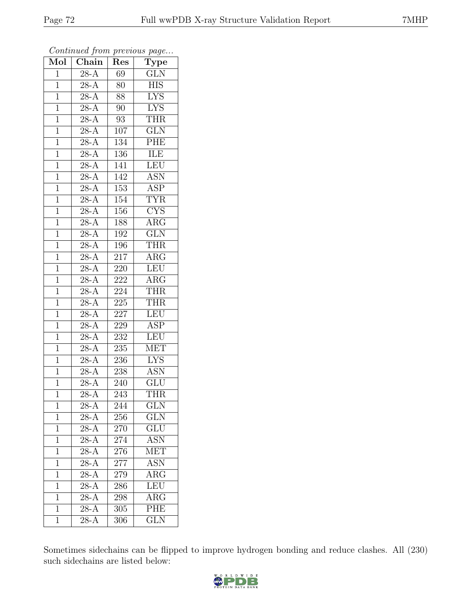| Mol            | Chain               | Res               | $\overline{\text{Type}}$  |
|----------------|---------------------|-------------------|---------------------------|
| $\mathbf{1}$   | $28 - \overline{A}$ | 69                | <b>GLN</b>                |
| $\mathbf{1}$   | $28-A$              | 80                | <b>HIS</b>                |
| $\mathbf{1}$   | $28-A$              | 88                | $\overline{\text{LYS}}$   |
| $\mathbf 1$    | $28 - \overline{A}$ | 90                | <b>LYS</b>                |
| $\mathbf{1}$   | $28 - \overline{A}$ | $\boldsymbol{93}$ | <b>THR</b>                |
| $\mathbf{1}$   | $28-A$              | 107               | $\overline{\text{GLN}}$   |
| $\mathbf{1}$   | $28 - \overline{A}$ | 134               | PHE                       |
| $\mathbf{1}$   | $28-A$              | 136               | ILE                       |
| $\mathbf{1}$   | $28-A$              | $\overline{1}41$  | <b>LEU</b>                |
| $\mathbf{1}$   | $28 - \overline{A}$ | 142               | $\overline{\mathrm{ASN}}$ |
| $\mathbf{1}$   | $28-A$              | 153               | <b>ASP</b>                |
| $\overline{1}$ | $28 - \overline{A}$ | 154               | <b>TYR</b>                |
| $\mathbf{1}$   | $\overline{28-A}$   | 156               | $\overline{\text{CYS}}$   |
| $\mathbf{1}$   | $28-A$              | 188               | $AR\overline{G}$          |
| $\mathbf{1}$   | $\overline{28-A}$   | 192               | $\overline{\text{GLN}}$   |
| $\mathbf{1}$   | $28-\overline{A}$   | 196               | <b>THR</b>                |
| $\overline{1}$ | $28-A$              | $\overline{217}$  | $\overline{\text{ARG}}$   |
| $\mathbf{1}$   | $28-A$              | 220               | <b>LEU</b>                |
| $\mathbf 1$    | $\overline{28-A}$   | 222               | $AR\overline{G}$          |
| $\mathbf{1}$   | $28 - \overline{A}$ | 224               | <b>THR</b>                |
| $\overline{1}$ | $28-A$              | 225               | <b>THR</b>                |
| $\overline{1}$ | $28 - \overline{A}$ | 227               | <b>LEU</b>                |
| $\mathbf{1}$   | $28-A$              | 229               | <b>ASP</b>                |
| $\mathbf{1}$   | $28-A$              | $\overline{232}$  | LEU                       |
| $\mathbf{1}$   | $28-A$              | 235               | <b>MET</b>                |
| $\overline{1}$ | $28 - \overline{A}$ | 236               | $\overline{\text{LYS}}$   |
| $\overline{1}$ | $28-A$              | $\overline{238}$  | $\overline{\mathrm{ASN}}$ |
| $\mathbf{1}$   | $28-A$              | 240               | <b>GLU</b>                |
| $\mathbf{1}$   | $28-A$              | 243               | <b>THR</b>                |
| 1              | $\overline{28-A}$   | 244               | $\overline{\text{GLN}}$   |
| $\mathbf 1$    | $28-A$              | 256               | <b>GLN</b>                |
| $\mathbf 1$    | $28 - \overline{A}$ | 270               | GLU                       |
| $\mathbf{1}$   | $28-A$              | 274               | ASN                       |
| $\mathbf{1}$   | $28-A$              | 276               | $\overline{\text{MET}}$   |
| $\mathbf{1}$   | $28-A$              | 277               | <b>ASN</b>                |
| $\overline{1}$ | $\overline{28}$ -A  | 279               | $\overline{\text{ARG}}$   |
| $\mathbf{1}$   | $28-A$              | 286               | LEU                       |
| $\overline{1}$ | $28-A$              | 298               | $\rm{ARG}$                |
| $\mathbf{1}$   | $28-A$              | 305               | PHE                       |
| $\mathbf{1}$   | $28-A$              | 306               | <b>GLN</b>                |

Sometimes sidechains can be flipped to improve hydrogen bonding and reduce clashes. All (230) such sidechains are listed below:

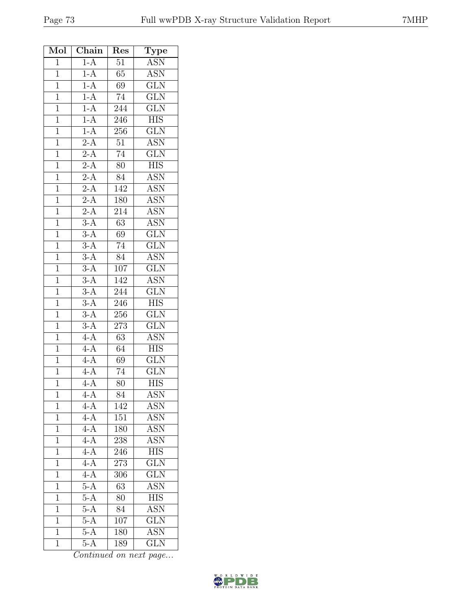| Mol            | Chain              | Res              | Type                    |
|----------------|--------------------|------------------|-------------------------|
| $\overline{1}$ | $1-A$              | $\overline{51}$  | <b>ASN</b>              |
| $\overline{1}$ | $1-A$              | $65\text{ }$     | $\overline{\text{ASN}}$ |
| $\mathbf{1}$   | $1-A$              | 69               | GLN                     |
| $\overline{1}$ | $\frac{1-A}{1-A}$  | $\overline{74}$  | $\overline{\text{GLN}}$ |
| $\mathbf 1$    |                    | 244              | GLN                     |
| $\overline{1}$ | $1-A$              | 246              | <b>HIS</b>              |
| $\overline{1}$ | $1-A$              | 256              | $\overline{\text{GLN}}$ |
| $\overline{1}$ | $\overline{2-A}$   | $51\,$           | $\overline{\text{ASN}}$ |
| $\mathbf{1}$   | $2-A$              | $\overline{74}$  | $\overline{\text{GLN}}$ |
| $\overline{1}$ | $2-A$              | $80\,$           | <b>HIS</b>              |
| $\overline{1}$ | $\overline{2-A}$   | $\overline{84}$  | <b>ASN</b>              |
| $\mathbf{1}$   | $\frac{2-A}{2-A}$  | 142              | <b>ASN</b>              |
| $\mathbf{1}$   |                    | 180              | <b>ASN</b>              |
| $\overline{1}$ | $2-A$              | 214              | $\overline{\text{ASN}}$ |
| $\mathbf{1}$   | $3-A$              | $\overline{63}$  | $\overline{\text{ASN}}$ |
| $\overline{1}$ | $3-A$              | 69               | $\overline{\text{GLN}}$ |
| $\mathbf{1}$   | $\overline{3-A}$   | 74               | <b>GLN</b>              |
| $\overline{1}$ | $3-A$              | 84               | <b>ASN</b>              |
| $\overline{1}$ | $3-A$              | 107              | GLN                     |
| $\overline{1}$ | $\overline{3-A}$   | 142              | <b>ASN</b>              |
| $\overline{1}$ | $\overline{3-A}$   | 244              | $\overline{\text{GLN}}$ |
| $\mathbf{1}$   | $3-A$              | 246              | <b>HIS</b>              |
| $\overline{1}$ | $\overline{3-A}$   | $\overline{256}$ | $\overline{\text{GLN}}$ |
| $\mathbf 1$    | $3-A$              | 273              | GLN                     |
| $\overline{1}$ | $\frac{4-A}{4}$    | 63               | <b>ASN</b>              |
| $\overline{1}$ | $4-A$              | 64               | $\overline{\mbox{HIS}}$ |
| $\mathbf{1}$   | $4-A$              | 69               | $\overline{\text{GLN}}$ |
| $\overline{1}$ | $\overline{4-A}$   | $\overline{74}$  | $\overline{\text{GLN}}$ |
| $\overline{1}$ | $4-A$              | 80               | <b>HIS</b>              |
| 1              | 4-A                | 84               | ASN                     |
| 1              | $4-A$              | 142              | <b>ASN</b>              |
| $\mathbf 1$    | $4-A$              | 151              | <b>ASN</b>              |
| $\mathbf{1}$   | $4-A$              | 180              | <b>ASN</b>              |
| $\mathbf{1}$   | $4-A$              | 238              | <b>ASN</b>              |
| $\overline{1}$ | $4-A$              | 246              | $\overline{HIS}$        |
| 1              | $4 - \overline{A}$ | 273              | <b>GLN</b>              |
| $\mathbf 1$    | $4-A$              | 306              | GLN                     |
| $\mathbf{1}$   | $5-A$              | $\overline{63}$  | <b>ASN</b>              |
| $\mathbf{1}$   | $5-A$              | 80               | <b>HIS</b>              |
| $\mathbf{1}$   | $5-A$              | 84               | <b>ASN</b>              |
| $\mathbf{1}$   | $5-A$              | 107              | $\overline{\text{GLN}}$ |
| $\mathbf{1}$   | $5-A$              | 180              | $\overline{\text{ASN}}$ |
| $\mathbf{1}$   | $5-A$              | 189              | <b>GLN</b>              |

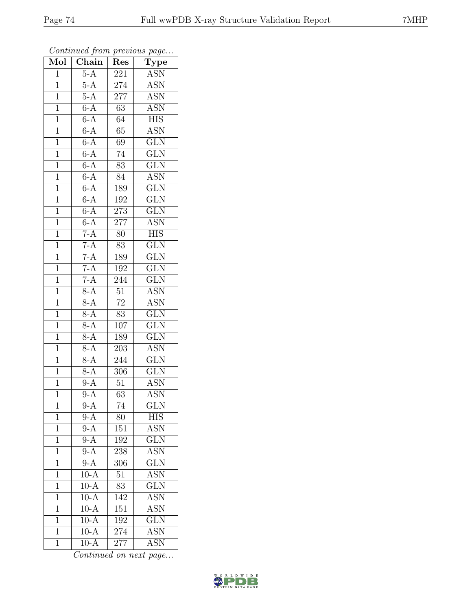| Mol            | Chain             | Res              | $\cdot$<br>$\mathrm{\overline{Type}}$ |
|----------------|-------------------|------------------|---------------------------------------|
| $\mathbf{1}$   | $5-A$             | 221              | ASN                                   |
| $\mathbf 1$    | $5-A$             | 274              | $\overline{\text{ASN}}$               |
| $\mathbf{1}$   | $5-A$             | $\overline{277}$ | <b>ASN</b>                            |
| $\overline{1}$ | $6-A$             | $\overline{63}$  | <b>ASN</b>                            |
| $\overline{1}$ | $6-A$             | $\overline{64}$  | $\overline{HIS}$                      |
| $\mathbf{1}$   | $6-A$             | 65               | <b>ASN</b>                            |
| $\mathbf{1}$   | $6-A$             | 69               | $\overline{\text{GLN}}$               |
| $\mathbf{1}$   | $6-A$             | $\overline{74}$  | GLN                                   |
| $\mathbf{1}$   | $6-A$             | 83               | $\overline{\text{GLN}}$               |
| $\overline{1}$ | $6-A$             | 84               | <b>ASN</b>                            |
| $\mathbf 1$    | $6-A$             | 189              | GLN                                   |
| $\mathbf{1}$   | $6-A$             | 192              | $\overline{\text{GLN}}$               |
| $\mathbf{1}$   | $6-A$             | 273              | $\overline{\text{GLN}}$               |
| $\overline{1}$ | $6-A$             | 277              | <b>ASN</b>                            |
| $\overline{1}$ | $7-A$             | $\overline{80}$  | $\overline{\text{HIS}}$               |
| $\mathbf{1}$   | $7-A$             | 83               | $\overline{\text{GLN}}$               |
| $\overline{1}$ | $7-A$             | 189              | $\overline{\text{GLN}}$               |
| $\mathbf{1}$   | $\frac{7-A}{7-A}$ | 192              | <b>GLN</b>                            |
| $\overline{1}$ |                   | 244              | $\overline{\text{GLN}}$               |
| $\overline{1}$ | $8-A$             | $\overline{51}$  | <b>ASN</b>                            |
| $\mathbf{1}$   | $8-A$             | $\overline{72}$  | <b>ASN</b>                            |
| $\overline{1}$ | $8-A$             | $\overline{83}$  | $\overline{\text{GLN}}$               |
| $\overline{1}$ | $8-A$             | 107              | GLN                                   |
| $\overline{1}$ | $8-A$             | 189              | $\overline{\text{GLN}}$               |
| $\mathbf{1}$   | $8-A$             | 203              | <b>ASN</b>                            |
| $\mathbf{1}$   | $8-A$             | 244              | GLN                                   |
| $\mathbf{1}$   | $8-A$             | 306              | $\overline{\text{GLN}}$               |
| $\overline{1}$ | $9-A$             | 51               | <b>ASN</b>                            |
| $\overline{1}$ | $\overline{9-A}$  | $\overline{63}$  | $\overline{\text{ASN}}$               |
| 1              | $9-A$             | 74               | GLN                                   |
| 1              | $9-\overline{A}$  | 80               | <b>HIS</b>                            |
| $\mathbf 1$    | $9-A$             | 151              | <b>ASN</b>                            |
| $\mathbf 1$    | $9-\overline{A}$  | 192              | <b>GLN</b>                            |
| $\overline{1}$ | $9-A$             | 238              | $\overline{\mathrm{ASN}}$             |
| 1              | $9-A$             | 306              | GLN                                   |
| 1              | $10-A$            | $\overline{51}$  | <b>ASN</b>                            |
| $\mathbf 1$    | $10-A$            | 83               | <b>GLN</b>                            |
| $\overline{1}$ | $10-A$            | 142              | <b>ASN</b>                            |
| $\mathbf 1$    | $10-A$            | 151              | <b>ASN</b>                            |
| $\mathbf 1$    | $10-A$            | 192              | $\overline{\text{GLN}}$               |
| $\mathbf{1}$   | $10-A$            | 274              | $\overline{\mathrm{ASN}}$             |
| $\mathbf{1}$   | $10-A$            | 277              | <b>ASN</b>                            |

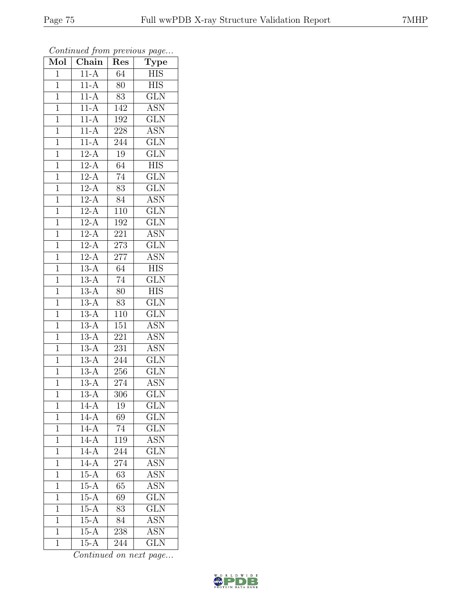| Mol            | $\overline{\text{Chain}}$ | Res              | $\cdot$<br>$\mathrm{\overline{Type}}$ |
|----------------|---------------------------|------------------|---------------------------------------|
| $\mathbf{1}$   | $11-A$                    | 64               | <b>HIS</b>                            |
| $\mathbf 1$    | $11-A$                    | 80               | <b>HIS</b>                            |
| $\mathbf{1}$   | $11-A$                    | $\overline{83}$  | $\overline{\text{GLN}}$               |
| $\overline{1}$ | $11-A$                    | 142              | <b>ASN</b>                            |
| $\overline{1}$ | $11-A$                    | 192              | $\overline{\text{GLN}}$               |
| $\mathbf{1}$   | $11-A$                    | 228              | <b>ASN</b>                            |
| $\mathbf{1}$   | $11-A$                    | 244              | $\overline{\text{GLN}}$               |
| $\mathbf{1}$   | $12-A$                    | 19               | $\overline{\text{GLN}}$               |
| $\mathbf{1}$   | $12-A$                    | $\overline{64}$  | <b>HIS</b>                            |
| $\overline{1}$ | $12-A$                    | 74               | $\overline{\text{GLN}}$               |
| $\mathbf{1}$   | $12-A$                    | 83               | <b>GLN</b>                            |
| $\mathbf{1}$   | $12-A$                    | 84               | $\overline{\text{ASN}}$               |
| $\mathbf{1}$   | $12-A$                    | 110              | $\overline{\text{GLN}}$               |
| $\overline{1}$ | $12-A$                    | 192              | $\overline{\text{GLN}}$               |
| $\overline{1}$ | $12-A$                    | 221              | $\overline{\text{ASN}}$               |
| $\mathbf{1}$   | $12-A$                    | 273              | $\overline{\text{GLN}}$               |
| $\overline{1}$ | $12-A$                    | $\overline{277}$ | $\overline{\text{ASN}}$               |
| $\mathbf{1}$   | $13-A$                    | 64               | <b>HIS</b>                            |
| $\overline{1}$ | $13-A$                    | $\overline{74}$  | $\overline{\text{GLN}}$               |
| $\overline{1}$ | $13-A$                    | 80               | <b>HIS</b>                            |
| $\mathbf 1$    | $13-A$                    | 83               | $\overline{\text{GLN}}$               |
| $\mathbf{1}$   | $13-A$                    | 110              | $\overline{\text{GLN}}$               |
| $\overline{1}$ | $13-A$                    | 151              | $A\overline{SN}$                      |
| $\overline{1}$ | $13-A$                    | 221              | <b>ASN</b>                            |
| $\mathbf{1}$   | $13-A$                    | 231              | <b>ASN</b>                            |
| $\mathbf{1}$   | $13-A$                    | 244              | $\overline{\text{GLN}}$               |
| $\mathbf{1}$   | $13-A$                    | 256              | $\overline{\text{GLN}}$               |
| $\overline{1}$ | $13-A$                    | 274              | <b>ASN</b>                            |
| $\overline{1}$ | $\overline{13-A}$         | $\overline{306}$ | $\overline{\text{GLN}}$               |
| 1              | $14-A$                    | 19               | GLN                                   |
| 1              | $14 - \overline{A}$       | 69               | <b>GLN</b>                            |
| $\mathbf{1}$   | $14-A$                    | 74               | $\overline{\text{GLN}}$               |
| $\mathbf 1$    | $14-A$                    | 119              | <b>ASN</b>                            |
| $\overline{1}$ | $14-A$                    | 244              | $\overline{\text{GLN}}$               |
| 1              | $14 - \overline{A}$       | 274              | <b>ASN</b>                            |
| $\mathbf{1}$   | $15-A$                    | $\overline{63}$  | <b>ASN</b>                            |
| $\mathbf 1$    | $15-A$                    | 65               | <b>ASN</b>                            |
| $\overline{1}$ | $15-A$                    | 69               | $\overline{\text{GLN}}$               |
| $\mathbf 1$    | $15-A$                    | 83               | $\widetilde{{\rm GLN}}$               |
| 1              | $15-A$                    | 84               | <b>ASN</b>                            |
| $\mathbf{1}$   | $15-A$                    | 238              | $A\overline{SN}$                      |
| $\overline{1}$ | $15-A$                    | 244              | $\widetilde{{\rm GLN}}$               |

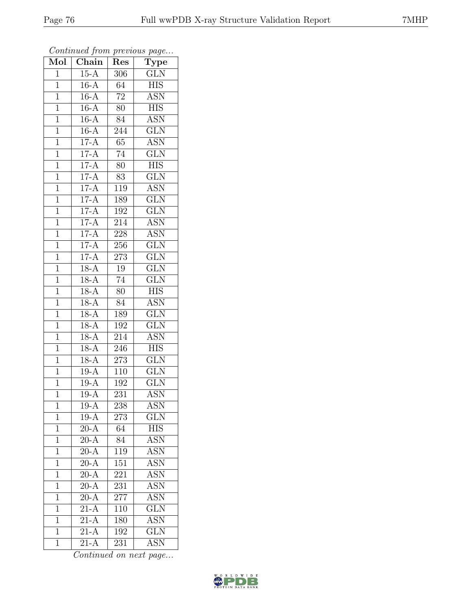| Mol            | Chain               | Res              | $\cdot$<br><b>Type</b>    |
|----------------|---------------------|------------------|---------------------------|
| $\mathbf{1}$   | $15-A$              | 306              | <b>GLN</b>                |
| $\overline{1}$ | $16-A$              | $\overline{64}$  | <b>HIS</b>                |
| $\mathbf{1}$   | $16-A$              | $\overline{72}$  | $\overline{\text{ASN}}$   |
| $\overline{1}$ | $16-A$              | $80\,$           | <b>HIS</b>                |
| $\overline{1}$ | $16-A$              | 84               | $\overline{\text{ASN}}$   |
| $\mathbf{1}$   | $16-A$              | 244              | <b>GLN</b>                |
| $\mathbf{1}$   | $17-A$              | $\overline{65}$  | <b>ASN</b>                |
| $\mathbf{1}$   | $17-A$              | 74               | GLN                       |
| $\mathbf{1}$   | $17-A$              | 80               | <b>HIS</b>                |
| $\overline{1}$ | $17-A$              | $\overline{83}$  | $\overline{\text{GLN}}$   |
| $\mathbf{1}$   | $17-A$              | 119              | <b>ASN</b>                |
| $\mathbf{1}$   | $17-A$              | 189              | $\overline{\text{GLN}}$   |
| $\overline{1}$ | $17-A$              | 192              | $\overline{\text{GLN}}$   |
| $\overline{1}$ | $17-A$              | 214              | <b>ASN</b>                |
| $\overline{1}$ | $17-A$              | $\overline{228}$ | <b>ASN</b>                |
| $\mathbf{1}$   | $17-A$              | 256              | <b>GLN</b>                |
| $\overline{1}$ | $17-A$              | $\overline{273}$ | $\overline{\text{GLN}}$   |
| $\mathbf{1}$   | $18-A$              | 19               | <b>GLN</b>                |
| $\overline{1}$ | $18-A$              | $\overline{74}$  | $\overline{\text{GLN}}$   |
| $\overline{1}$ | $18-A$              | 80               | <b>HIS</b>                |
| $\mathbf 1$    | $18-A$              | 84               | <b>ASN</b>                |
| $\mathbf{1}$   | $18 - \overline{A}$ | 189              | $\overline{\text{GLN}}$   |
| $\overline{1}$ | $18-A$              | 192              | $\overline{\text{GLN}}$   |
| $\overline{1}$ | $18-A$              | 214              | $\overline{\text{ASN}}$   |
| $\mathbf{1}$   | $18-A$              | 246              | <b>HIS</b>                |
| $\mathbf{1}$   | $18-A$              | 273              | $\overline{\text{GLN}}$   |
| $\overline{1}$ | $19-A$              | 110              | $\overline{\text{GLN}}$   |
| $\mathbf{1}$   | $19-A$              | 192              | $\overline{\text{GLN}}$   |
| $\overline{1}$ | $19-A$              | $\overline{231}$ | $\overline{\mathrm{ASN}}$ |
| 1              | $19-A$              | 238              | <b>ASN</b>                |
| $\mathbf{1}$   | $19-A$              | 273              | <b>GLN</b>                |
| $\mathbf{1}$   | $20-A$              | 64               | <b>HIS</b>                |
| $\mathbf{1}$   | $20-A$              | 84               | <b>ASN</b>                |
| $\overline{1}$ | $\overline{20-A}$   | 119              | $\overline{\mathrm{ASN}}$ |
| $\mathbf{1}$   | $20-A$              | 151              | <b>ASN</b>                |
| $\mathbf{1}$   | $\overline{20-A}$   | 221              | <b>ASN</b>                |
| $\mathbf 1$    | $20-A$              | 231              | <b>ASN</b>                |
| $\overline{1}$ | $20-A$              | 277              | <b>ASN</b>                |
| $\mathbf{1}$   | $\overline{21-A}$   | 110              | $\overline{\text{GLN}}$   |
| $\mathbf{1}$   | $21-A$              | 180              | <b>ASN</b>                |
| $\mathbf{1}$   | $21-\overline{A}$   | 192              | $\overline{\text{GLN}}$   |
| $\overline{1}$ | $21-A$              | 231              | <b>ASN</b>                |

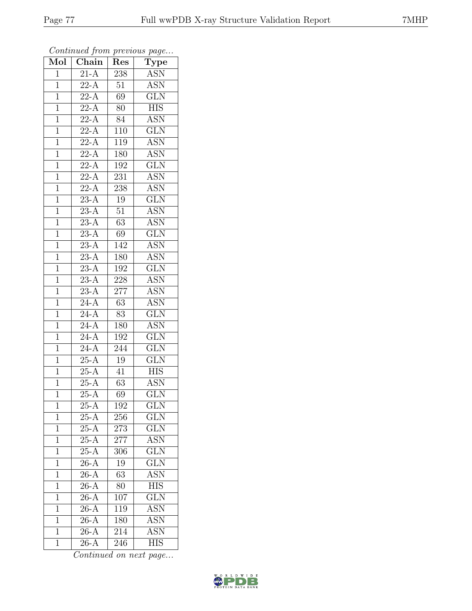| Mol            | Chain                           | Res              | $\cdot$<br>$\mathrm{\bar{Ty}pe}$ |
|----------------|---------------------------------|------------------|----------------------------------|
| $\mathbf{1}$   | $21-A$                          | 238              | <b>ASN</b>                       |
| $\mathbf 1$    | $\overline{22-A}$               | 51               | $\overline{\text{ASN}}$          |
| $\mathbf{1}$   | $22-A$                          | 69               | $\overline{\text{GLN}}$          |
| $\mathbf 1$    | $22-A$                          | 80               | <b>HIS</b>                       |
| $\overline{1}$ | $22 - \overline{A}$             | 84               | $A\overline{SN}$                 |
| $\mathbf{1}$   | $22-\overline{A}$               | $\overline{1}10$ | <b>GLN</b>                       |
| $\mathbf{1}$   | $22-\overline{A}$               | 119              | $\overline{\text{ASN}}$          |
| $\mathbf{1}$   | $22-A$                          | 180              | $\overline{\text{ASN}}$          |
| $\mathbf{1}$   | $22-A$                          | 192              | <b>GLN</b>                       |
| $\overline{1}$ | $22-A$                          | 231              | <b>ASN</b>                       |
| $\mathbf 1$    | $22\text{-}\overline{\text{A}}$ | 238              | <b>ASN</b>                       |
| $\mathbf{1}$   | $23-A$                          | 19               | $\overline{\text{GLN}}$          |
| $\mathbf{1}$   | $\overline{23-A}$               | $\overline{51}$  | $\overline{\text{ASN}}$          |
| $\overline{1}$ | $23-A$                          | $6\overline{3}$  | ASN                              |
| $\overline{1}$ | $\overline{23-A}$               | $\overline{69}$  | $\overline{\text{GLN}}$          |
| $\mathbf{1}$   | $23-A$                          | 142              | <b>ASN</b>                       |
| $\mathbf{1}$   | $\overline{23-A}$               | 180              | $\overline{\mathrm{ASN}}$        |
| $\mathbf{1}$   | $23-A$                          | 192              | <b>GLN</b>                       |
| $\mathbf 1$    | $\overline{23-A}$               | 228              | $\overline{\text{ASN}}$          |
| $\overline{1}$ | $23-A$                          | 277              | <b>ASN</b>                       |
| $\mathbf 1$    | $24-A$                          | 63               | <b>ASN</b>                       |
| $\mathbf{1}$   | $24-A$                          | 83               | $\overline{\text{GLN}}$          |
| $\mathbf 1$    | $24-A$                          | 180              | <b>ASN</b>                       |
| $\overline{1}$ | $24 - \overline{A}$             | $19\overline{2}$ | $\overline{\text{GLN}}$          |
| $\mathbf{1}$   | $24-A$                          | 244              | <b>GLN</b>                       |
| $\mathbf{1}$   | $25-A$                          | 19               | $\overline{\text{GLN}}$          |
| $\mathbf{1}$   | $25-A$                          | 41               | <b>HIS</b>                       |
| $\mathbf{1}$   | $25-A$                          | 63               | $A\overline{SN}$                 |
| $\overline{1}$ | $\overline{25-A}$               | 69               | $\overline{\text{GLN}}$          |
| 1              | $25-A$                          | 192              | <b>GLN</b>                       |
| 1              | $25-A$                          | 256              | <b>GLN</b>                       |
| $\mathbf 1$    | $25-A$                          | 273              | GLN                              |
| $\mathbf 1$    | $25-A$                          | 277              | <b>ASN</b>                       |
| $\overline{1}$ | $25 - \overline{A}$             | 306              | $\overline{\text{GLN}}$          |
| $\mathbf{1}$   | $26-A$                          | 19               | $GL\overline{N}$                 |
| 1              | $\overline{26-A}$               | $\overline{63}$  | <b>ASN</b>                       |
| $\mathbf 1$    | $26-A$                          | $\overline{80}$  | <b>HIS</b>                       |
| $\overline{1}$ | $\overline{26}$ -A              | 107              | $\overline{\text{GLN}}$          |
| $\mathbf 1$    | $26-A$                          | 119              | $\overline{\text{ASN}}$          |
| $\mathbf 1$    | $26-A$                          | 180              | <b>ASN</b>                       |
| $\mathbf{1}$   | $26-A$                          | 214              | $\overline{\text{ASN}}$          |
| $\mathbf{1}$   | $26-A$                          | 246              | <b>HIS</b>                       |

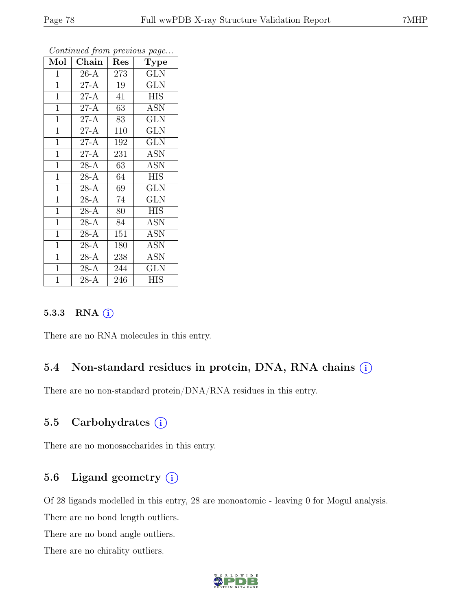| Mol            | ${\rm Chain}$       | Res | <b>Type</b> |
|----------------|---------------------|-----|-------------|
| $\mathbf 1$    | $26-A$              | 273 | <b>GLN</b>  |
| $\mathbf{1}$   | $27 - \overline{A}$ | 19  | <b>GLN</b>  |
| $\mathbf{1}$   | $27-A$              | 41  | <b>HIS</b>  |
| $\mathbf{1}$   | $27-A$              | 63  | ASN         |
| $\mathbf{1}$   | $27 - \overline{A}$ | 83  | GLN         |
| $\mathbf{1}$   | $27-A$              | 110 | <b>GLN</b>  |
| $\mathbf{1}$   | $27-A$              | 192 | <b>GLN</b>  |
| $\mathbf{1}$   | $27-A$              | 231 | ASN         |
| $\overline{1}$ | $\overline{28-A}$   | 63  | <b>ASN</b>  |
| $\mathbf{1}$   | $\overline{28-A}$   | 64  | <b>HIS</b>  |
| $\mathbf{1}$   | $28-A$              | 69  | <b>GLN</b>  |
| $\mathbf{1}$   | $28-A$              | 74  | <b>GLN</b>  |
| $\mathbf{1}$   | $28-A$              | 80  | HIS         |
| $\mathbf{1}$   | $28-A$              | 84  | ASN         |
| $\overline{1}$ | $28-A$              | 151 | ASN         |
| $\overline{1}$ | $28 - \overline{A}$ | 180 | <b>ASN</b>  |
| $\mathbf{1}$   | $28-A$              | 238 | <b>ASN</b>  |
| $\mathbf{1}$   | $28-A$              | 244 | <b>GLN</b>  |
| $\mathbf{1}$   | $28-A$              | 246 | <b>HIS</b>  |

#### 5.3.3 RNA  $(i)$

There are no RNA molecules in this entry.

#### 5.4 Non-standard residues in protein, DNA, RNA chains  $(i)$

There are no non-standard protein/DNA/RNA residues in this entry.

### 5.5 Carbohydrates (i)

There are no monosaccharides in this entry.

## 5.6 Ligand geometry  $(i)$

Of 28 ligands modelled in this entry, 28 are monoatomic - leaving 0 for Mogul analysis.

There are no bond length outliers.

There are no bond angle outliers.

There are no chirality outliers.

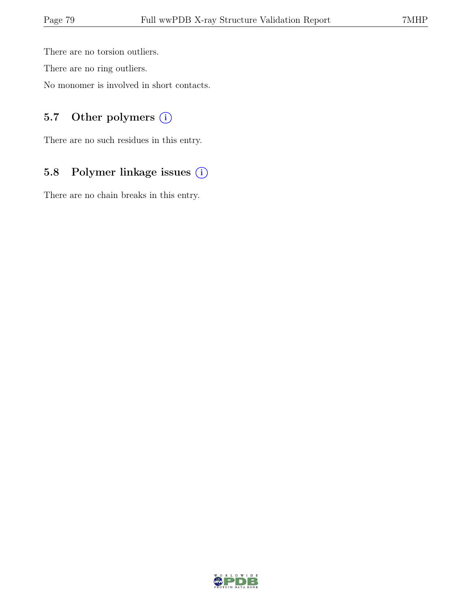There are no torsion outliers.

There are no ring outliers.

No monomer is involved in short contacts.

## 5.7 Other polymers (i)

There are no such residues in this entry.

## 5.8 Polymer linkage issues (i)

There are no chain breaks in this entry.